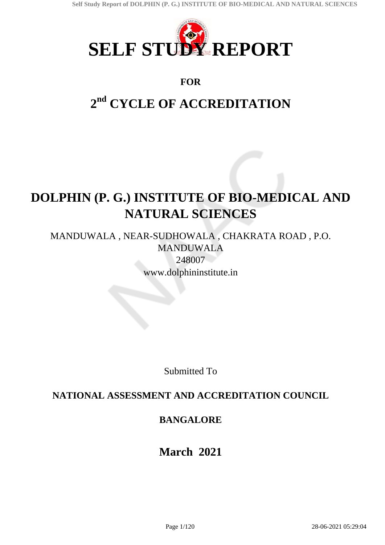

# **FOR**

# **2 nd CYCLE OF ACCREDITATION**

# **DOLPHIN (P. G.) INSTITUTE OF BIO-MEDICAL AND NATURAL SCIENCES**

MANDUWALA , NEAR-SUDHOWALA , CHAKRATA ROAD , P.O. MANDUWALA 248007 www.dolphininstitute.in

Submitted To

# **NATIONAL ASSESSMENT AND ACCREDITATION COUNCIL**

# **BANGALORE**

**March 2021**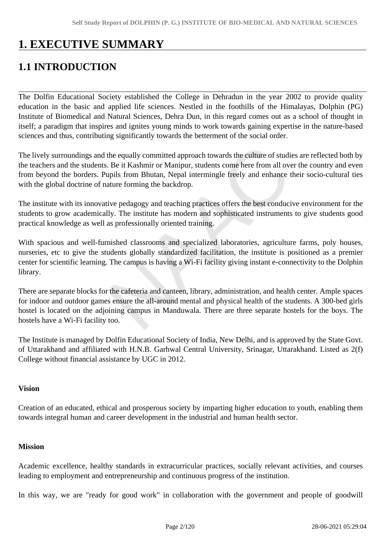# **1. EXECUTIVE SUMMARY**

# **1.1 INTRODUCTION**

The Dolfin Educational Society established the College in Dehradun in the year 2002 to provide quality education in the basic and applied life sciences. Nestled in the foothills of the Himalayas, Dolphin (PG) Institute of Biomedical and Natural Sciences, Dehra Dun, in this regard comes out as a school of thought in itself; a paradigm that inspires and ignites young minds to work towards gaining expertise in the nature-based sciences and thus, contributing significantly towards the betterment of the social order.

The lively surroundings and the equally committed approach towards the culture of studies are reflected both by the teachers and the students. Be it Kashmir or Manipur, students come here from all over the country and even from beyond the borders. Pupils from Bhutan, Nepal intermingle freely and enhance their socio-cultural ties with the global doctrine of nature forming the backdrop.

The institute with its innovative pedagogy and teaching practices offers the best conducive environment for the students to grow academically. The institute has modern and sophisticated instruments to give students good practical knowledge as well as professionally oriented training.

With spacious and well-furnished classrooms and specialized laboratories, agriculture farms, poly houses, nurseries, etc to give the students globally standardized facilitation, the institute is positioned as a premier center for scientific learning. The campus is having a Wi-Fi facility giving instant e-connectivity to the Dolphin library.

There are separate blocks for the cafeteria and canteen, library, administration, and health center. Ample spaces for indoor and outdoor games ensure the all-around mental and physical health of the students. A 300-bed girls hostel is located on the adjoining campus in Manduwala. There are three separate hostels for the boys. The hostels have a Wi-Fi facility too.

The Institute is managed by Dolfin Educational Society of India, New Delhi, and is approved by the State Govt. of Uttarakhand and affiliated with H.N.B. Garhwal Central University, Srinagar, Uttarakhand. Listed as 2(f) College without financial assistance by UGC in 2012.

### **Vision**

Creation of an educated, ethical and prosperous society by imparting higher education to youth, enabling them towards integral human and career development in the industrial and human health sector.

#### **Mission**

Academic excellence, healthy standards in extracurricular practices, socially relevant activities, and courses leading to employment and entrepreneurship and continuous progress of the institution.

In this way, we are "ready for good work" in collaboration with the government and people of goodwill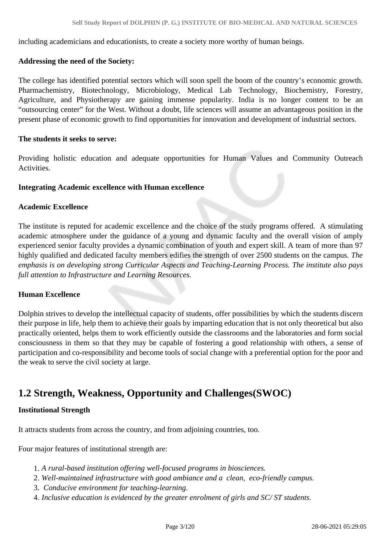including academicians and educationists, to create a society more worthy of human beings.

### **Addressing the need of the Society:**

The college has identified potential sectors which will soon spell the boom of the country's economic growth. Pharmachemistry, Biotechnology, Microbiology, Medical Lab Technology, Biochemistry, Forestry, Agriculture, and Physiotherapy are gaining immense popularity. India is no longer content to be an "outsourcing center" for the West. Without a doubt, life sciences will assume an advantageous position in the present phase of economic growth to find opportunities for innovation and development of industrial sectors.

#### **The students it seeks to serve:**

Providing holistic education and adequate opportunities for Human Values and Community Outreach Activities.

#### **Integrating Academic excellence with Human excellence**

#### **Academic Excellence**

The institute is reputed for academic excellence and the choice of the study programs offered. A stimulating academic atmosphere under the guidance of a young and dynamic faculty and the overall vision of amply experienced senior faculty provides a dynamic combination of youth and expert skill. A team of more than 97 highly qualified and dedicated faculty members edifies the strength of over 2500 students on the campus. *The emphasis is on developing strong Curricular Aspects and Teaching-Learning Process. The institute also pays full attention to Infrastructure and Learning Resources.*

### **Human Excellence**

Dolphin strives to develop the intellectual capacity of students, offer possibilities by which the students discern their purpose in life, help them to achieve their goals by imparting education that is not only theoretical but also practically oriented, helps them to work efficiently outside the classrooms and the laboratories and form social consciousness in them so that they may be capable of fostering a good relationship with others, a sense of participation and co-responsibility and become tools of social change with a preferential option for the poor and the weak to serve the civil society at large.

# **1.2 Strength, Weakness, Opportunity and Challenges(SWOC)**

#### **Institutional Strength**

It attracts students from across the country, and from adjoining countries, too.

Four major features of institutional strength are:

- 1. *A rural-based institution offering well-focused programs in biosciences.*
- 2. *Well-maintained infrastructure with good ambiance and a clean, eco-friendly campus.*
- 3. *Conducive environment for teaching-learning.*
- 4. *Inclusive education is evidenced by the greater enrolment of girls and SC/ ST students.*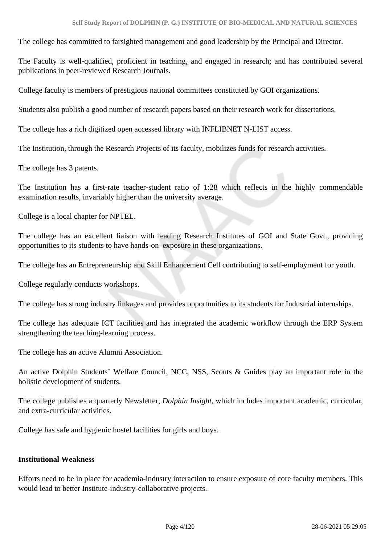The college has committed to farsighted management and good leadership by the Principal and Director.

The Faculty is well-qualified, proficient in teaching, and engaged in research; and has contributed several publications in peer-reviewed Research Journals.

College faculty is members of prestigious national committees constituted by GOI organizations.

Students also publish a good number of research papers based on their research work for dissertations.

The college has a rich digitized open accessed library with INFLIBNET N-LIST access.

The Institution, through the Research Projects of its faculty, mobilizes funds for research activities.

The college has 3 patents.

The Institution has a first-rate teacher-student ratio of 1:28 which reflects in the highly commendable examination results, invariably higher than the university average.

College is a local chapter for NPTEL.

The college has an excellent liaison with leading Research Institutes of GOI and State Govt., providing opportunities to its students to have hands-on–exposure in these organizations.

The college has an Entrepreneurship and Skill Enhancement Cell contributing to self-employment for youth.

College regularly conducts workshops.

The college has strong industry linkages and provides opportunities to its students for Industrial internships.

The college has adequate ICT facilities and has integrated the academic workflow through the ERP System strengthening the teaching-learning process.

The college has an active Alumni Association.

An active Dolphin Students' Welfare Council, NCC, NSS, Scouts & Guides play an important role in the holistic development of students.

The college publishes a quarterly Newsletter, *Dolphin Insight,* which includes important academic, curricular, and extra-curricular activities.

College has safe and hygienic hostel facilities for girls and boys.

#### **Institutional Weakness**

Efforts need to be in place for academia-industry interaction to ensure exposure of core faculty members. This would lead to better Institute-industry-collaborative projects.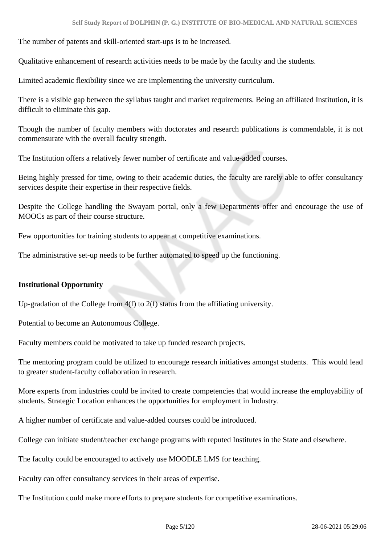The number of patents and skill-oriented start-ups is to be increased.

Qualitative enhancement of research activities needs to be made by the faculty and the students.

Limited academic flexibility since we are implementing the university curriculum.

There is a visible gap between the syllabus taught and market requirements. Being an affiliated Institution, it is difficult to eliminate this gap.

Though the number of faculty members with doctorates and research publications is commendable, it is not commensurate with the overall faculty strength.

The Institution offers a relatively fewer number of certificate and value-added courses.

Being highly pressed for time, owing to their academic duties, the faculty are rarely able to offer consultancy services despite their expertise in their respective fields.

Despite the College handling the Swayam portal, only a few Departments offer and encourage the use of MOOCs as part of their course structure.

Few opportunities for training students to appear at competitive examinations.

The administrative set-up needs to be further automated to speed up the functioning.

#### **Institutional Opportunity**

Up-gradation of the College from 4(f) to 2(f) status from the affiliating university.

Potential to become an Autonomous College.

Faculty members could be motivated to take up funded research projects.

The mentoring program could be utilized to encourage research initiatives amongst students. This would lead to greater student-faculty collaboration in research.

More experts from industries could be invited to create competencies that would increase the employability of students. Strategic Location enhances the opportunities for employment in Industry.

A higher number of certificate and value-added courses could be introduced.

College can initiate student/teacher exchange programs with reputed Institutes in the State and elsewhere.

The faculty could be encouraged to actively use MOODLE LMS for teaching.

Faculty can offer consultancy services in their areas of expertise.

The Institution could make more efforts to prepare students for competitive examinations.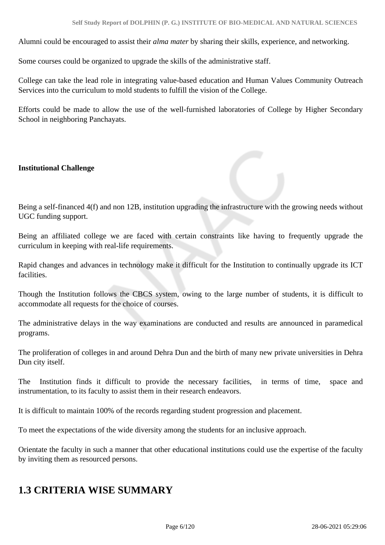Alumni could be encouraged to assist their *alma mater* by sharing their skills, experience, and networking.

Some courses could be organized to upgrade the skills of the administrative staff.

College can take the lead role in integrating value-based education and Human Values Community Outreach Services into the curriculum to mold students to fulfill the vision of the College.

Efforts could be made to allow the use of the well-furnished laboratories of College by Higher Secondary School in neighboring Panchayats.

### **Institutional Challenge**

Being a self-financed 4(f) and non 12B, institution upgrading the infrastructure with the growing needs without UGC funding support.

Being an affiliated college we are faced with certain constraints like having to frequently upgrade the curriculum in keeping with real-life requirements.

Rapid changes and advances in technology make it difficult for the Institution to continually upgrade its ICT facilities.

Though the Institution follows the CBCS system, owing to the large number of students, it is difficult to accommodate all requests for the choice of courses.

The administrative delays in the way examinations are conducted and results are announced in paramedical programs.

The proliferation of colleges in and around Dehra Dun and the birth of many new private universities in Dehra Dun city itself.

The Institution finds it difficult to provide the necessary facilities, in terms of time, space and instrumentation, to its faculty to assist them in their research endeavors.

It is difficult to maintain 100% of the records regarding student progression and placement.

To meet the expectations of the wide diversity among the students for an inclusive approach.

Orientate the faculty in such a manner that other educational institutions could use the expertise of the faculty by inviting them as resourced persons.

# **1.3 CRITERIA WISE SUMMARY**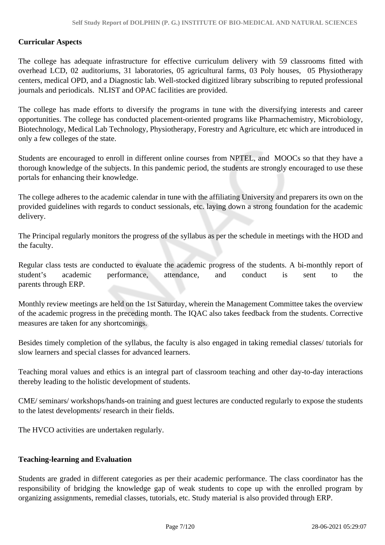### **Curricular Aspects**

The college has adequate infrastructure for effective curriculum delivery with 59 classrooms fitted with overhead LCD, 02 auditoriums, 31 laboratories, 05 agricultural farms, 03 Poly houses, 05 Physiotherapy centers, medical OPD, and a Diagnostic lab. Well-stocked digitized library subscribing to reputed professional journals and periodicals. NLIST and OPAC facilities are provided.

The college has made efforts to diversify the programs in tune with the diversifying interests and career opportunities. The college has conducted placement-oriented programs like Pharmachemistry, Microbiology, Biotechnology, Medical Lab Technology, Physiotherapy, Forestry and Agriculture, etc which are introduced in only a few colleges of the state.

Students are encouraged to enroll in different online courses from NPTEL, and MOOCs so that they have a thorough knowledge of the subjects. In this pandemic period, the students are strongly encouraged to use these portals for enhancing their knowledge.

The college adheres to the academic calendar in tune with the affiliating University and preparers its own on the provided guidelines with regards to conduct sessionals, etc. laying down a strong foundation for the academic delivery.

The Principal regularly monitors the progress of the syllabus as per the schedule in meetings with the HOD and the faculty.

Regular class tests are conducted to evaluate the academic progress of the students. A bi-monthly report of student's academic performance, attendance, and conduct is sent to the parents through ERP.

Monthly review meetings are held on the 1st Saturday, wherein the Management Committee takes the overview of the academic progress in the preceding month. The IQAC also takes feedback from the students. Corrective measures are taken for any shortcomings.

Besides timely completion of the syllabus, the faculty is also engaged in taking remedial classes/ tutorials for slow learners and special classes for advanced learners.

Teaching moral values and ethics is an integral part of classroom teaching and other day-to-day interactions thereby leading to the holistic development of students.

CME/ seminars/ workshops/hands-on training and guest lectures are conducted regularly to expose the students to the latest developments/ research in their fields.

The HVCO activities are undertaken regularly.

#### **Teaching-learning and Evaluation**

Students are graded in different categories as per their academic performance. The class coordinator has the responsibility of bridging the knowledge gap of weak students to cope up with the enrolled program by organizing assignments, remedial classes, tutorials, etc. Study material is also provided through ERP.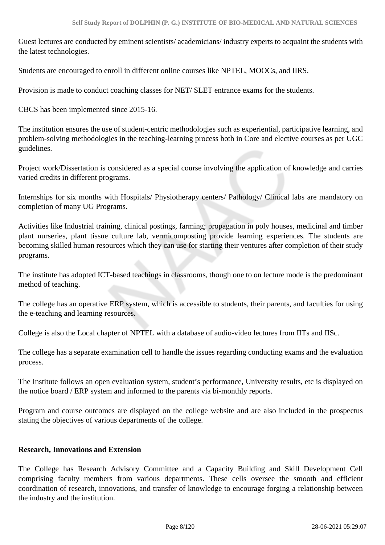Guest lectures are conducted by eminent scientists/ academicians/ industry experts to acquaint the students with the latest technologies.

Students are encouraged to enroll in different online courses like NPTEL, MOOCs, and IIRS.

Provision is made to conduct coaching classes for NET/ SLET entrance exams for the students.

CBCS has been implemented since 2015-16.

The institution ensures the use of student-centric methodologies such as experiential, participative learning, and problem-solving methodologies in the teaching-learning process both in Core and elective courses as per UGC guidelines.

Project work/Dissertation is considered as a special course involving the application of knowledge and carries varied credits in different programs.

Internships for six months with Hospitals/ Physiotherapy centers/ Pathology/ Clinical labs are mandatory on completion of many UG Programs.

Activities like Industrial training, clinical postings, farming; propagation in poly houses, medicinal and timber plant nurseries, plant tissue culture lab, vermicomposting provide learning experiences. The students are becoming skilled human resources which they can use for starting their ventures after completion of their study programs.

The institute has adopted ICT-based teachings in classrooms, though one to on lecture mode is the predominant method of teaching.

The college has an operative ERP system, which is accessible to students, their parents, and faculties for using the e-teaching and learning resources.

College is also the Local chapter of NPTEL with a database of audio-video lectures from IITs and IISc.

The college has a separate examination cell to handle the issues regarding conducting exams and the evaluation process.

The Institute follows an open evaluation system, student's performance, University results, etc is displayed on the notice board / ERP system and informed to the parents via bi-monthly reports.

Program and course outcomes are displayed on the college website and are also included in the prospectus stating the objectives of various departments of the college.

#### **Research, Innovations and Extension**

The College has Research Advisory Committee and a Capacity Building and Skill Development Cell comprising faculty members from various departments. These cells oversee the smooth and efficient coordination of research, innovations, and transfer of knowledge to encourage forging a relationship between the industry and the institution.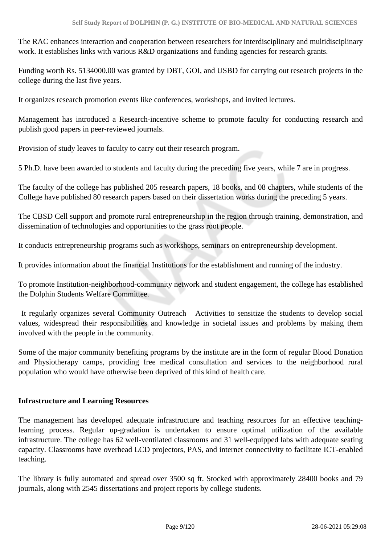The RAC enhances interaction and cooperation between researchers for interdisciplinary and multidisciplinary work. It establishes links with various R&D organizations and funding agencies for research grants.

Funding worth Rs. 5134000.00 was granted by DBT, GOI, and USBD for carrying out research projects in the college during the last five years.

It organizes research promotion events like conferences, workshops, and invited lectures.

Management has introduced a Research-incentive scheme to promote faculty for conducting research and publish good papers in peer-reviewed journals.

Provision of study leaves to faculty to carry out their research program.

5 Ph.D. have been awarded to students and faculty during the preceding five years, while 7 are in progress.

The faculty of the college has published 205 research papers, 18 books, and 08 chapters, while students of the College have published 80 research papers based on their dissertation works during the preceding 5 years.

The CBSD Cell support and promote rural entrepreneurship in the region through training, demonstration, and dissemination of technologies and opportunities to the grass root people.

It conducts entrepreneurship programs such as workshops, seminars on entrepreneurship development.

It provides information about the financial Institutions for the establishment and running of the industry.

To promote Institution-neighborhood-community network and student engagement, the college has established the Dolphin Students Welfare Committee.

 It regularly organizes several Community Outreach Activities to sensitize the students to develop social values, widespread their responsibilities and knowledge in societal issues and problems by making them involved with the people in the community.

Some of the major community benefiting programs by the institute are in the form of regular Blood Donation and Physiotherapy camps, providing free medical consultation and services to the neighborhood rural population who would have otherwise been deprived of this kind of health care.

#### **Infrastructure and Learning Resources**

The management has developed adequate infrastructure and teaching resources for an effective teachinglearning process. Regular up-gradation is undertaken to ensure optimal utilization of the available infrastructure. The college has 62 well-ventilated classrooms and 31 well-equipped labs with adequate seating capacity. Classrooms have overhead LCD projectors, PAS, and internet connectivity to facilitate ICT-enabled teaching.

The library is fully automated and spread over 3500 sq ft. Stocked with approximately 28400 books and 79 journals, along with 2545 dissertations and project reports by college students.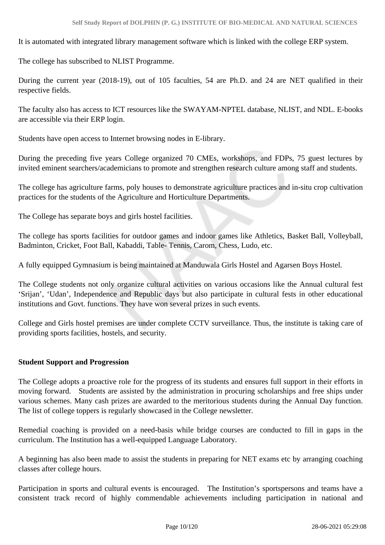It is automated with integrated library management software which is linked with the college ERP system.

The college has subscribed to NLIST Programme.

During the current year (2018-19), out of 105 faculties, 54 are Ph.D. and 24 are NET qualified in their respective fields.

The faculty also has access to ICT resources like the SWAYAM-NPTEL database, NLIST, and NDL. E-books are accessible via their ERP login.

Students have open access to Internet browsing nodes in E-library.

During the preceding five years College organized 70 CMEs, workshops, and FDPs, 75 guest lectures by invited eminent searchers/academicians to promote and strengthen research culture among staff and students.

The college has agriculture farms, poly houses to demonstrate agriculture practices and in-situ crop cultivation practices for the students of the Agriculture and Horticulture Departments.

The College has separate boys and girls hostel facilities.

The college has sports facilities for outdoor games and indoor games like Athletics, Basket Ball, Volleyball, Badminton, Cricket, Foot Ball, Kabaddi, Table- Tennis, Carom, Chess, Ludo, etc.

A fully equipped Gymnasium is being maintained at Manduwala Girls Hostel and Agarsen Boys Hostel.

The College students not only organize cultural activities on various occasions like the Annual cultural fest 'Srijan', 'Udan', Independence and Republic days but also participate in cultural fests in other educational institutions and Govt. functions. They have won several prizes in such events.

College and Girls hostel premises are under complete CCTV surveillance. Thus, the institute is taking care of providing sports facilities, hostels, and security.

#### **Student Support and Progression**

The College adopts a proactive role for the progress of its students and ensures full support in their efforts in moving forward. Students are assisted by the administration in procuring scholarships and free ships under various schemes. Many cash prizes are awarded to the meritorious students during the Annual Day function. The list of college toppers is regularly showcased in the College newsletter.

Remedial coaching is provided on a need-basis while bridge courses are conducted to fill in gaps in the curriculum. The Institution has a well-equipped Language Laboratory.

A beginning has also been made to assist the students in preparing for NET exams etc by arranging coaching classes after college hours.

Participation in sports and cultural events is encouraged. The Institution's sportspersons and teams have a consistent track record of highly commendable achievements including participation in national and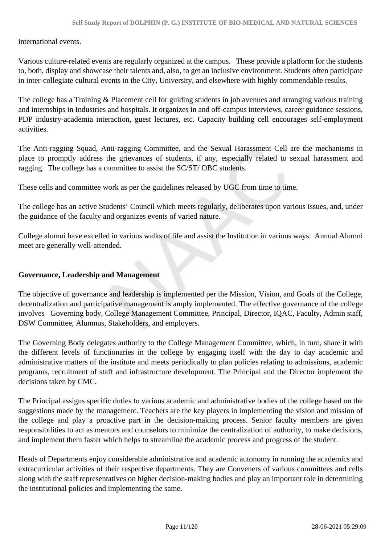international events.

Various culture-related events are regularly organized at the campus. These provide a platform for the students to, both, display and showcase their talents and, also, to get an inclusive environment. Students often participate in inter-collegiate cultural events in the City, University, and elsewhere with highly commendable results.

The college has a Training & Placement cell for guiding students in job avenues and arranging various training and internships in Industries and hospitals. It organizes in and off-campus interviews, career guidance sessions, PDP industry-academia interaction, guest lectures, etc. Capacity building cell encourages self-employment activities.

The Anti-ragging Squad, Anti-ragging Committee, and the Sexual Harassment Cell are the mechanisms in place to promptly address the grievances of students, if any, especially related to sexual harassment and ragging. The college has a committee to assist the SC/ST/ OBC students.

These cells and committee work as per the guidelines released by UGC from time to time.

The college has an active Students' Council which meets regularly, deliberates upon various issues, and, under the guidance of the faculty and organizes events of varied nature.

College alumni have excelled in various walks of life and assist the Institution in various ways. Annual Alumni meet are generally well-attended.

### **Governance, Leadership and Management**

The objective of governance and leadership is implemented per the Mission, Vision, and Goals of the College, decentralization and participative management is amply implemented. The effective governance of the college involves Governing body, College Management Committee, Principal, Director, IQAC, Faculty, Admin staff, DSW Committee, Alumnus, Stakeholders, and employers.

The Governing Body delegates authority to the College Management Committee, which, in turn, share it with the different levels of functionaries in the college by engaging itself with the day to day academic and administrative matters of the institute and meets periodically to plan policies relating to admissions, academic programs, recruitment of staff and infrastructure development. The Principal and the Director implement the decisions taken by CMC.

The Principal assigns specific duties to various academic and administrative bodies of the college based on the suggestions made by the management. Teachers are the key players in implementing the vision and mission of the college and play a proactive part in the decision-making process. Senior faculty members are given responsibilities to act as mentors and counselors to minimize the centralization of authority, to make decisions, and implement them faster which helps to streamline the academic process and progress of the student.

Heads of Departments enjoy considerable administrative and academic autonomy in running the academics and extracurricular activities of their respective departments. They are Conveners of various committees and cells along with the staff representatives on higher decision-making bodies and play an important role in determining the institutional policies and implementing the same.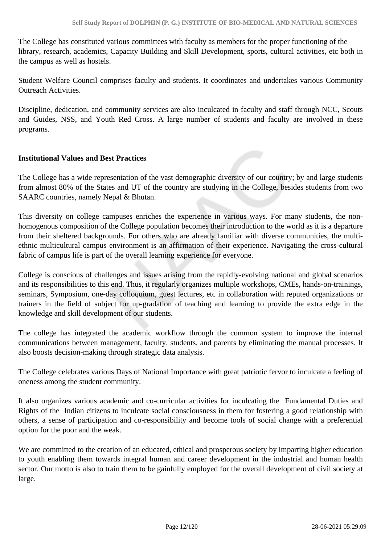The College has constituted various committees with faculty as members for the proper functioning of the library, research, academics, Capacity Building and Skill Development, sports, cultural activities, etc both in the campus as well as hostels.

Student Welfare Council comprises faculty and students. It coordinates and undertakes various Community Outreach Activities.

Discipline, dedication, and community services are also inculcated in faculty and staff through NCC, Scouts and Guides, NSS, and Youth Red Cross. A large number of students and faculty are involved in these programs.

### **Institutional Values and Best Practices**

The College has a wide representation of the vast demographic diversity of our country; by and large students from almost 80% of the States and UT of the country are studying in the College, besides students from two SAARC countries, namely Nepal & Bhutan.

This diversity on college campuses enriches the experience in various ways. For many students, the nonhomogenous composition of the College population becomes their introduction to the world as it is a departure from their sheltered backgrounds. For others who are already familiar with diverse communities, the multiethnic multicultural campus environment is an affirmation of their experience. Navigating the cross-cultural fabric of campus life is part of the overall learning experience for everyone.

College is conscious of challenges and issues arising from the rapidly-evolving national and global scenarios and its responsibilities to this end. Thus, it regularly organizes multiple workshops, CMEs, hands-on-trainings, seminars, Symposium, one-day colloquium, guest lectures, etc in collaboration with reputed organizations or trainers in the field of subject for up-gradation of teaching and learning to provide the extra edge in the knowledge and skill development of our students.

The college has integrated the academic workflow through the common system to improve the internal communications between management, faculty, students, and parents by eliminating the manual processes. It also boosts decision-making through strategic data analysis.

The College celebrates various Days of National Importance with great patriotic fervor to inculcate a feeling of oneness among the student community.

It also organizes various academic and co-curricular activities for inculcating the Fundamental Duties and Rights of the Indian citizens to inculcate social consciousness in them for fostering a good relationship with others, a sense of participation and co-responsibility and become tools of social change with a preferential option for the poor and the weak.

We are committed to the creation of an educated, ethical and prosperous society by imparting higher education to youth enabling them towards integral human and career development in the industrial and human health sector. Our motto is also to train them to be gainfully employed for the overall development of civil society at large.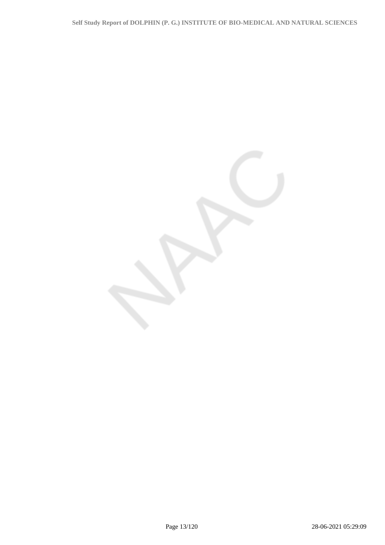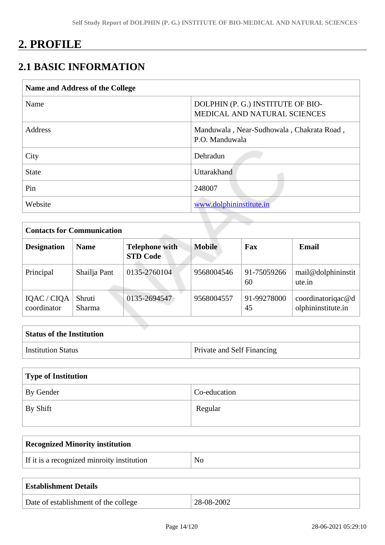# **2. PROFILE**

# **2.1 BASIC INFORMATION**

| Name and Address of the College |                                                                          |
|---------------------------------|--------------------------------------------------------------------------|
| Name                            | DOLPHIN (P. G.) INSTITUTE OF BIO-<br><b>MEDICAL AND NATURAL SCIENCES</b> |
| Address                         | Manduwala, Near-Sudhowala, Chakrata Road,<br>P.O. Manduwala              |
| City                            | Dehradun                                                                 |
| <b>State</b>                    | Uttarakhand                                                              |
| Pin                             | 248007                                                                   |
| Website                         | www.dolphininstitute.in                                                  |

| <b>Contacts for Communication</b> |                         |                                          |               |                   |                                         |
|-----------------------------------|-------------------------|------------------------------------------|---------------|-------------------|-----------------------------------------|
| <b>Designation</b>                | <b>Name</b>             | <b>Telephone with</b><br><b>STD Code</b> | <b>Mobile</b> | Fax               | <b>Email</b>                            |
| Principal                         | Shailja Pant            | 0135-2760104                             | 9568004546    | 91-75059266<br>60 | mail@dolphininstit<br>ute.in            |
| IQAC / CIQA<br>coordinator        | Shruti<br><b>Sharma</b> | 0135-2694547                             | 9568004557    | 91-99278000<br>45 | coordinatoriqac@d<br>olphininstitute.in |

| <b>Status of the Institution</b> |                                   |
|----------------------------------|-----------------------------------|
| <sup>†</sup> Institution Status  | <b>Private and Self Financing</b> |

| Type of Institution |              |
|---------------------|--------------|
| By Gender           | Co-education |
| $\perp$ By Shift    | Regular      |

| <b>Recognized Minority institution</b>     |    |  |
|--------------------------------------------|----|--|
| If it is a recognized minroity institution | No |  |
|                                            |    |  |

| <b>Establishment Details</b>         |              |
|--------------------------------------|--------------|
| Date of establishment of the college | $28-08-2002$ |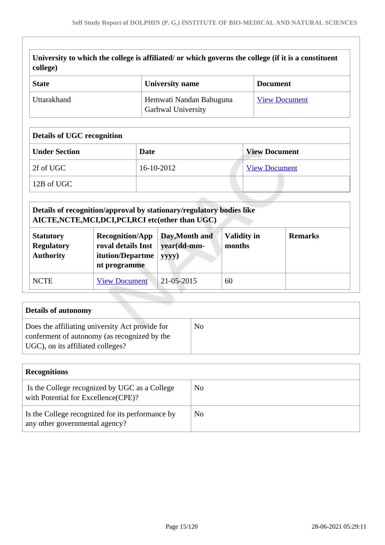| University to which the college is affiliated/ or which governs the college (if it is a constituent<br>  college) |  |
|-------------------------------------------------------------------------------------------------------------------|--|
|                                                                                                                   |  |

| <b>State</b> | University name                                      | <b>Document</b>      |
|--------------|------------------------------------------------------|----------------------|
| Uttarakhand  | Hemwati Nandan Bahuguna<br><b>Garhwal University</b> | <b>View Document</b> |

### **Details of UGC recognition**

| <b>Under Section</b> | <b>Date</b> | <b>View Document</b> |
|----------------------|-------------|----------------------|
| 2f of UGC            | 16-10-2012  | <b>View Document</b> |
| 12B of UGC           |             |                      |

|                                                           | Details of recognition/approval by stationary/regulatory bodies like<br>AICTE, NCTE, MCI, DCI, PCI, RCI etc(other than UGC) |                                        |                              |                |
|-----------------------------------------------------------|-----------------------------------------------------------------------------------------------------------------------------|----------------------------------------|------------------------------|----------------|
| <b>Statutory</b><br><b>Regulatory</b><br><b>Authority</b> | <b>Recognition/App</b><br>roval details Inst<br>itution/Departme<br>nt programme                                            | Day, Month and<br>year(dd-mm-<br>yyyy) | <b>Validity in</b><br>months | <b>Remarks</b> |
| <b>NCTE</b>                                               | <b>View Document</b>                                                                                                        | 21-05-2015                             | 60                           |                |

| Details of autonomy                                                                                                                  |    |
|--------------------------------------------------------------------------------------------------------------------------------------|----|
| Does the affiliating university Act provide for<br>conferment of autonomy (as recognized by the<br>UGC), on its affiliated colleges? | No |

| <b>Recognitions</b>                                                                   |     |
|---------------------------------------------------------------------------------------|-----|
| Is the College recognized by UGC as a College<br>with Potential for Excellence (CPE)? | No  |
| Is the College recognized for its performance by<br>any other governmental agency?    | No. |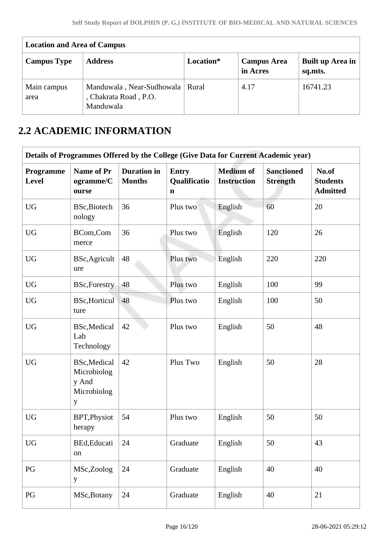| <b>Location and Area of Campus</b> |                                                                 |           |                                |                             |  |  |  |  |  |  |
|------------------------------------|-----------------------------------------------------------------|-----------|--------------------------------|-----------------------------|--|--|--|--|--|--|
| <b>Campus Type</b>                 | <b>Address</b>                                                  | Location* | <b>Campus Area</b><br>in Acres | Built up Area in<br>sq.mts. |  |  |  |  |  |  |
| Main campus<br>area                | Manduwala, Near-Sudhowala<br>, Chakrata Road, P.O.<br>Manduwala | Rural     | 4.17                           | 16741.23                    |  |  |  |  |  |  |

# **2.2 ACADEMIC INFORMATION**

|                        | Details of Programmes Offered by the College (Give Data for Current Academic year) |                                     |                                             |                                        |                                      |                                             |
|------------------------|------------------------------------------------------------------------------------|-------------------------------------|---------------------------------------------|----------------------------------------|--------------------------------------|---------------------------------------------|
| Programme<br>Level     | <b>Name of Pr</b><br>ogramme/C<br>ourse                                            | <b>Duration</b> in<br><b>Months</b> | <b>Entry</b><br>Qualificatio<br>$\mathbf n$ | <b>Medium of</b><br><b>Instruction</b> | <b>Sanctioned</b><br><b>Strength</b> | No.of<br><b>Students</b><br><b>Admitted</b> |
| <b>UG</b>              | BSc, Biotech<br>nology                                                             | 36                                  | Plus two                                    | English                                | 60                                   | 20                                          |
| <b>UG</b>              | BCom,Com<br>merce                                                                  | 36                                  | Plus two                                    | English                                | 120                                  | 26                                          |
| <b>UG</b>              | BSc, Agricult<br>ure                                                               | 48                                  | Plus two                                    | English                                | 220                                  | 220                                         |
| <b>UG</b>              | <b>BSc, Forestry</b>                                                               | 48                                  | Plus two                                    | English                                | 100                                  | 99                                          |
| <b>UG</b>              | <b>BSc, Horticul</b><br>ture                                                       | 48                                  | Plus two                                    | English                                | 100                                  | 50                                          |
| <b>UG</b>              | <b>BSc, Medical</b><br>Lab<br>Technology                                           | 42                                  | Plus two                                    | English                                | 50                                   | 48                                          |
| <b>UG</b>              | <b>BSc, Medical</b><br>Microbiolog<br>y And<br>Microbiolog<br>y                    | 42                                  | Plus Two                                    | English                                | 50                                   | 28                                          |
| <b>UG</b>              | BPT, Physiot<br>herapy                                                             | 54                                  | Plus two                                    | English                                | 50                                   | 50                                          |
| <b>UG</b>              | BEd, Educati<br>on                                                                 | 24                                  | Graduate                                    | English                                | 50                                   | 43                                          |
| $\mathbb{P}\mathbb{G}$ | MSc,Zoolog<br>y                                                                    | 24                                  | Graduate                                    | English                                | 40                                   | 40                                          |
| PG                     | MSc, Botany                                                                        | 24                                  | Graduate                                    | English                                | 40                                   | 21                                          |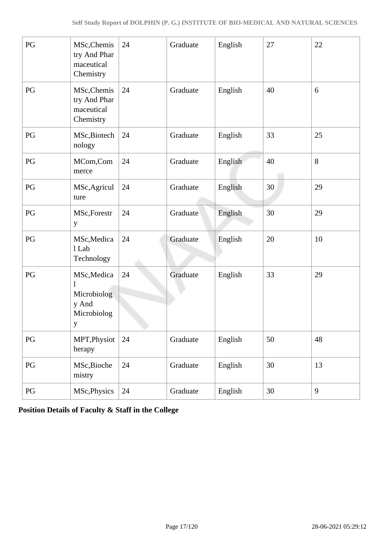| PG | MSc, Chemis<br>try And Phar<br>maceutical<br>Chemistry                  | 24 | Graduate | English | 27 | 22 |
|----|-------------------------------------------------------------------------|----|----------|---------|----|----|
| PG | MSc, Chemis<br>try And Phar<br>maceutical<br>Chemistry                  | 24 | Graduate | English | 40 | 6  |
| PG | MSc, Biotech<br>nology                                                  | 24 | Graduate | English | 33 | 25 |
| PG | MCom,Com<br>merce                                                       | 24 | Graduate | English | 40 | 8  |
| PG | MSc, Agricul<br>ture                                                    | 24 | Graduate | English | 30 | 29 |
| PG | MSc, Forestr<br>y                                                       | 24 | Graduate | English | 30 | 29 |
| PG | MSc, Medica<br>1 Lab<br>Technology                                      | 24 | Graduate | English | 20 | 10 |
| PG | MSc, Medica<br>1<br>Microbiolog<br>y And<br>Microbiolog<br>$\mathbf{y}$ | 24 | Graduate | English | 33 | 29 |
| PG | MPT, Physiot<br>herapy                                                  | 24 | Graduate | English | 50 | 48 |
| PG | MSc, Bioche<br>mistry                                                   | 24 | Graduate | English | 30 | 13 |
| PG | MSc, Physics                                                            | 24 | Graduate | English | 30 | 9  |

**Position Details of Faculty & Staff in the College**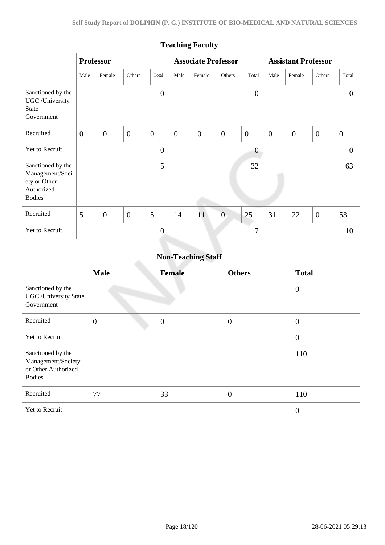| <b>Teaching Faculty</b>                                                             |                  |                  |                |                |                  |                            |                |                |                            |                |                |                  |
|-------------------------------------------------------------------------------------|------------------|------------------|----------------|----------------|------------------|----------------------------|----------------|----------------|----------------------------|----------------|----------------|------------------|
|                                                                                     |                  | <b>Professor</b> |                |                |                  | <b>Associate Professor</b> |                |                | <b>Assistant Professor</b> |                |                |                  |
|                                                                                     | Male             | Female           | Others         | Total          | Male             | Female                     | Others         | Total          | Male                       | Female         | Others         | Total            |
| Sanctioned by the<br>UGC /University<br>State<br>Government                         |                  |                  |                | $\overline{0}$ |                  |                            |                | $\overline{0}$ |                            |                |                | $\overline{0}$   |
| Recruited                                                                           | $\boldsymbol{0}$ | $\overline{0}$   | $\overline{0}$ | $\mathbf{0}$   | $\boldsymbol{0}$ | $\overline{0}$             | $\overline{0}$ | $\overline{0}$ | $\boldsymbol{0}$           | $\overline{0}$ | $\overline{0}$ | $\boldsymbol{0}$ |
| Yet to Recruit                                                                      |                  |                  |                | $\overline{0}$ |                  |                            |                | $\overline{0}$ |                            |                |                | $\Omega$         |
| Sanctioned by the<br>Management/Soci<br>ety or Other<br>Authorized<br><b>Bodies</b> |                  |                  |                | 5              |                  |                            |                | 32             |                            |                |                | 63               |
| Recruited                                                                           | 5                | $\overline{0}$   | $\mathbf{0}$   | 5              | 14               | 11                         | $\overline{0}$ | 25             | 31                         | 22             | $\overline{0}$ | 53               |
| Yet to Recruit                                                                      |                  |                  |                | $\theta$       |                  |                            |                | 7              |                            |                |                | 10               |
|                                                                                     |                  |                  |                |                |                  |                            |                |                |                            |                |                |                  |

|                                                                                 | <b>Non-Teaching Staff</b> |               |                  |                  |  |  |  |  |  |  |  |
|---------------------------------------------------------------------------------|---------------------------|---------------|------------------|------------------|--|--|--|--|--|--|--|
|                                                                                 | <b>Male</b>               | <b>Female</b> | <b>Others</b>    | <b>Total</b>     |  |  |  |  |  |  |  |
| Sanctioned by the<br><b>UGC</b> / University State<br>Government                |                           |               |                  | $\overline{0}$   |  |  |  |  |  |  |  |
| Recruited                                                                       | $\overline{0}$            | $\mathbf{0}$  | $\boldsymbol{0}$ | $\mathbf{0}$     |  |  |  |  |  |  |  |
| <b>Yet to Recruit</b>                                                           |                           |               |                  | $\boldsymbol{0}$ |  |  |  |  |  |  |  |
| Sanctioned by the<br>Management/Society<br>or Other Authorized<br><b>Bodies</b> |                           |               |                  | 110              |  |  |  |  |  |  |  |
| Recruited                                                                       | 77                        | 33            | $\overline{0}$   | 110              |  |  |  |  |  |  |  |
| Yet to Recruit                                                                  |                           |               |                  | $\overline{0}$   |  |  |  |  |  |  |  |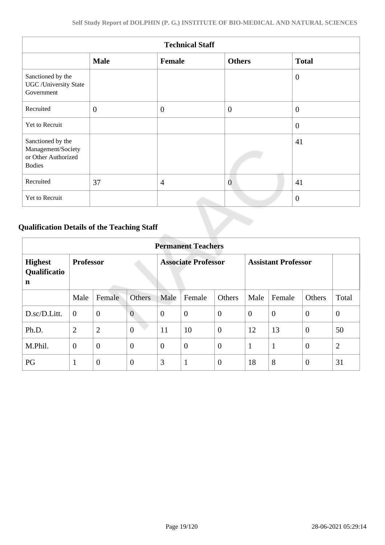| <b>Technical Staff</b>                                                          |              |                |                |                |  |  |  |  |  |  |
|---------------------------------------------------------------------------------|--------------|----------------|----------------|----------------|--|--|--|--|--|--|
|                                                                                 | <b>Male</b>  | Female         | <b>Others</b>  | <b>Total</b>   |  |  |  |  |  |  |
| Sanctioned by the<br><b>UGC</b> / University State<br>Government                |              |                |                | $\theta$       |  |  |  |  |  |  |
| Recruited                                                                       | $\mathbf{0}$ | $\overline{0}$ | $\mathbf{0}$   | $\theta$       |  |  |  |  |  |  |
| Yet to Recruit                                                                  |              |                |                | $\theta$       |  |  |  |  |  |  |
| Sanctioned by the<br>Management/Society<br>or Other Authorized<br><b>Bodies</b> |              |                |                | 41             |  |  |  |  |  |  |
| Recruited                                                                       | 37           | $\overline{4}$ | $\overline{0}$ | 41             |  |  |  |  |  |  |
| Yet to Recruit                                                                  |              |                |                | $\overline{0}$ |  |  |  |  |  |  |

# **Qualification Details of the Teaching Staff**

|                                     | <b>Permanent Teachers</b> |                |                |                |                            |                |                |                            |                |                |  |  |
|-------------------------------------|---------------------------|----------------|----------------|----------------|----------------------------|----------------|----------------|----------------------------|----------------|----------------|--|--|
| <b>Highest</b><br>Qualificatio<br>n | <b>Professor</b>          |                |                |                | <b>Associate Professor</b> |                |                | <b>Assistant Professor</b> |                |                |  |  |
|                                     | Male                      | Female         | <b>Others</b>  | Male           | Female                     | Others         | Male           | Female                     | Others         | Total          |  |  |
| D.sc/D.Litt.                        | $\overline{0}$            | $\mathbf{0}$   | $\overline{0}$ | $\theta$       | $\overline{0}$             | $\theta$       | $\overline{0}$ | $\theta$                   | $\overline{0}$ | $\overline{0}$ |  |  |
| Ph.D.                               | $\overline{2}$            | $\overline{2}$ | $\overline{0}$ | 11             | 10                         | $\overline{0}$ | 12             | 13                         | $\overline{0}$ | 50             |  |  |
| M.Phil.                             | $\overline{0}$            | $\overline{0}$ | $\overline{0}$ | $\overline{0}$ | $\overline{0}$             | $\overline{0}$ | 1              | $\mathbf{1}$               | $\overline{0}$ | $\overline{2}$ |  |  |
| PG                                  | 1<br>$\bf{I}$             | $\overline{0}$ | $\overline{0}$ | 3              | $\mathbf{1}$               | $\overline{0}$ | 18             | 8                          | $\overline{0}$ | 31             |  |  |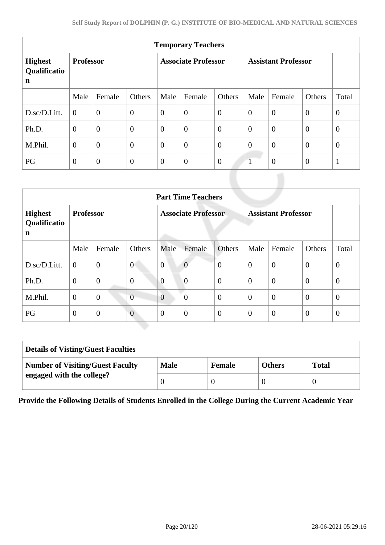| <b>Temporary Teachers</b>           |                  |                  |                  |                            |                |                |                            |                |                |                |  |
|-------------------------------------|------------------|------------------|------------------|----------------------------|----------------|----------------|----------------------------|----------------|----------------|----------------|--|
| <b>Highest</b><br>Qualificatio<br>n | <b>Professor</b> |                  |                  | <b>Associate Professor</b> |                |                | <b>Assistant Professor</b> |                |                |                |  |
|                                     | Male             | Female           | Others           | Male                       | Female         | Others         | Male                       | Female         | Others         | Total          |  |
| D.sc/D.Litt.                        | $\overline{0}$   | $\boldsymbol{0}$ | $\mathbf{0}$     | $\theta$                   | $\overline{0}$ | $\theta$       | $\boldsymbol{0}$           | $\theta$       | $\overline{0}$ | $\theta$       |  |
| Ph.D.                               | $\theta$         | $\overline{0}$   | $\boldsymbol{0}$ | $\theta$                   | $\overline{0}$ | $\theta$       | $\theta$                   | $\overline{0}$ | $\theta$       | $\overline{0}$ |  |
| M.Phil.                             | $\overline{0}$   | $\overline{0}$   | $\boldsymbol{0}$ | $\theta$                   | $\theta$       | $\theta$       | $\overline{0}$             | $\theta$       | $\theta$       | $\overline{0}$ |  |
| PG                                  | $\overline{0}$   | $\overline{0}$   | $\mathbf{0}$     | $\mathbf{0}$               | $\theta$       | $\overline{0}$ | $\mathbf{1}$               | $\theta$       | $\theta$       | $\mathbf 1$    |  |

|                                     | <b>Part Time Teachers</b> |                |                  |                            |                |                  |                            |                |                |              |  |  |
|-------------------------------------|---------------------------|----------------|------------------|----------------------------|----------------|------------------|----------------------------|----------------|----------------|--------------|--|--|
| <b>Highest</b><br>Qualificatio<br>n | <b>Professor</b>          |                |                  | <b>Associate Professor</b> |                |                  | <b>Assistant Professor</b> |                |                |              |  |  |
|                                     | Male                      | Female         | Others           | Male                       | Female         | Others           | Male                       | Female         | Others         | Total        |  |  |
| D.sc/D.Litt.                        | $\overline{0}$            | $\overline{0}$ | $\overline{0}$   | $\overline{0}$             | $\overline{0}$ | $\boldsymbol{0}$ | $\overline{0}$             | $\overline{0}$ | $\overline{0}$ | $\mathbf{0}$ |  |  |
| Ph.D.                               | $\mathbf{0}$              | $\overline{0}$ | $\boldsymbol{0}$ | $\overline{0}$             | $\overline{0}$ | $\overline{0}$   | $\overline{0}$             | $\overline{0}$ | $\overline{0}$ | $\theta$     |  |  |
| M.Phil.                             | $\theta$                  | $\overline{0}$ | $\overline{0}$   | $\overline{0}$             | $\overline{0}$ | $\overline{0}$   | $\theta$                   | $\overline{0}$ | $\overline{0}$ | $\theta$     |  |  |
| PG                                  | $\theta$                  | $\mathbf{0}$   | $\overline{0}$   | $\theta$                   | $\overline{0}$ | $\overline{0}$   | $\boldsymbol{0}$           | $\overline{0}$ | $\theta$       | $\theta$     |  |  |

| <b>Details of Visting/Guest Faculties</b> |             |               |               |              |  |  |  |  |  |
|-------------------------------------------|-------------|---------------|---------------|--------------|--|--|--|--|--|
| <b>Number of Visiting/Guest Faculty</b>   | <b>Male</b> | <b>Female</b> | <b>Others</b> | <b>Total</b> |  |  |  |  |  |
| engaged with the college?                 |             |               |               |              |  |  |  |  |  |

**Provide the Following Details of Students Enrolled in the College During the Current Academic Year**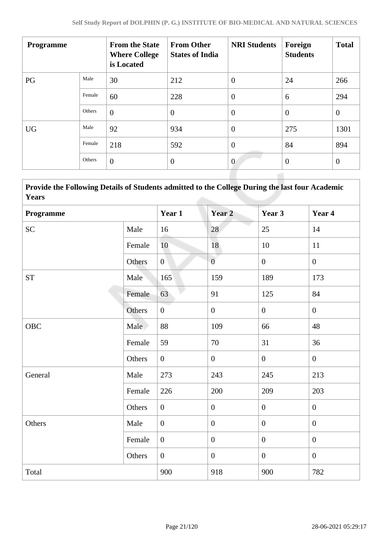| <b>Programme</b> |        | <b>From the State</b><br><b>Where College</b><br>is Located | <b>From Other</b><br><b>States of India</b> | <b>NRI Students</b> | Foreign<br><b>Students</b> | <b>Total</b>   |
|------------------|--------|-------------------------------------------------------------|---------------------------------------------|---------------------|----------------------------|----------------|
| PG               | Male   | 30                                                          | 212                                         | $\overline{0}$      | 24                         | 266            |
|                  | Female | 60                                                          | 228                                         | $\overline{0}$      | 6                          | 294            |
|                  | Others | $\mathbf{0}$                                                | $\overline{0}$                              | $\overline{0}$      | $\overline{0}$             | $\overline{0}$ |
| <b>UG</b>        | Male   | 92                                                          | 934                                         | $\overline{0}$      | 275                        | 1301           |
|                  | Female | 218                                                         | 592                                         | $\overline{0}$      | 84                         | 894            |
|                  | Others | $\overline{0}$                                              | $\overline{0}$                              | $\overline{0}$      | $\overline{0}$             | $\overline{0}$ |

 **Provide the Following Details of Students admitted to the College During the last four Academic Years**

| <b>Programme</b>   |        | Year 1         | Year 2           | Year 3         | Year 4           |
|--------------------|--------|----------------|------------------|----------------|------------------|
| <b>SC</b>          | Male   | 16             | 28               | 25             | 14               |
|                    | Female | 10             | 18               | 10             | $11\,$           |
|                    | Others | $\overline{0}$ | $\overline{0}$   | $\overline{0}$ | $\boldsymbol{0}$ |
| ${\cal S}{\cal T}$ | Male   | 165            | 159              | 189            | 173              |
|                    | Female | 63             | 91               | 125            | 84               |
|                    | Others | $\overline{0}$ | $\mathbf{0}$     | $\overline{0}$ | $\mathbf{0}$     |
| OBC                | Male   | 88             | 109              | 66             | $\sqrt{48}$      |
|                    | Female | 59             | 70               | 31             | 36               |
|                    | Others | $\overline{0}$ | $\mathbf{0}$     | $\overline{0}$ | $\boldsymbol{0}$ |
| General            | Male   | 273            | 243              | 245            | 213              |
|                    | Female | 226            | 200              | 209            | 203              |
|                    | Others | $\overline{0}$ | $\overline{0}$   | $\overline{0}$ | $\overline{0}$   |
| Others             | Male   | $\overline{0}$ | $\boldsymbol{0}$ | $\overline{0}$ | $\mathbf{0}$     |
|                    | Female | $\overline{0}$ | $\boldsymbol{0}$ | $\overline{0}$ | $\overline{0}$   |
|                    | Others | $\overline{0}$ | $\boldsymbol{0}$ | $\overline{0}$ | $\boldsymbol{0}$ |
| Total              |        | 900            | 918              | 900            | 782              |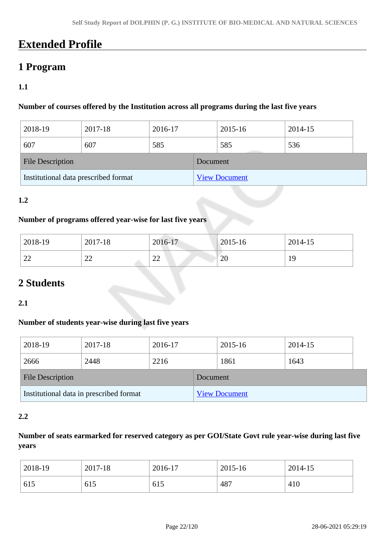# **Extended Profile**

# **1 Program**

# **1.1**

### **Number of courses offered by the Institution across all programs during the last five years**

| 2018-19                              | 2017-18 | 2016-17  |                      | 2015-16 | 2014-15 |  |
|--------------------------------------|---------|----------|----------------------|---------|---------|--|
| 607                                  | 607     | 585      |                      | 585     | 536     |  |
| <b>File Description</b>              |         | Document |                      |         |         |  |
| Institutional data prescribed format |         |          | <b>View Document</b> |         |         |  |

## **1.2**

### **Number of programs offered year-wise for last five years**

| 2018-19 | 2017-18 | 2016-17      | $2015 - 16$ | 2014-15 |
|---------|---------|--------------|-------------|---------|
| ാ<br>∠∠ | ົ<br>∠∠ | $\cap$<br>∠∠ | 20          | 19      |

# **2 Students**

### **2.1**

### **Number of students year-wise during last five years**

| 2018-19                                 | 2017-18 | 2016-17  |                      | 2015-16 | 2014-15 |
|-----------------------------------------|---------|----------|----------------------|---------|---------|
| 2666                                    | 2448    | 2216     |                      | 1861    | 1643    |
| <b>File Description</b>                 |         | Document |                      |         |         |
| Institutional data in prescribed format |         |          | <b>View Document</b> |         |         |

### **2.2**

# **Number of seats earmarked for reserved category as per GOI/State Govt rule year-wise during last five years**

| 2018-19 | 2017-18 | 2016-17 | 2015-16 | 2014-15 |
|---------|---------|---------|---------|---------|
| 615     | 615     | 615     | 487     | 410     |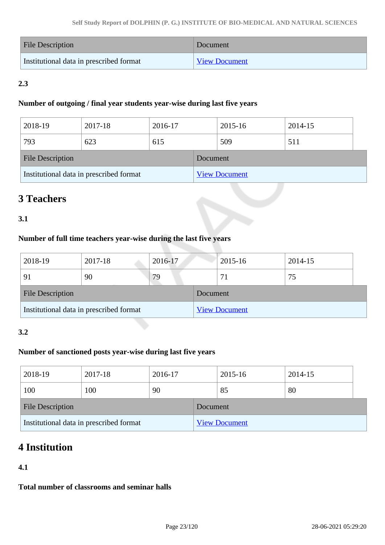| File Description                        | Document             |
|-----------------------------------------|----------------------|
| Institutional data in prescribed format | <b>View Document</b> |

# **2.3**

### **Number of outgoing / final year students year-wise during last five years**

| 2018-19                                 | 2017-18 | 2016-17  |                      | 2015-16 | 2014-15 |  |
|-----------------------------------------|---------|----------|----------------------|---------|---------|--|
| 793                                     | 623     | 615      |                      | 509     | 511     |  |
| <b>File Description</b>                 |         | Document |                      |         |         |  |
| Institutional data in prescribed format |         |          | <b>View Document</b> |         |         |  |

# **3 Teachers**

# **3.1**

## **Number of full time teachers year-wise during the last five years**

| 2018-19                                 | 2017-18 | 2016-17  |                      | 2015-16 | 2014-15 |  |
|-----------------------------------------|---------|----------|----------------------|---------|---------|--|
| 91                                      | 90      | 79       |                      | 71      | 75      |  |
| <b>File Description</b>                 |         | Document |                      |         |         |  |
| Institutional data in prescribed format |         |          | <b>View Document</b> |         |         |  |

## **3.2**

## **Number of sanctioned posts year-wise during last five years**

| 2018-19                                 | 2017-18 | 2016-17  |                      | 2015-16 | 2014-15 |  |
|-----------------------------------------|---------|----------|----------------------|---------|---------|--|
| 100                                     | 100     | 90       |                      | 85      | 80      |  |
| <b>File Description</b>                 |         | Document |                      |         |         |  |
| Institutional data in prescribed format |         |          | <b>View Document</b> |         |         |  |

# **4 Institution**

## **4.1**

**Total number of classrooms and seminar halls**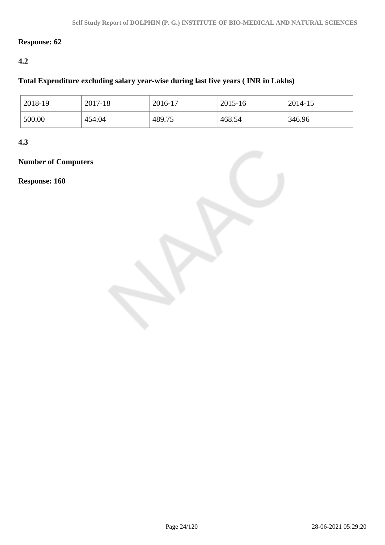# **Response: 62**

## **4.2**

### **Total Expenditure excluding salary year-wise during last five years ( INR in Lakhs)**

| 2018-19 | 2017-18 | 2016-17 | 2015-16 | 2014-15 |
|---------|---------|---------|---------|---------|
| 500.00  | 454.04  | 489.75  | 468.54  | 346.96  |

**4.3**

# **Number of Computers**

**Response: 160**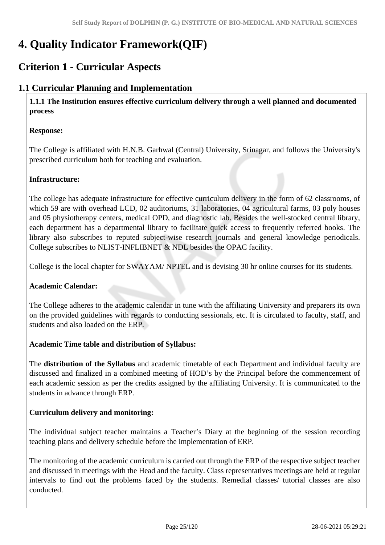# **4. Quality Indicator Framework(QIF)**

# **Criterion 1 - Curricular Aspects**

# **1.1 Curricular Planning and Implementation**

 **1.1.1 The Institution ensures effective curriculum delivery through a well planned and documented process**

### **Response:**

The College is affiliated with H.N.B. Garhwal (Central) University, Srinagar, and follows the University's prescribed curriculum both for teaching and evaluation.

## **Infrastructure:**

The college has adequate infrastructure for effective curriculum delivery in the form of 62 classrooms, of which 59 are with overhead LCD, 02 auditoriums, 31 laboratories, 04 agricultural farms, 03 poly houses and 05 physiotherapy centers, medical OPD, and diagnostic lab. Besides the well-stocked central library, each department has a departmental library to facilitate quick access to frequently referred books. The library also subscribes to reputed subject-wise research journals and general knowledge periodicals. College subscribes to NLIST-INFLIBNET & NDL besides the OPAC facility.

College is the local chapter for SWAYAM/ NPTEL and is devising 30 hr online courses for its students.

## **Academic Calendar:**

The College adheres to the academic calendar in tune with the affiliating University and preparers its own on the provided guidelines with regards to conducting sessionals, etc. It is circulated to faculty, staff, and students and also loaded on the ERP.

## **Academic Time table and distribution of Syllabus:**

The **distribution of the Syllabus** and academic timetable of each Department and individual faculty are discussed and finalized in a combined meeting of HOD's by the Principal before the commencement of each academic session as per the credits assigned by the affiliating University. It is communicated to the students in advance through ERP.

## **Curriculum delivery and monitoring:**

The individual subject teacher maintains a Teacher's Diary at the beginning of the session recording teaching plans and delivery schedule before the implementation of ERP.

The monitoring of the academic curriculum is carried out through the ERP of the respective subject teacher and discussed in meetings with the Head and the faculty. Class representatives meetings are held at regular intervals to find out the problems faced by the students. Remedial classes/ tutorial classes are also conducted.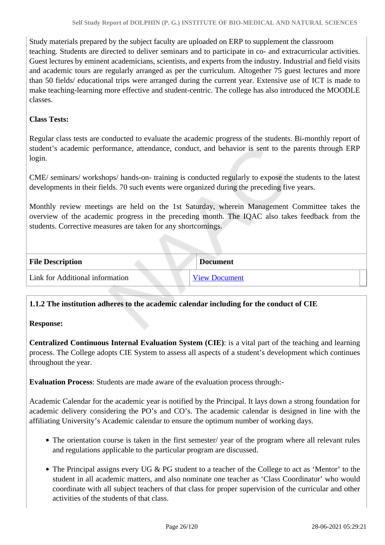Study materials prepared by the subject faculty are uploaded on ERP to supplement the classroom teaching. Students are directed to deliver seminars and to participate in co- and extracurricular activities. Guest lectures by eminent academicians, scientists, and experts from the industry. Industrial and field visits and academic tours are regularly arranged as per the curriculum. Altogether 75 guest lectures and more than 50 fields/ educational trips were arranged during the current year. Extensive use of ICT is made to make teaching-learning more effective and student-centric. The college has also introduced the MOODLE classes.

### **Class Tests:**

Regular class tests are conducted to evaluate the academic progress of the students. Bi-monthly report of student's academic performance, attendance, conduct, and behavior is sent to the parents through ERP login.

CME/ seminars/ workshops/ hands-on- training is conducted regularly to expose the students to the latest developments in their fields. 70 such events were organized during the preceding five years.

Monthly review meetings are held on the 1st Saturday, wherein Management Committee takes the overview of the academic progress in the preceding month. The IQAC also takes feedback from the students. Corrective measures are taken for any shortcomings.

| <b>File Description</b>         | <b>Document</b> |
|---------------------------------|-----------------|
| Link for Additional information | View Document   |

### **1.1.2 The institution adheres to the academic calendar including for the conduct of CIE**

### **Response:**

**Centralized Continuous Internal Evaluation System (CIE)**: is a vital part of the teaching and learning process. The College adopts CIE System to assess all aspects of a student's development which continues throughout the year.

**Evaluation Process**: Students are made aware of the evaluation process through:-

Academic Calendar for the academic year is notified by the Principal. It lays down a strong foundation for academic delivery considering the PO's and CO's. The academic calendar is designed in line with the affiliating University's Academic calendar to ensure the optimum number of working days.

- The orientation course is taken in the first semester/ year of the program where all relevant rules and regulations applicable to the particular program are discussed.
- The Principal assigns every UG & PG student to a teacher of the College to act as 'Mentor' to the student in all academic matters, and also nominate one teacher as 'Class Coordinator' who would coordinate with all subject teachers of that class for proper supervision of the curricular and other activities of the students of that class.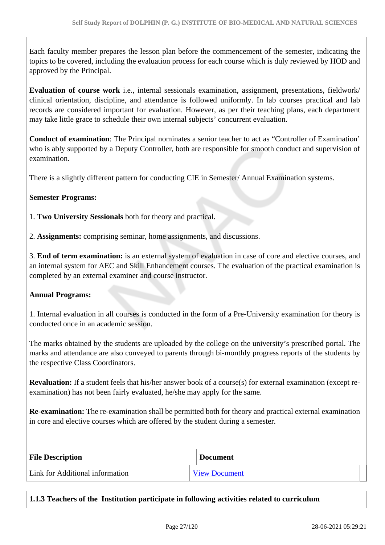Each faculty member prepares the lesson plan before the commencement of the semester, indicating the topics to be covered, including the evaluation process for each course which is duly reviewed by HOD and approved by the Principal.

**Evaluation of course work** i.e., internal sessionals examination, assignment, presentations, fieldwork/ clinical orientation, discipline, and attendance is followed uniformly. In lab courses practical and lab records are considered important for evaluation. However, as per their teaching plans, each department may take little grace to schedule their own internal subjects' concurrent evaluation.

**Conduct of examination**: The Principal nominates a senior teacher to act as "Controller of Examination' who is ably supported by a Deputy Controller, both are responsible for smooth conduct and supervision of examination.

There is a slightly different pattern for conducting CIE in Semester/ Annual Examination systems.

### **Semester Programs:**

1. **Two University Sessionals** both for theory and practical.

2. **Assignments:** comprising seminar, home assignments, and discussions.

3. **End of term examination:** is an external system of evaluation in case of core and elective courses, and an internal system for AEC and Skill Enhancement courses. The evaluation of the practical examination is completed by an external examiner and course instructor.

### **Annual Programs:**

1. Internal evaluation in all courses is conducted in the form of a Pre-University examination for theory is conducted once in an academic session.

The marks obtained by the students are uploaded by the college on the university's prescribed portal. The marks and attendance are also conveyed to parents through bi-monthly progress reports of the students by the respective Class Coordinators.

**Revaluation:** If a student feels that his/her answer book of a course(s) for external examination (except reexamination) has not been fairly evaluated, he/she may apply for the same.

**Re-examination:** The re-examination shall be permitted both for theory and practical external examination in core and elective courses which are offered by the student during a semester.

| <b>File Description</b>         | <b>Document</b>      |
|---------------------------------|----------------------|
| Link for Additional information | <b>View Document</b> |

**1.1.3 Teachers of the Institution participate in following activities related to curriculum**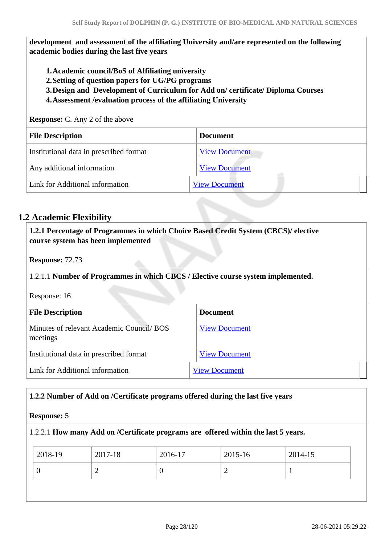**development and assessment of the affiliating University and/are represented on the following academic bodies during the last five years** 

**1.Academic council/BoS of Affiliating university**

**2.Setting of question papers for UG/PG programs** 

**3.Design and Development of Curriculum for Add on/ certificate/ Diploma Courses** 

**4.Assessment /evaluation process of the affiliating University**

**Response:** C. Any 2 of the above

| <b>File Description</b>                 | <b>Document</b>      |
|-----------------------------------------|----------------------|
| Institutional data in prescribed format | <b>View Document</b> |
| Any additional information              | <b>View Document</b> |
| Link for Additional information         | <b>View Document</b> |

# **1.2 Academic Flexibility**

 **1.2.1 Percentage of Programmes in which Choice Based Credit System (CBCS)/ elective course system has been implemented** 

**Response:** 72.73

1.2.1.1 **Number of Programmes in which CBCS / Elective course system implemented.**

Response: 16

| <b>File Description</b>                               | <b>Document</b>      |
|-------------------------------------------------------|----------------------|
| Minutes of relevant Academic Council/ BOS<br>meetings | <b>View Document</b> |
| Institutional data in prescribed format               | <b>View Document</b> |
| Link for Additional information                       | <b>View Document</b> |

#### **1.2.2 Number of Add on /Certificate programs offered during the last five years**

#### **Response:** 5

#### 1.2.2.1 **How many Add on /Certificate programs are offered within the last 5 years.**

| 2018-19 | 2017-18 | 2016-17 | 2015-16 | 2014-15 |
|---------|---------|---------|---------|---------|
| ν       | -       | ν       | ∽       |         |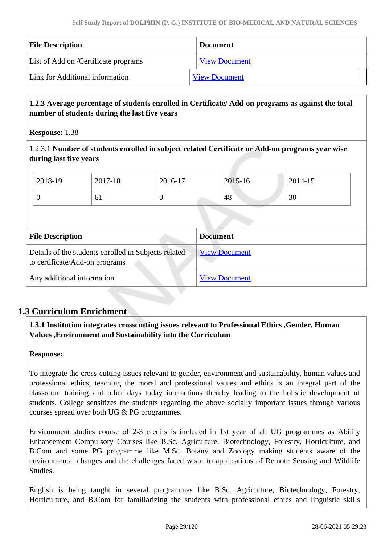| <b>File Description</b>              | <b>Document</b>      |
|--------------------------------------|----------------------|
| List of Add on /Certificate programs | <b>View Document</b> |
| Link for Additional information      | <b>View Document</b> |

### **1.2.3 Average percentage of students enrolled in Certificate/ Add-on programs as against the total number of students during the last five years**

**Response:** 1.38

1.2.3.1 **Number of students enrolled in subject related Certificate or Add-on programs year wise during last five years**

| 2018-19 | 2017-18 | 2016-17 | 2015-16 | 2014-15 |
|---------|---------|---------|---------|---------|
| ີ       | 01      | ◡       | 48      | 30      |

| <b>File Description</b>                                                                | <b>Document</b>      |
|----------------------------------------------------------------------------------------|----------------------|
| Details of the students enrolled in Subjects related<br>to certificate/Add-on programs | <b>View Document</b> |
| Any additional information                                                             | <b>View Document</b> |

# **1.3 Curriculum Enrichment**

## **1.3.1 Institution integrates crosscutting issues relevant to Professional Ethics ,Gender, Human Values ,Environment and Sustainability into the Curriculum**

### **Response:**

To integrate the cross-cutting issues relevant to gender, environment and sustainability, human values and professional ethics, teaching the moral and professional values and ethics is an integral part of the classroom training and other days today interactions thereby leading to the holistic development of students. College sensitizes the students regarding the above socially important issues through various courses spread over both UG & PG programmes.

Environment studies course of 2-3 credits is included in 1st year of all UG programmes as Ability Enhancement Compulsory Courses like B.Sc. Agriculture, Biotechnology, Forestry, Horticulture, and B.Com and some PG programme like M.Sc. Botany and Zoology making students aware of the environmental changes and the challenges faced w.s.r. to applications of Remote Sensing and Wildlife Studies.

English is being taught in several programmes like B.Sc. Agriculture, Biotechnology, Forestry, Horticulture, and B.Com for familiarizing the students with professional ethics and linguistic skills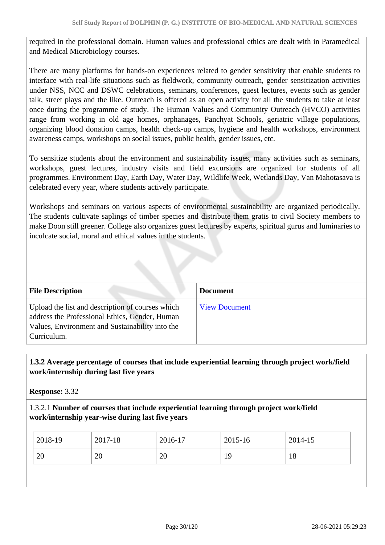required in the professional domain. Human values and professional ethics are dealt with in Paramedical and Medical Microbiology courses.

There are many platforms for hands-on experiences related to gender sensitivity that enable students to interface with real-life situations such as fieldwork, community outreach, gender sensitization activities under NSS, NCC and DSWC celebrations, seminars, conferences, guest lectures, events such as gender talk, street plays and the like. Outreach is offered as an open activity for all the students to take at least once during the programme of study. The Human Values and Community Outreach (HVCO) activities range from working in old age homes, orphanages, Panchyat Schools, geriatric village populations, organizing blood donation camps, health check-up camps, hygiene and health workshops, environment awareness camps, workshops on social issues, public health, gender issues, etc.

To sensitize students about the environment and sustainability issues, many activities such as seminars, workshops, guest lectures, industry visits and field excursions are organized for students of all programmes. Environment Day, Earth Day, Water Day, Wildlife Week, Wetlands Day, Van Mahotasava is celebrated every year, where students actively participate.

Workshops and seminars on various aspects of environmental sustainability are organized periodically. The students cultivate saplings of timber species and distribute them gratis to civil Society members to make Doon still greener. College also organizes guest lectures by experts, spiritual gurus and luminaries to inculcate social, moral and ethical values in the students.

| <b>File Description</b>                                                                                                                                              | <b>Document</b>      |
|----------------------------------------------------------------------------------------------------------------------------------------------------------------------|----------------------|
| Upload the list and description of courses which<br>address the Professional Ethics, Gender, Human<br>Values, Environment and Sustainability into the<br>Curriculum. | <b>View Document</b> |

### **1.3.2 Average percentage of courses that include experiential learning through project work/field work/internship during last five years**

**Response:** 3.32

### 1.3.2.1 **Number of courses that include experiential learning through project work/field work/internship year-wise during last five years**

| $\frac{1}{2018}$ -19 | 2017-18 | 2016-17 | 2015-16 | 2014-15 |
|----------------------|---------|---------|---------|---------|
| 20<br>20             |         | 20      | 19      | 18      |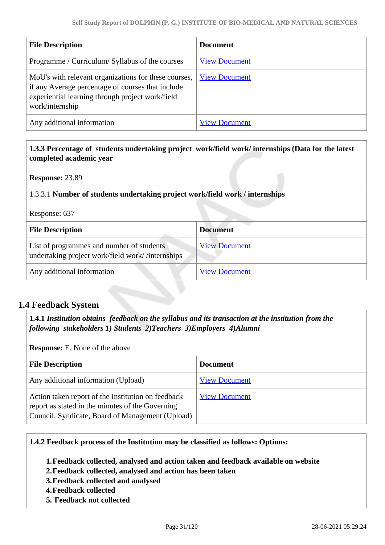| <b>File Description</b>                                                                                                                                                          | <b>Document</b>      |
|----------------------------------------------------------------------------------------------------------------------------------------------------------------------------------|----------------------|
| Programme / Curriculum/ Syllabus of the courses                                                                                                                                  | <b>View Document</b> |
| MoU's with relevant organizations for these courses,<br>if any Average percentage of courses that include<br>experiential learning through project work/field<br>work/internship | <b>View Document</b> |
| Any additional information                                                                                                                                                       | <b>View Document</b> |

 **1.3.3 Percentage of students undertaking project work/field work/ internships (Data for the latest completed academic year**

**Response:** 23.89

### 1.3.3.1 **Number of students undertaking project work/field work / internships**

Response: 637

| <b>File Description</b>                                                                       | <b>Document</b>      |
|-----------------------------------------------------------------------------------------------|----------------------|
| List of programmes and number of students<br>undertaking project work/field work//internships | <b>View Document</b> |
| Any additional information                                                                    | <b>View Document</b> |

## **1.4 Feedback System**

 **1.4.1** *Institution obtains feedback on the syllabus and its transaction at the institution from the following stakeholders 1) Students 2)Teachers 3)Employers 4)Alumni* 

**Response:** E. None of the above

| <b>File Description</b>                                                                                                                                    | <b>Document</b>      |
|------------------------------------------------------------------------------------------------------------------------------------------------------------|----------------------|
| Any additional information (Upload)                                                                                                                        | <b>View Document</b> |
| Action taken report of the Institution on feedback<br>report as stated in the minutes of the Governing<br>Council, Syndicate, Board of Management (Upload) | <b>View Document</b> |

#### **1.4.2 Feedback process of the Institution may be classified as follows: Options:**

**1.Feedback collected, analysed and action taken and feedback available on website**

- **2.Feedback collected, analysed and action has been taken**
- **3.Feedback collected and analysed**
- **4.Feedback collected**
- **5. Feedback not collected**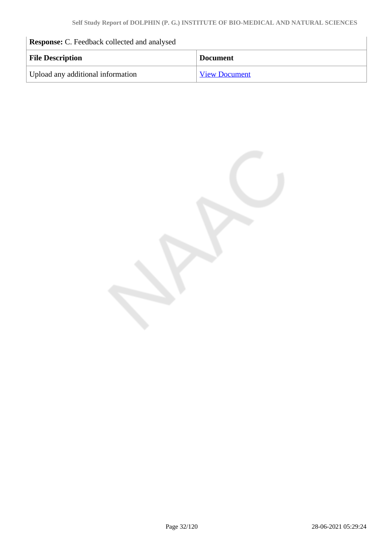| <b>Response:</b> C. Feedback collected and analysed |  |  |  |  |  |  |
|-----------------------------------------------------|--|--|--|--|--|--|
|-----------------------------------------------------|--|--|--|--|--|--|

| <b>File Description</b>           | <b>Document</b>      |  |  |
|-----------------------------------|----------------------|--|--|
| Upload any additional information | <b>View Document</b> |  |  |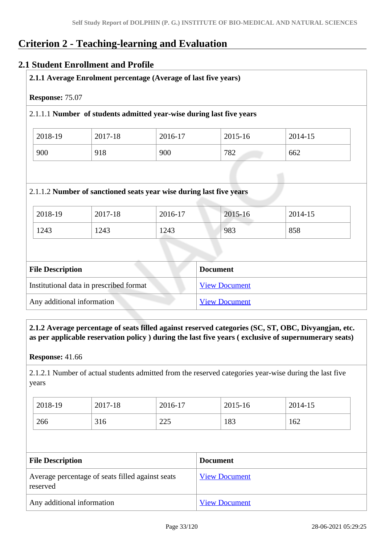# **Criterion 2 - Teaching-learning and Evaluation**

# **2.1 Student Enrollment and Profile**

| Response: 75.07         |         | 2.1.1.1 Number of students admitted year-wise during last five years |                 |         |
|-------------------------|---------|----------------------------------------------------------------------|-----------------|---------|
| 2018-19                 | 2017-18 | 2016-17                                                              | 2015-16         | 2014-15 |
| 900                     | 918     | 900                                                                  | 782             | 662     |
|                         |         | 2.1.1.2 Number of sanctioned seats year wise during last five years  |                 |         |
| 2018-19                 | 2017-18 | 2016-17                                                              | 2015-16         | 2014-15 |
| 1243                    | 1243    | 1243                                                                 | 983             | 858     |
|                         |         |                                                                      |                 |         |
| <b>File Description</b> |         |                                                                      | <b>Document</b> |         |

| motivational quantum presento ed format | $\cdots$ |
|-----------------------------------------|----------|
| Any additional information              |          |
|                                         |          |

 **2.1.2 Average percentage of seats filled against reserved categories (SC, ST, OBC, Divyangjan, etc. as per applicable reservation policy ) during the last five years ( exclusive of supernumerary seats)**

**Response:** 41.66

2.1.2.1 Number of actual students admitted from the reserved categories year-wise during the last five years

| 2018-19 | 2017-18 | 2016-17 | 2015-16 | 2014-15 |
|---------|---------|---------|---------|---------|
| 266     | 316     | 225     | 183     | 162     |

| <b>File Description</b>                                      | <b>Document</b>      |
|--------------------------------------------------------------|----------------------|
| Average percentage of seats filled against seats<br>reserved | <b>View Document</b> |
| Any additional information                                   | <b>View Document</b> |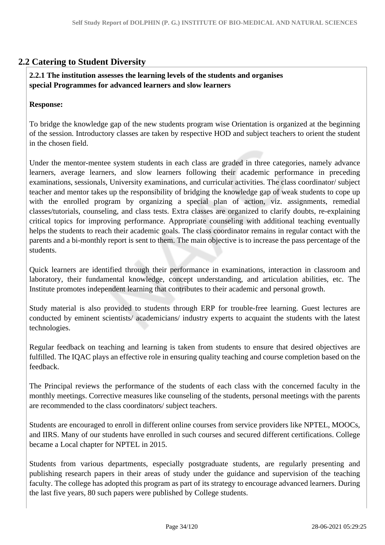# **2.2 Catering to Student Diversity**

### **2.2.1 The institution assesses the learning levels of the students and organises special Programmes for advanced learners and slow learners**

### **Response:**

To bridge the knowledge gap of the new students program wise Orientation is organized at the beginning of the session. Introductory classes are taken by respective HOD and subject teachers to orient the student in the chosen field.

Under the mentor-mentee system students in each class are graded in three categories, namely advance learners, average learners, and slow learners following their academic performance in preceding examinations, sessionals, University examinations, and curricular activities. The class coordinator/ subject teacher and mentor takes up the responsibility of bridging the knowledge gap of weak students to cope up with the enrolled program by organizing a special plan of action, viz. assignments, remedial classes/tutorials, counseling, and class tests. Extra classes are organized to clarify doubts, re-explaining critical topics for improving performance. Appropriate counseling with additional teaching eventually helps the students to reach their academic goals. The class coordinator remains in regular contact with the parents and a bi-monthly report is sent to them. The main objective is to increase the pass percentage of the students.

Quick learners are identified through their performance in examinations, interaction in classroom and laboratory, their fundamental knowledge, concept understanding, and articulation abilities, etc. The Institute promotes independent learning that contributes to their academic and personal growth.

Study material is also provided to students through ERP for trouble-free learning. Guest lectures are conducted by eminent scientists/ academicians/ industry experts to acquaint the students with the latest technologies.

Regular feedback on teaching and learning is taken from students to ensure that desired objectives are fulfilled. The IQAC plays an effective role in ensuring quality teaching and course completion based on the feedback.

The Principal reviews the performance of the students of each class with the concerned faculty in the monthly meetings. Corrective measures like counseling of the students, personal meetings with the parents are recommended to the class coordinators/ subject teachers.

Students are encouraged to enroll in different online courses from service providers like NPTEL, MOOCs, and IIRS. Many of our students have enrolled in such courses and secured different certifications. College became a Local chapter for NPTEL in 2015.

Students from various departments, especially postgraduate students, are regularly presenting and publishing research papers in their areas of study under the guidance and supervision of the teaching faculty. The college has adopted this program as part of its strategy to encourage advanced learners. During the last five years, 80 such papers were published by College students.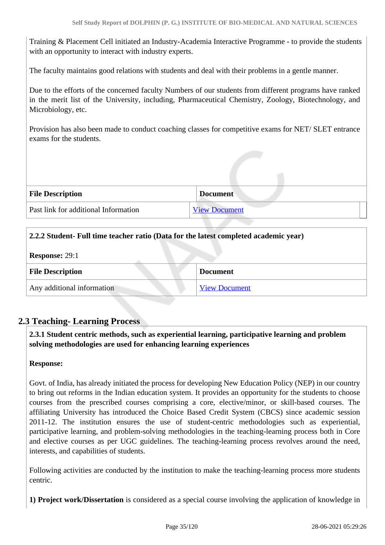Training & Placement Cell initiated an Industry-Academia Interactive Programme - to provide the students with an opportunity to interact with industry experts.

The faculty maintains good relations with students and deal with their problems in a gentle manner.

Due to the efforts of the concerned faculty Numbers of our students from different programs have ranked in the merit list of the University, including, Pharmaceutical Chemistry, Zoology, Biotechnology, and Microbiology, etc.

Provision has also been made to conduct coaching classes for competitive exams for NET/ SLET entrance exams for the students.

| <b>File Description</b>              | <b>Document</b>      |
|--------------------------------------|----------------------|
| Past link for additional Information | <b>View Document</b> |

### **2.2.2 Student- Full time teacher ratio (Data for the latest completed academic year)**

**Response:** 29:1

| <b>File Description</b>    | <b>Document</b>      |
|----------------------------|----------------------|
| Any additional information | <b>View Document</b> |

## **2.3 Teaching- Learning Process**

 **2.3.1 Student centric methods, such as experiential learning, participative learning and problem solving methodologies are used for enhancing learning experiences**

### **Response:**

Govt. of India, has already initiated the process for developing New Education Policy (NEP) in our country to bring out reforms in the Indian education system. It provides an opportunity for the students to choose courses from the prescribed courses comprising a core, elective/minor, or skill-based courses. The affiliating University has introduced the Choice Based Credit System (CBCS) since academic session 2011-12. The institution ensures the use of student-centric methodologies such as experiential, participative learning, and problem-solving methodologies in the teaching-learning process both in Core and elective courses as per UGC guidelines. The teaching-learning process revolves around the need, interests, and capabilities of students.

Following activities are conducted by the institution to make the teaching-learning process more students centric.

**1) Project work/Dissertation** is considered as a special course involving the application of knowledge in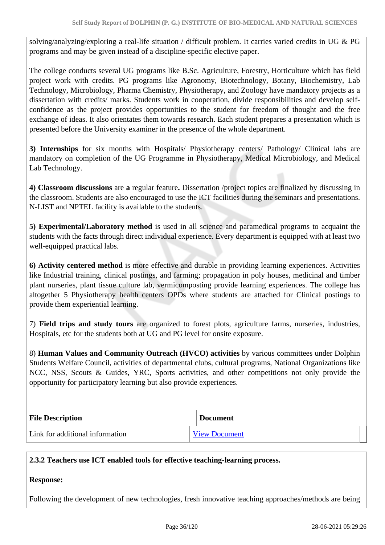solving/analyzing/exploring a real-life situation / difficult problem. It carries varied credits in UG & PG programs and may be given instead of a discipline-specific elective paper.

The college conducts several UG programs like B.Sc. Agriculture, Forestry, Horticulture which has field project work with credits. PG programs like Agronomy, Biotechnology, Botany, Biochemistry, Lab Technology, Microbiology, Pharma Chemistry, Physiotherapy, and Zoology have mandatory projects as a dissertation with credits/ marks. Students work in cooperation, divide responsibilities and develop selfconfidence as the project provides opportunities to the student for freedom of thought and the free exchange of ideas. It also orientates them towards research. Each student prepares a presentation which is presented before the University examiner in the presence of the whole department.

**3) Internships** for six months with Hospitals/ Physiotherapy centers/ Pathology/ Clinical labs are mandatory on completion of the UG Programme in Physiotherapy, Medical Microbiology, and Medical Lab Technology.

**4) Classroom discussions** are **a** regular feature**.** Dissertation /project topics are finalized by discussing in the classroom. Students are also encouraged to use the ICT facilities during the seminars and presentations. N-LIST and NPTEL facility is available to the students.

**5) Experimental/Laboratory method** is used in all science and paramedical programs to acquaint the students with the facts through direct individual experience. Every department is equipped with at least two well-equipped practical labs.

**6) Activity centered method** is more effective and durable in providing learning experiences. Activities like Industrial training, clinical postings, and farming; propagation in poly houses, medicinal and timber plant nurseries, plant tissue culture lab, vermicomposting provide learning experiences. The college has altogether 5 Physiotherapy health centers OPDs where students are attached for Clinical postings to provide them experiential learning.

7) **Field trips and study tours** are organized to forest plots, agriculture farms, nurseries, industries, Hospitals, etc for the students both at UG and PG level for onsite exposure.

8) **Human Values and Community Outreach (HVCO) activities** by various committees under Dolphin Students Welfare Council, activities of departmental clubs, cultural programs, National Organizations like NCC, NSS, Scouts & Guides, YRC, Sports activities, and other competitions not only provide the opportunity for participatory learning but also provide experiences.

| <b>File Description</b>         | <b>Document</b>      |
|---------------------------------|----------------------|
| Link for additional information | <b>View Document</b> |

### **2.3.2 Teachers use ICT enabled tools for effective teaching-learning process.**

### **Response:**

Following the development of new technologies, fresh innovative teaching approaches/methods are being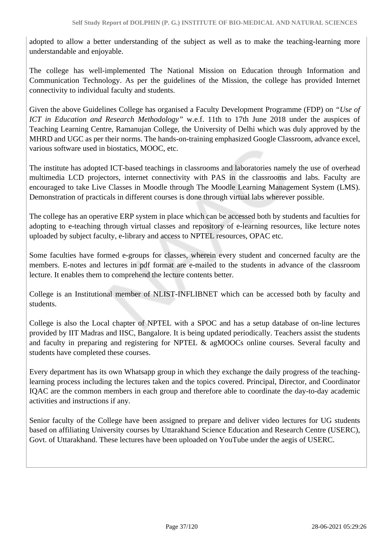adopted to allow a better understanding of the subject as well as to make the teaching-learning more understandable and enjoyable.

The college has well-implemented The National Mission on Education through Information and Communication Technology. As per the guidelines of the Mission, the college has provided Internet connectivity to individual faculty and students.

Given the above Guidelines College has organised a Faculty Development Programme (FDP) on *"Use of ICT in Education and Research Methodology"* w.e.f. 11th to 17th June 2018 under the auspices of Teaching Learning Centre, Ramanujan College, the University of Delhi which was duly approved by the MHRD and UGC as per their norms. The hands-on-training emphasized Google Classroom, advance excel, various software used in biostatics, MOOC, etc.

The institute has adopted ICT-based teachings in classrooms and laboratories namely the use of overhead multimedia LCD projectors, internet connectivity with PAS in the classrooms and labs. Faculty are encouraged to take Live Classes in Moodle through The Moodle Learning Management System (LMS). Demonstration of practicals in different courses is done through virtual labs wherever possible.

The college has an operative ERP system in place which can be accessed both by students and faculties for adopting to e-teaching through virtual classes and repository of e-learning resources, like lecture notes uploaded by subject faculty, e-library and access to NPTEL resources, OPAC etc.

Some faculties have formed e-groups for classes, wherein every student and concerned faculty are the members. E-notes and lectures in pdf format are e-mailed to the students in advance of the classroom lecture. It enables them to comprehend the lecture contents better.

College is an Institutional member of NLIST-INFLIBNET which can be accessed both by faculty and students.

College is also the Local chapter of NPTEL with a SPOC and has a setup database of on-line lectures provided by IIT Madras and IISC, Bangalore. It is being updated periodically. Teachers assist the students and faculty in preparing and registering for NPTEL & agMOOCs online courses. Several faculty and students have completed these courses.

Every department has its own Whatsapp group in which they exchange the daily progress of the teachinglearning process including the lectures taken and the topics covered. Principal, Director, and Coordinator IQAC are the common members in each group and therefore able to coordinate the day-to-day academic activities and instructions if any.

Senior faculty of the College have been assigned to prepare and deliver video lectures for UG students based on affiliating University courses by Uttarakhand Science Education and Research Centre (USERC), Govt. of Uttarakhand. These lectures have been uploaded on YouTube under the aegis of USERC.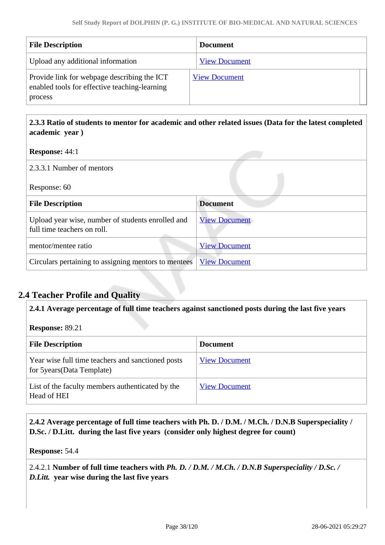| <b>File Description</b>                                                                                 | <b>Document</b>      |
|---------------------------------------------------------------------------------------------------------|----------------------|
| Upload any additional information                                                                       | <b>View Document</b> |
| Provide link for webpage describing the ICT<br>enabled tools for effective teaching-learning<br>process | <b>View Document</b> |

#### **2.3.3 Ratio of students to mentor for academic and other related issues (Data for the latest completed academic year )**

| <b>Response: 44:1</b>                                                            |                      |
|----------------------------------------------------------------------------------|----------------------|
| 2.3.3.1 Number of mentors                                                        |                      |
| Response: 60                                                                     |                      |
| <b>File Description</b>                                                          | <b>Document</b>      |
| Upload year wise, number of students enrolled and<br>full time teachers on roll. | <b>View Document</b> |
| mentor/mentee ratio                                                              | <b>View Document</b> |
| Circulars pertaining to assigning mentors to mentees                             | <b>View Document</b> |

# **2.4 Teacher Profile and Quality**

**2.4.1 Average percentage of full time teachers against sanctioned posts during the last five years**

#### **Response:** 89.21

| <b>File Description</b>                                                          | <b>Document</b>      |
|----------------------------------------------------------------------------------|----------------------|
| Year wise full time teachers and sanctioned posts<br>for 5 years (Data Template) | <b>View Document</b> |
| List of the faculty members authenticated by the<br>Head of HEI                  | <b>View Document</b> |

## **2.4.2 Average percentage of full time teachers with Ph. D. / D.M. / M.Ch. / D.N.B Superspeciality / D.Sc. / D.Litt. during the last five years (consider only highest degree for count)**

**Response:** 54.4

2.4.2.1 **Number of full time teachers with** *Ph. D. / D.M. / M.Ch. / D.N.B Superspeciality / D.Sc. / D.Litt.* **year wise during the last five years**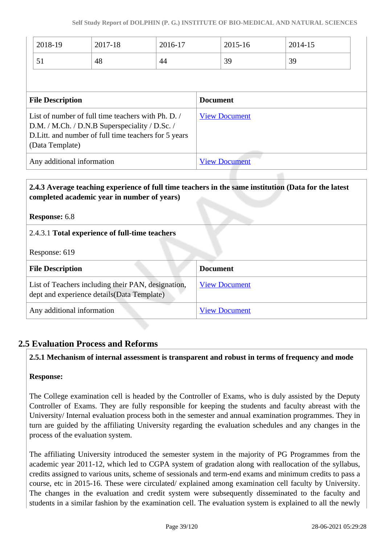|                                                                                                                                                                                  | 2018-19                 | 2017-18 | 2016-17              |                 | 2015-16 | 2014-15 |  |
|----------------------------------------------------------------------------------------------------------------------------------------------------------------------------------|-------------------------|---------|----------------------|-----------------|---------|---------|--|
|                                                                                                                                                                                  | 51                      | 48      | 44                   |                 | 39      | 39      |  |
|                                                                                                                                                                                  |                         |         |                      |                 |         |         |  |
|                                                                                                                                                                                  | <b>File Description</b> |         |                      | <b>Document</b> |         |         |  |
| List of number of full time teachers with Ph. D. /<br>D.M. / M.Ch. / D.N.B Superspeciality / D.Sc. /<br>D. Litt. and number of full time teachers for 5 years<br>(Data Template) |                         |         | <b>View Document</b> |                 |         |         |  |
| Any additional information                                                                                                                                                       |                         |         | <b>View Document</b> |                 |         |         |  |

# **2.4.3 Average teaching experience of full time teachers in the same institution (Data for the latest completed academic year in number of years)**

**Response:** 6.8

| TTCD POIDO . OIO                                                                                  |                      |
|---------------------------------------------------------------------------------------------------|----------------------|
| 2.4.3.1 Total experience of full-time teachers                                                    |                      |
| Response: 619                                                                                     |                      |
| <b>File Description</b>                                                                           | <b>Document</b>      |
| List of Teachers including their PAN, designation,<br>dept and experience details (Data Template) | <b>View Document</b> |
| Any additional information                                                                        | <b>View Document</b> |

# **2.5 Evaluation Process and Reforms**

## **2.5.1 Mechanism of internal assessment is transparent and robust in terms of frequency and mode**

## **Response:**

The College examination cell is headed by the Controller of Exams, who is duly assisted by the Deputy Controller of Exams. They are fully responsible for keeping the students and faculty abreast with the University/ Internal evaluation process both in the semester and annual examination programmes. They in turn are guided by the affiliating University regarding the evaluation schedules and any changes in the process of the evaluation system.

The affiliating University introduced the semester system in the majority of PG Programmes from the academic year 2011-12, which led to CGPA system of gradation along with reallocation of the syllabus, credits assigned to various units, scheme of sessionals and term-end exams and minimum credits to pass a course, etc in 2015-16. These were circulated/ explained among examination cell faculty by University. The changes in the evaluation and credit system were subsequently disseminated to the faculty and students in a similar fashion by the examination cell. The evaluation system is explained to all the newly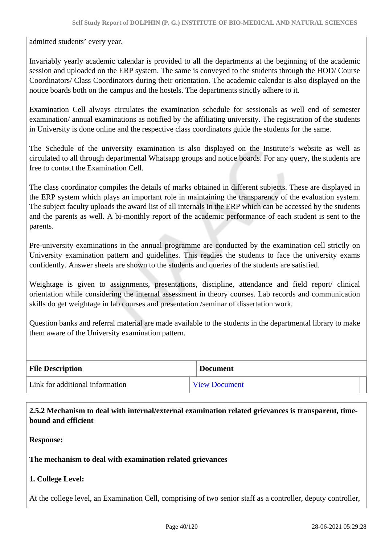admitted students' every year.

Invariably yearly academic calendar is provided to all the departments at the beginning of the academic session and uploaded on the ERP system. The same is conveyed to the students through the HOD/ Course Coordinators/ Class Coordinators during their orientation. The academic calendar is also displayed on the notice boards both on the campus and the hostels. The departments strictly adhere to it.

Examination Cell always circulates the examination schedule for sessionals as well end of semester examination/ annual examinations as notified by the affiliating university. The registration of the students in University is done online and the respective class coordinators guide the students for the same.

The Schedule of the university examination is also displayed on the Institute's website as well as circulated to all through departmental Whatsapp groups and notice boards. For any query, the students are free to contact the Examination Cell.

The class coordinator compiles the details of marks obtained in different subjects. These are displayed in the ERP system which plays an important role in maintaining the transparency of the evaluation system. The subject faculty uploads the award list of all internals in the ERP which can be accessed by the students and the parents as well. A bi-monthly report of the academic performance of each student is sent to the parents.

Pre-university examinations in the annual programme are conducted by the examination cell strictly on University examination pattern and guidelines. This readies the students to face the university exams confidently. Answer sheets are shown to the students and queries of the students are satisfied.

Weightage is given to assignments, presentations, discipline, attendance and field report/ clinical orientation while considering the internal assessment in theory courses. Lab records and communication skills do get weightage in lab courses and presentation /seminar of dissertation work.

Question banks and referral material are made available to the students in the departmental library to make them aware of the University examination pattern.

| <b>File Description</b>         | <b>Document</b>      |
|---------------------------------|----------------------|
| Link for additional information | <b>View Document</b> |

 **2.5.2 Mechanism to deal with internal/external examination related grievances is transparent, timebound and efficient** 

**Response:** 

**The mechanism to deal with examination related grievances**

**1. College Level:**

At the college level, an Examination Cell, comprising of two senior staff as a controller, deputy controller,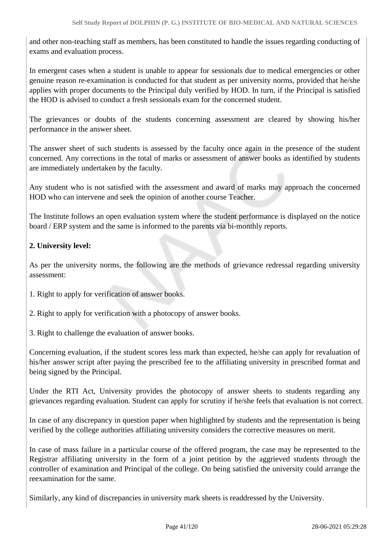and other non-teaching staff as members, has been constituted to handle the issues regarding conducting of exams and evaluation process.

In emergent cases when a student is unable to appear for sessionals due to medical emergencies or other genuine reason re-examination is conducted for that student as per university norms, provided that he/she applies with proper documents to the Principal duly verified by HOD. In turn, if the Principal is satisfied the HOD is advised to conduct a fresh sessionals exam for the concerned student.

The grievances or doubts of the students concerning assessment are cleared by showing his/her performance in the answer sheet.

The answer sheet of such students is assessed by the faculty once again in the presence of the student concerned. Any corrections in the total of marks or assessment of answer books as identified by students are immediately undertaken by the faculty.

Any student who is not satisfied with the assessment and award of marks may approach the concerned HOD who can intervene and seek the opinion of another course Teacher.

The Institute follows an open evaluation system where the student performance is displayed on the notice board / ERP system and the same is informed to the parents via bi-monthly reports.

#### **2. University level:**

As per the university norms, the following are the methods of grievance redressal regarding university assessment:

- 1. Right to apply for verification of answer books.
- 2. Right to apply for verification with a photocopy of answer books.

3. Right to challenge the evaluation of answer books.

Concerning evaluation, if the student scores less mark than expected, he/she can apply for revaluation of his/her answer script after paying the prescribed fee to the affiliating university in prescribed format and being signed by the Principal.

Under the RTI Act, University provides the photocopy of answer sheets to students regarding any grievances regarding evaluation. Student can apply for scrutiny if he/she feels that evaluation is not correct.

In case of any discrepancy in question paper when highlighted by students and the representation is being verified by the college authorities affiliating university considers the corrective measures on merit.

In case of mass failure in a particular course of the offered program, the case may be represented to the Registrar affiliating university in the form of a joint petition by the aggrieved students through the controller of examination and Principal of the college. On being satisfied the university could arrange the reexamination for the same.

Similarly, any kind of discrepancies in university mark sheets is readdressed by the University.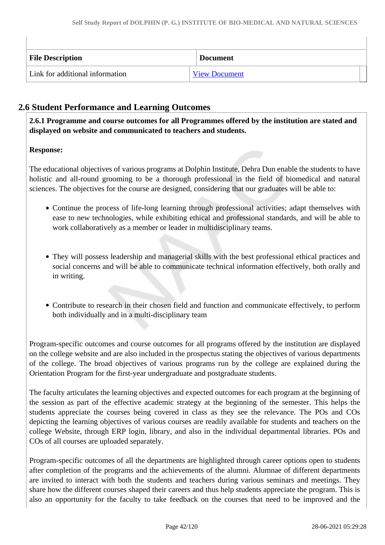| <b>File Description</b>         | <b>Document</b>      |
|---------------------------------|----------------------|
| Link for additional information | <b>View Document</b> |

# **2.6 Student Performance and Learning Outcomes**

 **2.6.1 Programme and course outcomes for all Programmes offered by the institution are stated and displayed on website and communicated to teachers and students.**

#### **Response:**

The educational objectives of various programs at Dolphin Institute, Dehra Dun enable the students to have holistic and all-round grooming to be a thorough professional in the field of biomedical and natural sciences. The objectives for the course are designed, considering that our graduates will be able to:

- Continue the process of life-long learning through professional activities; adapt themselves with ease to new technologies, while exhibiting ethical and professional standards, and will be able to work collaboratively as a member or leader in multidisciplinary teams.
- They will possess leadership and managerial skills with the best professional ethical practices and social concerns and will be able to communicate technical information effectively, both orally and in writing.
- Contribute to research in their chosen field and function and communicate effectively, to perform both individually and in a multi-disciplinary team

Program-specific outcomes and course outcomes for all programs offered by the institution are displayed on the college website and are also included in the prospectus stating the objectives of various departments of the college. The broad objectives of various programs run by the college are explained during the Orientation Program for the first-year undergraduate and postgraduate students.

The faculty articulates the learning objectives and expected outcomes for each program at the beginning of the session as part of the effective academic strategy at the beginning of the semester. This helps the students appreciate the courses being covered in class as they see the relevance. The POs and COs depicting the learning objectives of various courses are readily available for students and teachers on the college Website, through ERP login, library, and also in the individual departmental libraries. POs and COs of all courses are uploaded separately.

Program-specific outcomes of all the departments are highlighted through career options open to students after completion of the programs and the achievements of the alumni. Alumnae of different departments are invited to interact with both the students and teachers during various seminars and meetings. They share how the different courses shaped their careers and thus help students appreciate the program. This is also an opportunity for the faculty to take feedback on the courses that need to be improved and the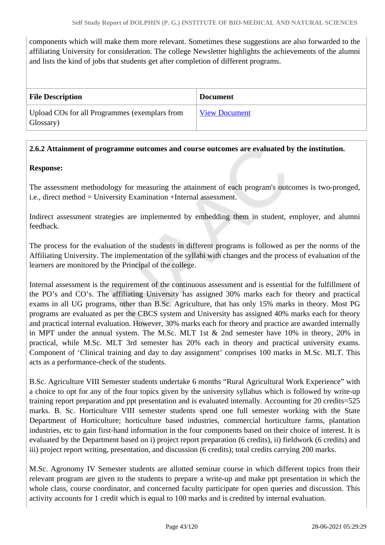components which will make them more relevant. Sometimes these suggestions are also forwarded to the affiliating University for consideration. The college Newsletter highlights the achievements of the alumni and lists the kind of jobs that students get after completion of different programs.

| <b>File Description</b>                                    | <b>Document</b>      |
|------------------------------------------------------------|----------------------|
| Upload COs for all Programmes (exemplars from<br>Glossary) | <b>View Document</b> |

#### **2.6.2 Attainment of programme outcomes and course outcomes are evaluated by the institution.**

#### **Response:**

The assessment methodology for measuring the attainment of each program's outcomes is two-pronged, i.e., direct method = University Examination +Internal assessment.

Indirect assessment strategies are implemented by embedding them in student, employer, and alumni feedback.

The process for the evaluation of the students in different programs is followed as per the norms of the Affiliating University. The implementation of the syllabi with changes and the process of evaluation of the learners are monitored by the Principal of the college.

Internal assessment is the requirement of the continuous assessment and is essential for the fulfillment of the PO's and CO's. The affiliating University has assigned 30% marks each for theory and practical exams in all UG programs, other than B.Sc. Agriculture, that has only 15% marks in theory. Most PG programs are evaluated as per the CBCS system and University has assigned 40% marks each for theory and practical internal evaluation. However, 30% marks each for theory and practice are awarded internally in MPT under the annual system. The M.Sc. MLT 1st & 2nd semester have 10% in theory, 20% in practical, while M.Sc. MLT 3rd semester has 20% each in theory and practical university exams. Component of 'Clinical training and day to day assignment' comprises 100 marks in M.Sc. MLT. This acts as a performance-check of the students.

B.Sc. Agriculture VIII Semester students undertake 6 months "Rural Agricultural Work Experience" with a choice to opt for any of the four topics given by the university syllabus which is followed by write-up training report preparation and ppt presentation and is evaluated internally. Accounting for 20 credits=525 marks. B. Sc. Horticulture VIII semester students spend one full semester working with the State Department of Horticulture; horticulture based industries, commercial horticulture farms, plantation industries, etc to gain first-hand information in the four components based on their choice of interest. It is evaluated by the Department based on i) project report preparation (6 credits), ii) fieldwork (6 credits) and iii) project report writing, presentation, and discussion (6 credits); total credits carrying 200 marks.

M.Sc. Agronomy IV Semester students are allotted seminar course in which different topics from their relevant program are given to the students to prepare a write-up and make ppt presentation in which the whole class, course coordinator, and concerned faculty participate for open queries and discussion. This activity accounts for 1 credit which is equal to 100 marks and is credited by internal evaluation.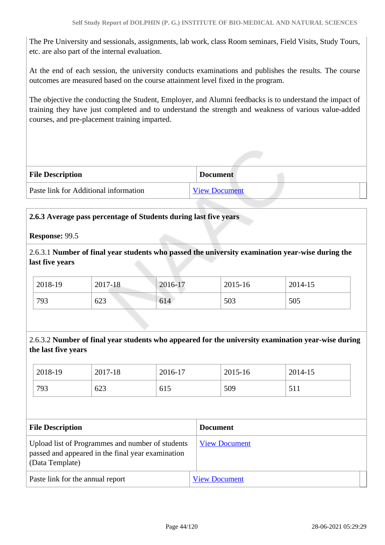The Pre University and sessionals, assignments, lab work, class Room seminars, Field Visits, Study Tours, etc. are also part of the internal evaluation.

At the end of each session, the university conducts examinations and publishes the results. The course outcomes are measured based on the course attainment level fixed in the program.

The objective the conducting the Student, Employer, and Alumni feedbacks is to understand the impact of training they have just completed and to understand the strength and weakness of various value-added courses, and pre-placement training imparted.

| <b>File Description</b>               | <b>Document</b> |
|---------------------------------------|-----------------|
| Paste link for Additional information | View Document   |

#### **2.6.3 Average pass percentage of Students during last five years**

#### **Response:** 99.5

2.6.3.1 **Number of final year students who passed the university examination year-wise during the last five years**

| 2018-19 | 2017-18 | 2016-17 | 2015-16 | 2014-15 |
|---------|---------|---------|---------|---------|
| 793     | 623     | 614     | 503     | 505     |

2.6.3.2 **Number of final year students who appeared for the university examination year-wise during the last five years**

| 2018-19 | 2017-18 | 2016-17 | 2015-16 | 2014-15 |
|---------|---------|---------|---------|---------|
| 793     | 623     | 615     | 509     | 711     |

| <b>File Description</b>                                                                                                  | <b>Document</b>      |
|--------------------------------------------------------------------------------------------------------------------------|----------------------|
| Upload list of Programmes and number of students<br>passed and appeared in the final year examination<br>(Data Template) | <b>View Document</b> |
| Paste link for the annual report                                                                                         | <b>View Document</b> |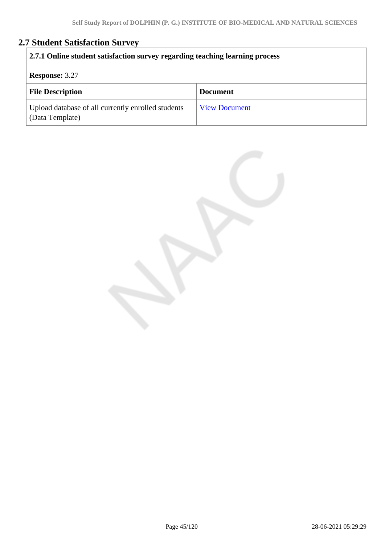# **2.7 Student Satisfaction Survey**

# **2.7.1 Online student satisfaction survey regarding teaching learning process**

#### **Response:** 3.27

| <b>File Description</b>                                               | <b>Document</b>      |
|-----------------------------------------------------------------------|----------------------|
| Upload database of all currently enrolled students<br>(Data Template) | <b>View Document</b> |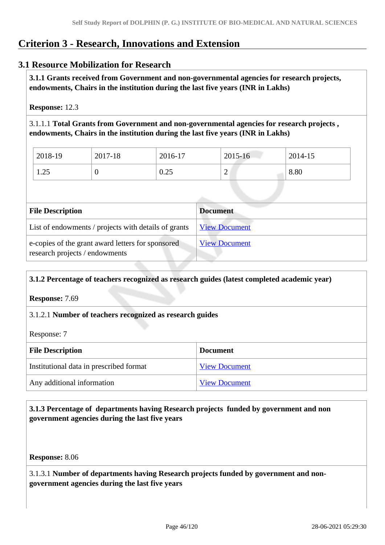# **Criterion 3 - Research, Innovations and Extension**

## **3.1 Resource Mobilization for Research**

 **3.1.1 Grants received from Government and non-governmental agencies for research projects, endowments, Chairs in the institution during the last five years (INR in Lakhs)** 

**Response:** 12.3

3.1.1.1 **Total Grants from Government and non-governmental agencies for research projects , endowments, Chairs in the institution during the last five years (INR in Lakhs)**

| 2018-19 | 2017-18 | 2016-17 | $2015 - 16$ | 2014-15 |
|---------|---------|---------|-------------|---------|
| 1.25    |         | 0.25    | ∼           | 8.80    |

| <b>File Description</b>                                                             | <b>Document</b>      |
|-------------------------------------------------------------------------------------|----------------------|
| List of endowments / projects with details of grants                                | <b>View Document</b> |
| e-copies of the grant award letters for sponsored<br>research projects / endowments | <b>View Document</b> |

#### **3.1.2 Percentage of teachers recognized as research guides (latest completed academic year)**

**Response:** 7.69

#### 3.1.2.1 **Number of teachers recognized as research guides**

Response: 7

| <b>File Description</b>                 | <b>Document</b>      |
|-----------------------------------------|----------------------|
| Institutional data in prescribed format | <b>View Document</b> |
| Any additional information              | <b>View Document</b> |

## **3.1.3 Percentage of departments having Research projects funded by government and non government agencies during the last five years**

**Response:** 8.06

3.1.3.1 **Number of departments having Research projects funded by government and nongovernment agencies during the last five years**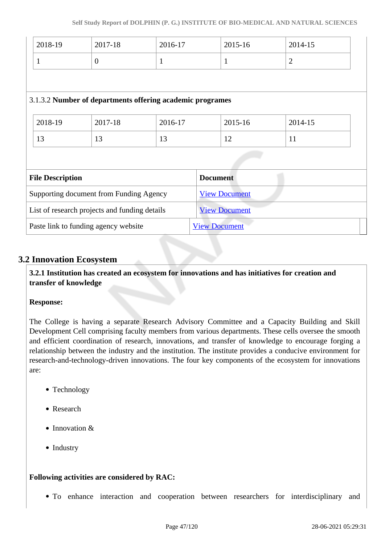| 2018-19                                                      | 2017-18                                                   | 2016-17      |                      | 2015-16 | 2014-15        |  |
|--------------------------------------------------------------|-----------------------------------------------------------|--------------|----------------------|---------|----------------|--|
| 1                                                            | $\boldsymbol{0}$                                          | $\mathbf{1}$ | $\mathbf{1}$         |         | $\overline{2}$ |  |
|                                                              |                                                           |              |                      |         |                |  |
|                                                              | 3.1.3.2 Number of departments offering academic programes |              |                      |         |                |  |
| 2018-19<br>2017-18<br>2016-17<br>2015-16                     |                                                           |              |                      |         | 2014-15        |  |
| 13                                                           | 13                                                        | 13           | 12                   |         | 11             |  |
|                                                              |                                                           |              |                      |         |                |  |
| <b>File Description</b><br><b>Document</b>                   |                                                           |              |                      |         |                |  |
| Supporting document from Funding Agency                      |                                                           |              | <b>View Document</b> |         |                |  |
| List of research projects and funding details                |                                                           |              | <b>View Document</b> |         |                |  |
| Paste link to funding agency website<br><b>View Document</b> |                                                           |              |                      |         |                |  |

# **3.2 Innovation Ecosystem**

 **3.2.1 Institution has created an ecosystem for innovations and has initiatives for creation and transfer of knowledge**

#### **Response:**

The College is having a separate Research Advisory Committee and a Capacity Building and Skill Development Cell comprising faculty members from various departments. These cells oversee the smooth and efficient coordination of research, innovations, and transfer of knowledge to encourage forging a relationship between the industry and the institution. The institute provides a conducive environment for research-and-technology-driven innovations. The four key components of the ecosystem for innovations are:

- Technology
- Research
- Innovation &
- Industry

## **Following activities are considered by RAC:**

To enhance interaction and cooperation between researchers for interdisciplinary and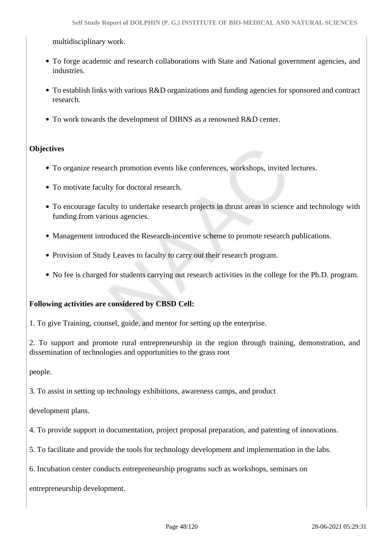multidisciplinary work.

- To forge academic and research collaborations with State and National government agencies, and industries.
- To establish links with various R&D organizations and funding agencies for sponsored and contract research.
- To work towards the development of DIBNS as a renowned R&D center.

#### **Objectives**

- To organize research promotion events like conferences, workshops, invited lectures.
- To motivate faculty for doctoral research.
- To encourage faculty to undertake research projects in thrust areas in science and technology with funding from various agencies.
- Management introduced the Research-incentive scheme to promote research publications.
- Provision of Study Leaves to faculty to carry out their research program.
- No fee is charged for students carrying out research activities in the college for the Ph.D. program.

#### **Following activities are considered by CBSD Cell:**

1. To give Training, counsel, guide, and mentor for setting up the enterprise.

2. To support and promote rural entrepreneurship in the region through training, demonstration, and dissemination of technologies and opportunities to the grass root

people.

3. To assist in setting up technology exhibitions, awareness camps, and product

development plans.

4. To provide support in documentation, project proposal preparation, and patenting of innovations.

5. To facilitate and provide the tools for technology development and implementation in the labs.

6. Incubation center conducts entrepreneurship programs such as workshops, seminars on

entrepreneurship development.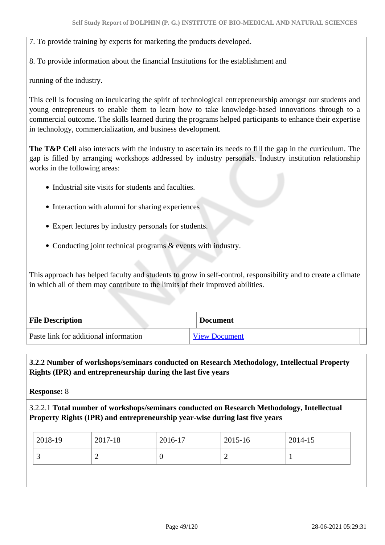7. To provide training by experts for marketing the products developed.

8. To provide information about the financial Institutions for the establishment and

running of the industry.

This cell is focusing on inculcating the spirit of technological entrepreneurship amongst our students and young entrepreneurs to enable them to learn how to take knowledge-based innovations through to a commercial outcome. The skills learned during the programs helped participants to enhance their expertise in technology, commercialization, and business development.

**The T&P Cell** also interacts with the industry to ascertain its needs to fill the gap in the curriculum. The gap is filled by arranging workshops addressed by industry personals. Industry institution relationship works in the following areas:

- Industrial site visits for students and faculties.
- Interaction with alumni for sharing experiences
- Expert lectures by industry personals for students.
- Conducting joint technical programs & events with industry.

This approach has helped faculty and students to grow in self-control, responsibility and to create a climate in which all of them may contribute to the limits of their improved abilities.

| <b>File Description</b>               | <b>Document</b>      |
|---------------------------------------|----------------------|
| Paste link for additional information | <b>View Document</b> |

 **3.2.2 Number of workshops/seminars conducted on Research Methodology, Intellectual Property Rights (IPR) and entrepreneurship during the last five years**

**Response:** 8

3.2.2.1 **Total number of workshops/seminars conducted on Research Methodology, Intellectual Property Rights (IPR) and entrepreneurship year-wise during last five years** 

| 2018-19<br>2017-18<br>2016-17 | 2015-16 | 2014-15 |
|-------------------------------|---------|---------|
|                               | ∠       |         |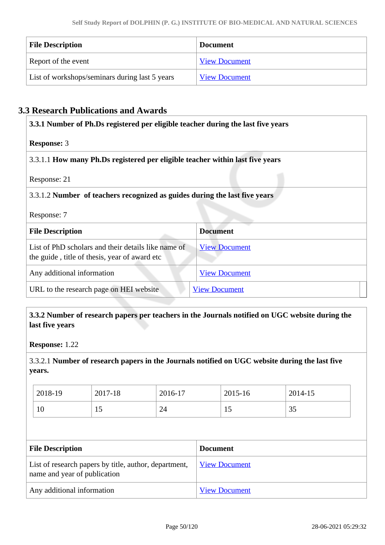| <b>File Description</b>                        | <b>Document</b>      |
|------------------------------------------------|----------------------|
| Report of the event                            | <b>View Document</b> |
| List of workshops/seminars during last 5 years | <b>View Document</b> |

# **3.3 Research Publications and Awards**

| 3.3.1 Number of Ph.Ds registered per eligible teacher during the last five years                     |                      |  |  |  |  |
|------------------------------------------------------------------------------------------------------|----------------------|--|--|--|--|
| <b>Response: 3</b>                                                                                   |                      |  |  |  |  |
| 3.3.1.1 How many Ph.Ds registered per eligible teacher within last five years                        |                      |  |  |  |  |
| Response: 21                                                                                         |                      |  |  |  |  |
| 3.3.1.2 Number of teachers recognized as guides during the last five years                           |                      |  |  |  |  |
| Response: 7                                                                                          |                      |  |  |  |  |
| <b>File Description</b>                                                                              | <b>Document</b>      |  |  |  |  |
| List of PhD scholars and their details like name of<br>the guide, title of thesis, year of award etc | <b>View Document</b> |  |  |  |  |
| Any additional information                                                                           | <b>View Document</b> |  |  |  |  |
| URL to the research page on HEI website                                                              | <b>View Document</b> |  |  |  |  |

## **3.3.2 Number of research papers per teachers in the Journals notified on UGC website during the last five years**

**Response:** 1.22

3.3.2.1 **Number of research papers in the Journals notified on UGC website during the last five years.**

| 2018-19 | 2017-18 | 2016-17 | 2015-16 | 2014-15  |
|---------|---------|---------|---------|----------|
| 10      | 15      | 24      | ⊥ັ      | 25<br>IJ |

| <b>File Description</b>                                                               | <b>Document</b>      |
|---------------------------------------------------------------------------------------|----------------------|
| List of research papers by title, author, department,<br>name and year of publication | <b>View Document</b> |
| Any additional information                                                            | <b>View Document</b> |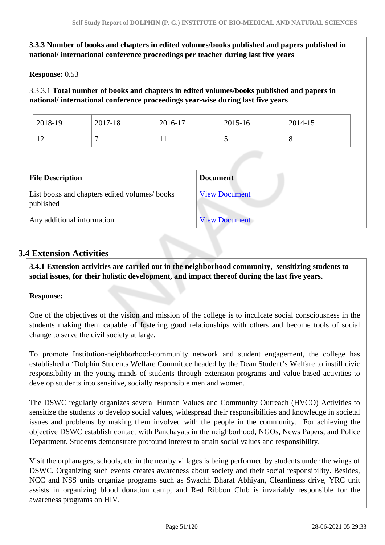# **3.3.3 Number of books and chapters in edited volumes/books published and papers published in national/ international conference proceedings per teacher during last five years**

#### **Response:** 0.53

#### 3.3.3.1 **Total number of books and chapters in edited volumes/books published and papers in national/ international conference proceedings year-wise during last five years**

| 2018-19                                                    | 2017-18 | 2016-17 |                 | 2015-16              | 2014-15 |  |  |  |
|------------------------------------------------------------|---------|---------|-----------------|----------------------|---------|--|--|--|
| 12                                                         |         | 11      |                 | 5                    | 8       |  |  |  |
|                                                            |         |         |                 |                      |         |  |  |  |
| <b>File Description</b>                                    |         |         | <b>Document</b> |                      |         |  |  |  |
| List books and chapters edited volumes/ books<br>published |         |         |                 | <b>View Document</b> |         |  |  |  |

Any additional information [View Document](https://assessmentonline.naac.gov.in/storage/app/hei/SSR/100123/3.3.3_1615525975_3384.pdf)

#### **3.4 Extension Activities**

 **3.4.1 Extension activities are carried out in the neighborhood community, sensitizing students to social issues, for their holistic development, and impact thereof during the last five years.**

#### **Response:**

One of the objectives of the vision and mission of the college is to inculcate social consciousness in the students making them capable of fostering good relationships with others and become tools of social change to serve the civil society at large.

To promote Institution-neighborhood-community network and student engagement, the college has established a 'Dolphin Students Welfare Committee headed by the Dean Student's Welfare to instill civic responsibility in the young minds of students through extension programs and value-based activities to develop students into sensitive, socially responsible men and women.

The DSWC regularly organizes several Human Values and Community Outreach (HVCO) Activities to sensitize the students to develop social values, widespread their responsibilities and knowledge in societal issues and problems by making them involved with the people in the community. For achieving the objective DSWC establish contact with Panchayats in the neighborhood, NGOs, News Papers, and Police Department. Students demonstrate profound interest to attain social values and responsibility.

Visit the orphanages, schools, etc in the nearby villages is being performed by students under the wings of DSWC. Organizing such events creates awareness about society and their social responsibility. Besides, NCC and NSS units organize programs such as Swachh Bharat Abhiyan, Cleanliness drive, YRC unit assists in organizing blood donation camp, and Red Ribbon Club is invariably responsible for the awareness programs on HIV.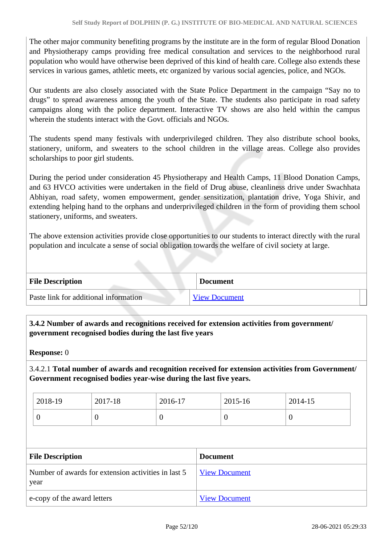The other major community benefiting programs by the institute are in the form of regular Blood Donation and Physiotherapy camps providing free medical consultation and services to the neighborhood rural population who would have otherwise been deprived of this kind of health care. College also extends these services in various games, athletic meets, etc organized by various social agencies, police, and NGOs.

Our students are also closely associated with the State Police Department in the campaign "Say no to drugs" to spread awareness among the youth of the State. The students also participate in road safety campaigns along with the police department. Interactive TV shows are also held within the campus wherein the students interact with the Govt. officials and NGOs.

The students spend many festivals with underprivileged children. They also distribute school books, stationery, uniform, and sweaters to the school children in the village areas. College also provides scholarships to poor girl students.

During the period under consideration 45 Physiotherapy and Health Camps, 11 Blood Donation Camps, and 63 HVCO activities were undertaken in the field of Drug abuse, cleanliness drive under Swachhata Abhiyan, road safety, women empowerment, gender sensitization, plantation drive, Yoga Shivir, and extending helping hand to the orphans and underprivileged children in the form of providing them school stationery, uniforms, and sweaters.

The above extension activities provide close opportunities to our students to interact directly with the rural population and inculcate a sense of social obligation towards the welfare of civil society at large.

| <b>File Description</b>               | <b>Document</b>      |
|---------------------------------------|----------------------|
| Paste link for additional information | <b>View Document</b> |

 **3.4.2 Number of awards and recognitions received for extension activities from government/ government recognised bodies during the last five years**

**Response:** 0

3.4.2.1 **Total number of awards and recognition received for extension activities from Government/ Government recognised bodies year-wise during the last five years.**

| 2018-19 | 2017-18 | 2016-17 | 2015-16 | 2014-15          |
|---------|---------|---------|---------|------------------|
|         |         | v       | ◡       | $\boldsymbol{0}$ |

| <b>File Description</b>                                     | <b>Document</b>      |
|-------------------------------------------------------------|----------------------|
| Number of awards for extension activities in last 5<br>year | <b>View Document</b> |
| e-copy of the award letters                                 | <b>View Document</b> |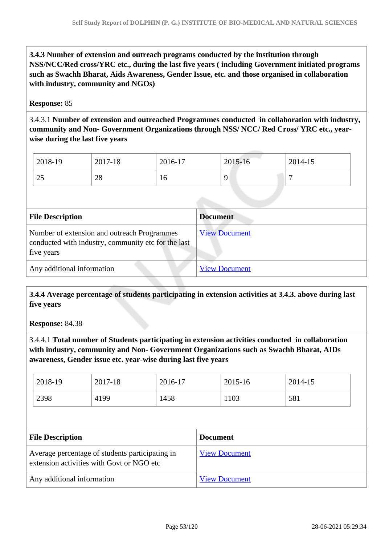**3.4.3 Number of extension and outreach programs conducted by the institution through NSS/NCC/Red cross/YRC etc., during the last five years ( including Government initiated programs such as Swachh Bharat, Aids Awareness, Gender Issue, etc. and those organised in collaboration with industry, community and NGOs)**

#### **Response:** 85

3.4.3.1 **Number of extension and outreached Programmes conducted in collaboration with industry, community and Non- Government Organizations through NSS/ NCC/ Red Cross/ YRC etc., yearwise during the last five years**

| 2018-19                 | 2017-18 | 2016-17 | 2015-16          | 2014-15 |
|-------------------------|---------|---------|------------------|---------|
| $\sim$ $\epsilon$<br>25 | 28      | 16      | $\mathbf Q$<br>╯ |         |

| <b>File Description</b>                                                                                          | <b>Document</b>      |
|------------------------------------------------------------------------------------------------------------------|----------------------|
| Number of extension and outreach Programmes<br>conducted with industry, community etc for the last<br>five years | <b>View Document</b> |
| Any additional information                                                                                       | <b>View Document</b> |

 **3.4.4 Average percentage of students participating in extension activities at 3.4.3. above during last five years**

**Response:** 84.38

3.4.4.1 **Total number of Students participating in extension activities conducted in collaboration with industry, community and Non- Government Organizations such as Swachh Bharat, AIDs awareness, Gender issue etc. year-wise during last five years**

| 2018-19 | 2017-18 | 2016-17 | 2015-16 | 2014-15 |
|---------|---------|---------|---------|---------|
| 2398    | 4199    | 1458    | 1103    | 581     |

| <b>File Description</b>                                                                      | <b>Document</b>      |
|----------------------------------------------------------------------------------------------|----------------------|
| Average percentage of students participating in<br>extension activities with Govt or NGO etc | <b>View Document</b> |
| Any additional information                                                                   | <b>View Document</b> |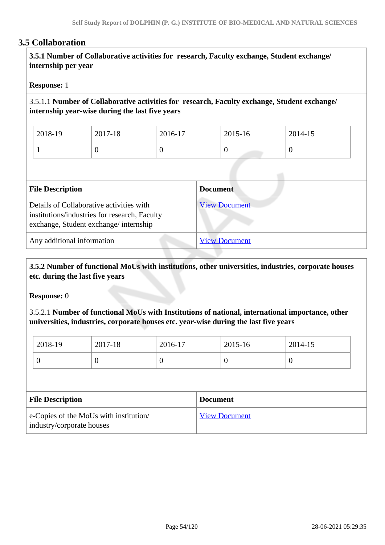## **3.5 Collaboration**

 **3.5.1 Number of Collaborative activities for research, Faculty exchange, Student exchange/ internship per year**

#### **Response:** 1

#### 3.5.1.1 **Number of Collaborative activities for research, Faculty exchange, Student exchange/ internship year-wise during the last five years**

| 2018-19 | 2017-18 | 2016-17 | 2015-16 | 2014-15 |
|---------|---------|---------|---------|---------|
|         | ν       | υ       | ິ       | ν       |

| <b>File Description</b>                                                                                                            | <b>Document</b>      |
|------------------------------------------------------------------------------------------------------------------------------------|----------------------|
| Details of Collaborative activities with<br>institutions/industries for research, Faculty<br>exchange, Student exchange/internship | <b>View Document</b> |
| Any additional information                                                                                                         | <b>View Document</b> |
|                                                                                                                                    |                      |

## **3.5.2 Number of functional MoUs with institutions, other universities, industries, corporate houses etc. during the last five years**

**Response:** 0

3.5.2.1 **Number of functional MoUs with Institutions of national, international importance, other universities, industries, corporate houses etc. year-wise during the last five years**

| 2018-19 | 2017-18 | 2016-17 | 2015-16 | 2014-15 |
|---------|---------|---------|---------|---------|
| ິ       | ◡       | ν       | ν       |         |

| <b>File Description</b>                                             | <b>Document</b>      |
|---------------------------------------------------------------------|----------------------|
| e-Copies of the MoUs with institution/<br>industry/corporate houses | <b>View Document</b> |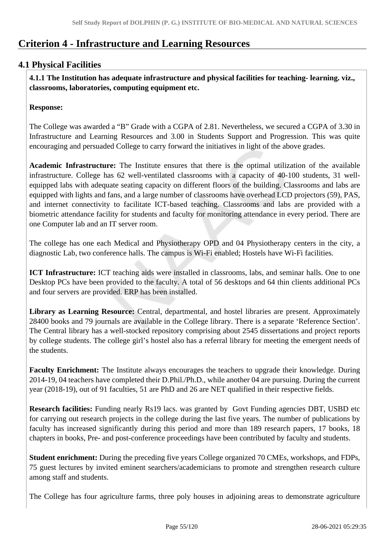# **Criterion 4 - Infrastructure and Learning Resources**

# **4.1 Physical Facilities**

 **4.1.1 The Institution has adequate infrastructure and physical facilities for teaching- learning. viz., classrooms, laboratories, computing equipment etc.** 

#### **Response:**

The College was awarded a "B" Grade with a CGPA of 2.81. Nevertheless, we secured a CGPA of 3.30 in Infrastructure and Learning Resources and 3.00 in Students Support and Progression. This was quite encouraging and persuaded College to carry forward the initiatives in light of the above grades.

**Academic Infrastructure:** The Institute ensures that there is the optimal utilization of the available infrastructure. College has 62 well-ventilated classrooms with a capacity of 40-100 students, 31 wellequipped labs with adequate seating capacity on different floors of the building. Classrooms and labs are equipped with lights and fans, and a large number of classrooms have overhead LCD projectors (59), PAS, and internet connectivity to facilitate ICT-based teaching. Classrooms and labs are provided with a biometric attendance facility for students and faculty for monitoring attendance in every period. There are one Computer lab and an IT server room.

The college has one each Medical and Physiotherapy OPD and 04 Physiotherapy centers in the city, a diagnostic Lab, two conference halls. The campus is Wi-Fi enabled; Hostels have Wi-Fi facilities.

**ICT Infrastructure:** ICT teaching aids were installed in classrooms, labs, and seminar halls. One to one Desktop PCs have been provided to the faculty. A total of 56 desktops and 64 thin clients additional PCs and four servers are provided. ERP has been installed.

**Library as Learning Resource:** Central, departmental, and hostel libraries are present. Approximately 28400 books and 79 journals are available in the College library. There is a separate 'Reference Section'. The Central library has a well-stocked repository comprising about 2545 dissertations and project reports by college students. The college girl's hostel also has a referral library for meeting the emergent needs of the students.

**Faculty Enrichment:** The Institute always encourages the teachers to upgrade their knowledge. During 2014-19, 04 teachers have completed their D.Phil./Ph.D., while another 04 are pursuing. During the current year (2018-19), out of 91 faculties, 51 are PhD and 26 are NET qualified in their respective fields.

**Research facilities:** Funding nearly Rs19 lacs. was granted by Govt Funding agencies DBT, USBD etc for carrying out research projects in the college during the last five years. The number of publications by faculty has increased significantly during this period and more than 189 research papers, 17 books, 18 chapters in books, Pre- and post-conference proceedings have been contributed by faculty and students.

**Student enrichment:** During the preceding five years College organized 70 CMEs, workshops, and FDPs, 75 guest lectures by invited eminent searchers/academicians to promote and strengthen research culture among staff and students.

The College has four agriculture farms, three poly houses in adjoining areas to demonstrate agriculture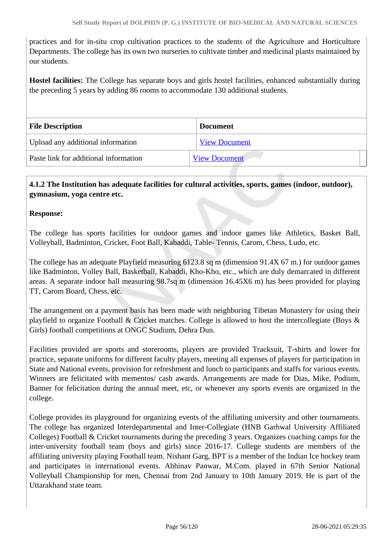practices and for in-situ crop cultivation practices to the students of the Agriculture and Horticulture Departments. The college has its own two nurseries to cultivate timber and medicinal plants maintained by our students.

**Hostel facilities:** The College has separate boys and girls hostel facilities, enhanced substantially during the preceding 5 years by adding 86 rooms to accommodate 130 additional students.

| <b>File Description</b>               | <b>Document</b>      |
|---------------------------------------|----------------------|
| Upload any additional information     | <b>View Document</b> |
| Paste link for additional information | <b>View Document</b> |

#### **4.1.2 The Institution has adequate facilities for cultural activities, sports, games (indoor, outdoor), gymnasium, yoga centre etc.**

#### **Response:**

The college has sports facilities for outdoor games and indoor games like Athletics, Basket Ball, Volleyball, Badminton, Cricket, Foot Ball, Kabaddi, Table- Tennis, Carom, Chess, Ludo, etc.

The college has an adequate Playfield measuring 6123.8 sq m (dimension 91.4X 67 m.) for outdoor games like Badminton, Volley Ball, Basketball, Kabaddi, Kho-Kho, etc., which are duly demarcated in different areas. A separate indoor hall measuring 98.7sq m (dimension 16.45X6 m) has been provided for playing TT, Carom Board, Chess, etc.

The arrangement on a payment basis has been made with neighboring Tibetan Monastery for using their playfield to organize Football & Cricket matches. College is allowed to host the intercollegiate (Boys & Girls) football competitions at ONGC Stadium, Dehra Dun.

Facilities provided are sports and storerooms, players are provided Tracksuit, T-shirts and lower for practice, separate uniforms for different faculty players, meeting all expenses of players for participation in State and National events, provision for refreshment and lunch to participants and staffs for various events. Winners are felicitated with mementos/ cash awards. Arrangements are made for Dias, Mike, Podium, Banner for felicitation during the annual meet, etc, or whenever any sports events are organized in the college.

College provides its playground for organizing events of the affiliating university and other tournaments. The college has organized Interdepartmental and Inter-Collegiate (HNB Garhwal University Affiliated Colleges) Football & Cricket tournaments during the preceding 3 years. Organizes coaching camps for the inter-university football team (boys and girls) since 2016-17. College students are members of the affiliating university playing Football team. Nishant Garg, BPT is a member of the Indian Ice hockey team and participates in international events. Abhinav Panwar, M.Com. played in 67th Senior National Volleyball Championship for men, Chennai from 2nd January to 10th January 2019. He is part of the Uttarakhand state team.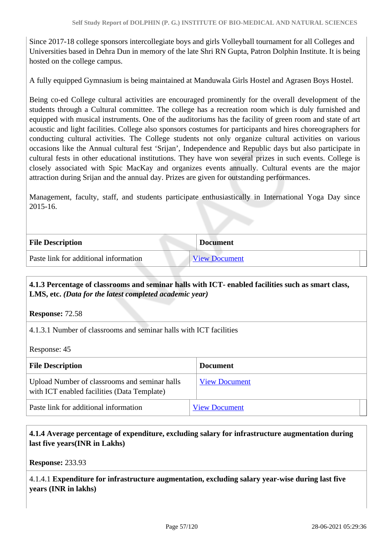Since 2017-18 college sponsors intercollegiate boys and girls Volleyball tournament for all Colleges and Universities based in Dehra Dun in memory of the late Shri RN Gupta, Patron Dolphin Institute. It is being hosted on the college campus.

A fully equipped Gymnasium is being maintained at Manduwala Girls Hostel and Agrasen Boys Hostel.

Being co-ed College cultural activities are encouraged prominently for the overall development of the students through a Cultural committee. The college has a recreation room which is duly furnished and equipped with musical instruments. One of the auditoriums has the facility of green room and state of art acoustic and light facilities. College also sponsors costumes for participants and hires choreographers for conducting cultural activities. The College students not only organize cultural activities on various occasions like the Annual cultural fest 'Srijan', Independence and Republic days but also participate in cultural fests in other educational institutions. They have won several prizes in such events. College is closely associated with Spic MacKay and organizes events annually. Cultural events are the major attraction during Srijan and the annual day. Prizes are given for outstanding performances.

Management, faculty, staff, and students participate enthusiastically in International Yoga Day since 2015-16.

| <b>File Description</b>               | <b>Document</b>      |
|---------------------------------------|----------------------|
| Paste link for additional information | <b>View Document</b> |

#### **4.1.3 Percentage of classrooms and seminar halls with ICT- enabled facilities such as smart class, LMS, etc.** *(Data for the latest completed academic year)*

**Response:** 72.58

4.1.3.1 Number of classrooms and seminar halls with ICT facilities

Response: 45

| <b>File Description</b>                                                                      | <b>Document</b>      |
|----------------------------------------------------------------------------------------------|----------------------|
| Upload Number of classrooms and seminar halls<br>with ICT enabled facilities (Data Template) | <b>View Document</b> |
| Paste link for additional information                                                        | <b>View Document</b> |

#### **4.1.4 Average percentage of expenditure, excluding salary for infrastructure augmentation during last five years(INR in Lakhs)**

**Response:** 233.93

4.1.4.1 **Expenditure for infrastructure augmentation, excluding salary year-wise during last five years (INR in lakhs)**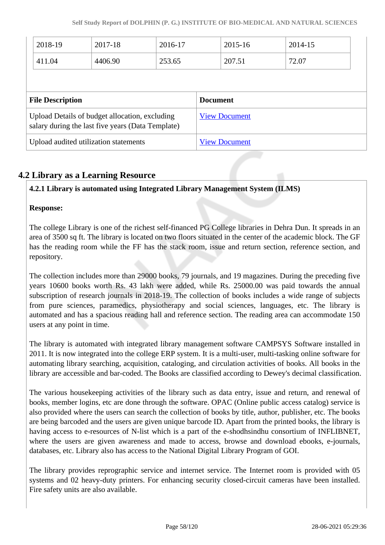| 2018-19                 | 2017-18                                                                                             | 2016-17 |                 | $2015 - 16$          | 2014-15 |  |
|-------------------------|-----------------------------------------------------------------------------------------------------|---------|-----------------|----------------------|---------|--|
| 411.04                  | 4406.90                                                                                             | 253.65  |                 | 207.51               | 72.07   |  |
|                         |                                                                                                     |         |                 |                      |         |  |
|                         |                                                                                                     |         |                 |                      |         |  |
| <b>File Description</b> |                                                                                                     |         | <b>Document</b> |                      |         |  |
|                         | Upload Details of budget allocation, excluding<br>salary during the last five years (Data Template) |         |                 | <b>View Document</b> |         |  |

#### **4.2 Library as a Learning Resource**

#### **4.2.1 Library is automated using Integrated Library Management System (ILMS)**

#### **Response:**

The college Library is one of the richest self-financed PG College libraries in Dehra Dun. It spreads in an area of 3500 sq ft. The library is located on two floors situated in the center of the academic block. The GF has the reading room while the FF has the stack room, issue and return section, reference section, and repository.

The collection includes more than 29000 books, 79 journals, and 19 magazines. During the preceding five years 10600 books worth Rs. 43 lakh were added, while Rs. 25000.00 was paid towards the annual subscription of research journals in 2018-19. The collection of books includes a wide range of subjects from pure sciences, paramedics, physiotherapy and social sciences, languages, etc. The library is automated and has a spacious reading hall and reference section. The reading area can accommodate 150 users at any point in time.

The library is automated with integrated library management software CAMPSYS Software installed in 2011. It is now integrated into the college ERP system. It is a multi-user, multi-tasking online software for automating library searching, acquisition, cataloging, and circulation activities of books. All books in the library are accessible and bar-coded. The Books are classified according to Dewey's decimal classification.

The various housekeeping activities of the library such as data entry, issue and return, and renewal of books, member logins, etc are done through the software. OPAC (Online public access catalog) service is also provided where the users can search the collection of books by title, author, publisher, etc. The books are being barcoded and the users are given unique barcode ID. Apart from the printed books, the library is having access to e-resources of N-list which is a part of the e-shodhsindhu consortium of INFLIBNET, where the users are given awareness and made to access, browse and download ebooks, e-journals, databases, etc. Library also has access to the National Digital Library Program of GOI.

The library provides reprographic service and internet service. The Internet room is provided with 05 systems and 02 heavy-duty printers. For enhancing security closed-circuit cameras have been installed. Fire safety units are also available.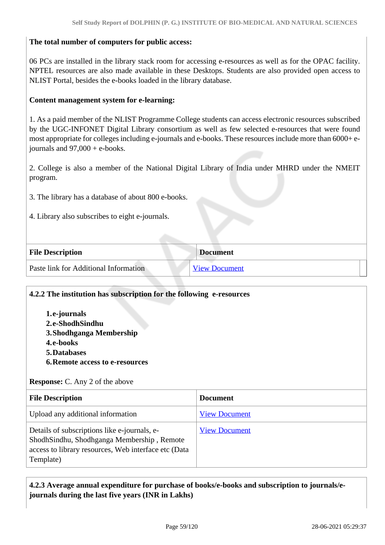#### **The total number of computers for public access:**

06 PCs are installed in the library stack room for accessing e-resources as well as for the OPAC facility. NPTEL resources are also made available in these Desktops. Students are also provided open access to NLIST Portal, besides the e-books loaded in the library database.

#### **Content management system for e-learning:**

1. As a paid member of the NLIST Programme College students can access electronic resources subscribed by the UGC-INFONET Digital Library consortium as well as few selected e-resources that were found most appropriate for colleges including e-journals and e-books. These resources include more than 6000+ ejournals and  $97,000 + e$ -books.

2. College is also a member of the National Digital Library of India under MHRD under the NMEIT program.

3. The library has a database of about 800 e-books.

4. Library also subscribes to eight e-journals.

| <b>File Description</b>               | <b>Document</b>      |
|---------------------------------------|----------------------|
| Paste link for Additional Information | <b>View Document</b> |

|           | 4.2.2 The institution has subscription for the following e-resources                                                                               |                      |  |  |  |
|-----------|----------------------------------------------------------------------------------------------------------------------------------------------------|----------------------|--|--|--|
|           | 1.e-journals<br>2.e-ShodhSindhu<br>3. Shodhganga Membership<br>4.e-books<br><b>5. Databases</b><br><b>6. Remote access to e-resources</b>          |                      |  |  |  |
|           | <b>Response:</b> C. Any 2 of the above                                                                                                             |                      |  |  |  |
|           | <b>File Description</b>                                                                                                                            | <b>Document</b>      |  |  |  |
|           | Upload any additional information                                                                                                                  | <b>View Document</b> |  |  |  |
| Template) | Details of subscriptions like e-journals, e-<br>ShodhSindhu, Shodhganga Membership, Remote<br>access to library resources, Web interface etc (Data | <b>View Document</b> |  |  |  |

## **4.2.3 Average annual expenditure for purchase of books/e-books and subscription to journals/ejournals during the last five years (INR in Lakhs)**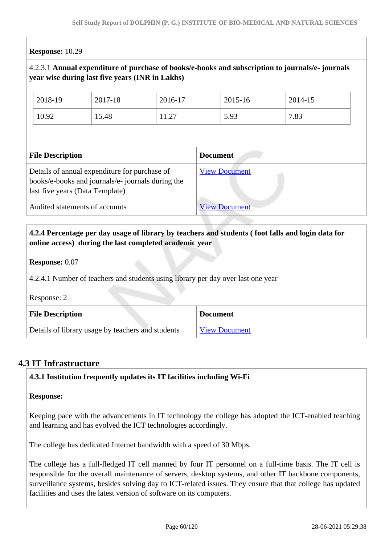#### **Response:** 10.29

# 4.2.3.1 **Annual expenditure of purchase of books/e-books and subscription to journals/e- journals year wise during last five years (INR in Lakhs)**

| 2018-19 | 2017-18 | 2016-17       | 2015-16 | 2014-15              |
|---------|---------|---------------|---------|----------------------|
| 10.92   | 15.48   | $\cap$<br>. 1 | 5.93    | 7.83<br>$\mathbf{r}$ |

| <b>File Description</b>                                                                                                              | <b>Document</b>      |
|--------------------------------------------------------------------------------------------------------------------------------------|----------------------|
| Details of annual expenditure for purchase of<br>books/e-books and journals/e-journals during the<br>last five years (Data Template) | <b>View Document</b> |
| Audited statements of accounts                                                                                                       | <b>View Document</b> |

## **4.2.4 Percentage per day usage of library by teachers and students ( foot falls and login data for online access) during the last completed academic year**

#### **Response:** 0.07

4.2.4.1 Number of teachers and students using library per day over last one year

Response: 2

| <b>File Description</b>                           | <b>Document</b>      |
|---------------------------------------------------|----------------------|
| Details of library usage by teachers and students | <b>View Document</b> |

## **4.3 IT Infrastructure**

#### **4.3.1 Institution frequently updates its IT facilities including Wi-Fi**

#### **Response:**

Keeping pace with the advancements in IT technology the college has adopted the ICT-enabled teaching and learning and has evolved the ICT technologies accordingly.

The college has dedicated Internet bandwidth with a speed of 30 Mbps.

The college has a full-fledged IT cell manned by four IT personnel on a full-time basis. The IT cell is responsible for the overall maintenance of servers, desktop systems, and other IT backbone components, surveillance systems, besides solving day to ICT-related issues. They ensure that that college has updated facilities and uses the latest version of software on its computers.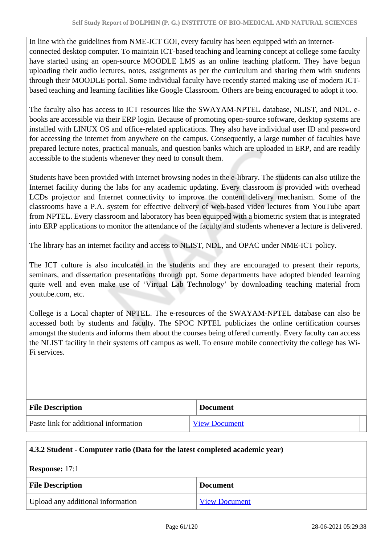In line with the guidelines from NME-ICT GOI, every faculty has been equipped with an internetconnected desktop computer. To maintain ICT-based teaching and learning concept at college some faculty have started using an open-source MOODLE LMS as an online teaching platform. They have begun uploading their audio lectures, notes, assignments as per the curriculum and sharing them with students through their MOODLE portal. Some individual faculty have recently started making use of modern ICTbased teaching and learning facilities like Google Classroom. Others are being encouraged to adopt it too.

The faculty also has access to ICT resources like the SWAYAM-NPTEL database, NLIST, and NDL. ebooks are accessible via their ERP login. Because of promoting open-source software, desktop systems are installed with LINUX OS and office-related applications. They also have individual user ID and password for accessing the internet from anywhere on the campus. Consequently, a large number of faculties have prepared lecture notes, practical manuals, and question banks which are uploaded in ERP, and are readily accessible to the students whenever they need to consult them.

Students have been provided with Internet browsing nodes in the e-library. The students can also utilize the Internet facility during the labs for any academic updating. Every classroom is provided with overhead LCDs projector and Internet connectivity to improve the content delivery mechanism. Some of the classrooms have a P.A. system for effective delivery of web-based video lectures from YouTube apart from NPTEL. Every classroom and laboratory has been equipped with a biometric system that is integrated into ERP applications to monitor the attendance of the faculty and students whenever a lecture is delivered.

The library has an internet facility and access to NLIST, NDL, and OPAC under NME-ICT policy.

The ICT culture is also inculcated in the students and they are encouraged to present their reports, seminars, and dissertation presentations through ppt. Some departments have adopted blended learning quite well and even make use of 'Virtual Lab Technology' by downloading teaching material from youtube.com, etc.

College is a Local chapter of NPTEL. The e-resources of the SWAYAM-NPTEL database can also be accessed both by students and faculty. The SPOC NPTEL publicizes the online certification courses amongst the students and informs them about the courses being offered currently. Every faculty can access the NLIST facility in their systems off campus as well. To ensure mobile connectivity the college has Wi-Fi services.

| <b>File Description</b>               | <b>Document</b>      |
|---------------------------------------|----------------------|
| Paste link for additional information | <b>View Document</b> |

| 4.3.2 Student - Computer ratio (Data for the latest completed academic year) |                 |  |
|------------------------------------------------------------------------------|-----------------|--|
| <b>Response:</b> 17:1                                                        |                 |  |
| <b>File Description</b>                                                      | <b>Document</b> |  |
| Upload any additional information<br><b>View Document</b>                    |                 |  |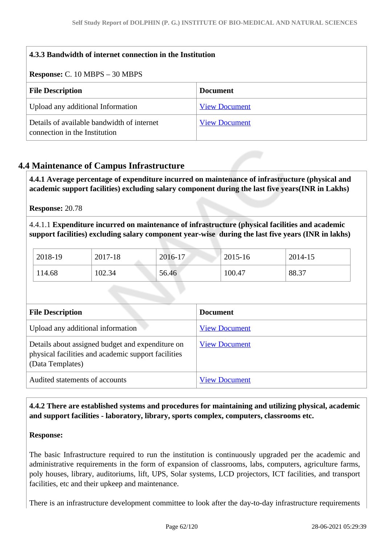| 4.3.3 Bandwidth of internet connection in the Institution                   |                      |  |
|-----------------------------------------------------------------------------|----------------------|--|
| <b>Response:</b> C. $10 \text{ MBPS} - 30 \text{ MBPS}$                     |                      |  |
| <b>File Description</b>                                                     | <b>Document</b>      |  |
| Upload any additional Information                                           | <b>View Document</b> |  |
| Details of available bandwidth of internet<br>connection in the Institution | <b>View Document</b> |  |

# **4.4 Maintenance of Campus Infrastructure**

 **4.4.1 Average percentage of expenditure incurred on maintenance of infrastructure (physical and academic support facilities) excluding salary component during the last five years(INR in Lakhs)**

**Response:** 20.78

4.4.1.1 **Expenditure incurred on maintenance of infrastructure (physical facilities and academic support facilities) excluding salary component year-wise during the last five years (INR in lakhs)**

| 2018-19 | 2017-18 | 2016-17 | 2015-16 | 2014-15 |
|---------|---------|---------|---------|---------|
| 114.68  | 102.34  | 56.46   | 100.47  | 88.37   |

| <b>File Description</b>                                                                                                     | <b>Document</b>      |
|-----------------------------------------------------------------------------------------------------------------------------|----------------------|
| Upload any additional information                                                                                           | <b>View Document</b> |
| Details about assigned budget and expenditure on<br>physical facilities and academic support facilities<br>(Data Templates) | <b>View Document</b> |
| Audited statements of accounts                                                                                              | <b>View Document</b> |

## **4.4.2 There are established systems and procedures for maintaining and utilizing physical, academic and support facilities - laboratory, library, sports complex, computers, classrooms etc.**

#### **Response:**

The basic Infrastructure required to run the institution is continuously upgraded per the academic and administrative requirements in the form of expansion of classrooms, labs, computers, agriculture farms, poly houses, library, auditoriums, lift, UPS, Solar systems, LCD projectors, ICT facilities, and transport facilities, etc and their upkeep and maintenance.

There is an infrastructure development committee to look after the day-to-day infrastructure requirements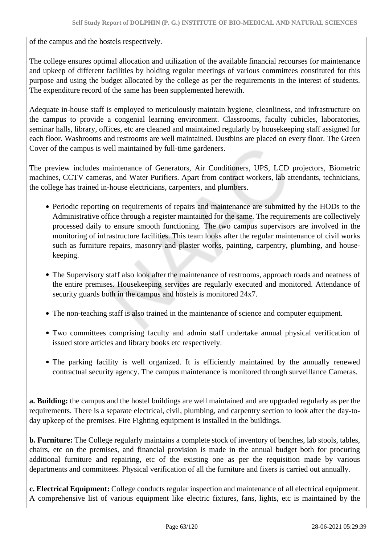of the campus and the hostels respectively.

The college ensures optimal allocation and utilization of the available financial recourses for maintenance and upkeep of different facilities by holding regular meetings of various committees constituted for this purpose and using the budget allocated by the college as per the requirements in the interest of students. The expenditure record of the same has been supplemented herewith.

Adequate in-house staff is employed to meticulously maintain hygiene, cleanliness, and infrastructure on the campus to provide a congenial learning environment. Classrooms, faculty cubicles, laboratories, seminar halls, library, offices, etc are cleaned and maintained regularly by housekeeping staff assigned for each floor. Washrooms and restrooms are well maintained. Dustbins are placed on every floor. The Green Cover of the campus is well maintained by full-time gardeners.

The preview includes maintenance of Generators, Air Conditioners, UPS, LCD projectors, Biometric machines, CCTV cameras, and Water Purifiers. Apart from contract workers, lab attendants, technicians, the college has trained in-house electricians, carpenters, and plumbers.

- Periodic reporting on requirements of repairs and maintenance are submitted by the HODs to the Administrative office through a register maintained for the same. The requirements are collectively processed daily to ensure smooth functioning. The two campus supervisors are involved in the monitoring of infrastructure facilities. This team looks after the regular maintenance of civil works such as furniture repairs, masonry and plaster works, painting, carpentry, plumbing, and housekeeping.
- The Supervisory staff also look after the maintenance of restrooms, approach roads and neatness of the entire premises. Housekeeping services are regularly executed and monitored. Attendance of security guards both in the campus and hostels is monitored 24x7.
- The non-teaching staff is also trained in the maintenance of science and computer equipment.
- Two committees comprising faculty and admin staff undertake annual physical verification of issued store articles and library books etc respectively.
- The parking facility is well organized. It is efficiently maintained by the annually renewed contractual security agency. The campus maintenance is monitored through surveillance Cameras.

**a. Building:** the campus and the hostel buildings are well maintained and are upgraded regularly as per the requirements. There is a separate electrical, civil, plumbing, and carpentry section to look after the day-today upkeep of the premises. Fire Fighting equipment is installed in the buildings.

**b. Furniture:** The College regularly maintains a complete stock of inventory of benches, lab stools, tables, chairs, etc on the premises, and financial provision is made in the annual budget both for procuring additional furniture and repairing, etc of the existing one as per the requisition made by various departments and committees. Physical verification of all the furniture and fixers is carried out annually.

**c. Electrical Equipment:** College conducts regular inspection and maintenance of all electrical equipment. A comprehensive list of various equipment like electric fixtures, fans, lights, etc is maintained by the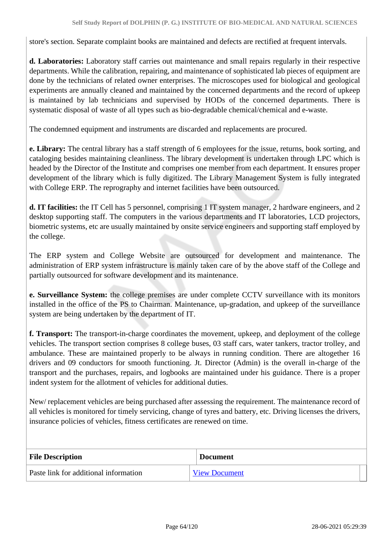store's section. Separate complaint books are maintained and defects are rectified at frequent intervals.

**d. Laboratories:** Laboratory staff carries out maintenance and small repairs regularly in their respective departments. While the calibration, repairing, and maintenance of sophisticated lab pieces of equipment are done by the technicians of related owner enterprises. The microscopes used for biological and geological experiments are annually cleaned and maintained by the concerned departments and the record of upkeep is maintained by lab technicians and supervised by HODs of the concerned departments. There is systematic disposal of waste of all types such as bio-degradable chemical/chemical and e-waste.

The condemned equipment and instruments are discarded and replacements are procured.

**e. Library:** The central library has a staff strength of 6 employees for the issue, returns, book sorting, and cataloging besides maintaining cleanliness. The library development is undertaken through LPC which is headed by the Director of the Institute and comprises one member from each department. It ensures proper development of the library which is fully digitized. The Library Management System is fully integrated with College ERP. The reprography and internet facilities have been outsourced.

**d. IT facilities:** the IT Cell has 5 personnel, comprising 1 IT system manager, 2 hardware engineers, and 2 desktop supporting staff. The computers in the various departments and IT laboratories, LCD projectors, biometric systems, etc are usually maintained by onsite service engineers and supporting staff employed by the college.

The ERP system and College Website are outsourced for development and maintenance. The administration of ERP system infrastructure is mainly taken care of by the above staff of the College and partially outsourced for software development and its maintenance.

**e. Surveillance System:** the college premises are under complete CCTV surveillance with its monitors installed in the office of the PS to Chairman. Maintenance, up-gradation, and upkeep of the surveillance system are being undertaken by the department of IT.

**f. Transport:** The transport-in-charge coordinates the movement, upkeep, and deployment of the college vehicles. The transport section comprises 8 college buses, 03 staff cars, water tankers, tractor trolley, and ambulance. These are maintained properly to be always in running condition. There are altogether 16 drivers and 09 conductors for smooth functioning. Jt. Director (Admin) is the overall in-charge of the transport and the purchases, repairs, and logbooks are maintained under his guidance. There is a proper indent system for the allotment of vehicles for additional duties.

New/ replacement vehicles are being purchased after assessing the requirement. The maintenance record of all vehicles is monitored for timely servicing, change of tyres and battery, etc. Driving licenses the drivers, insurance policies of vehicles, fitness certificates are renewed on time.

| <b>File Description</b>               | <b>Document</b>      |
|---------------------------------------|----------------------|
| Paste link for additional information | <b>View Document</b> |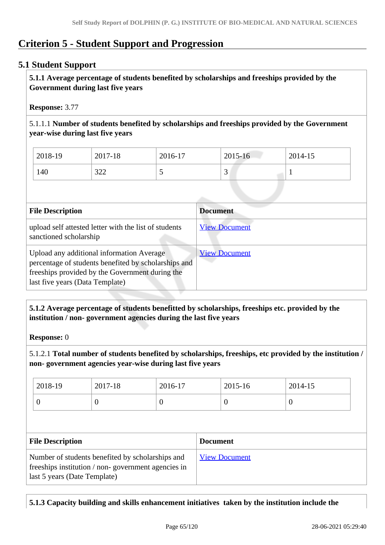# **Criterion 5 - Student Support and Progression**

## **5.1 Student Support**

 **5.1.1 Average percentage of students benefited by scholarships and freeships provided by the Government during last five years** 

#### **Response:** 3.77

5.1.1.1 **Number of students benefited by scholarships and freeships provided by the Government year-wise during last five years**

| 2018-19 | 2017-18       | 2016-17 | 2015-16 | 2014-15 |
|---------|---------------|---------|---------|---------|
| 140     | 222<br>ے بے ت | ັ       | ⌒<br>້  |         |

| <b>File Description</b>                                                                                                                                                                 | <b>Document</b>      |
|-----------------------------------------------------------------------------------------------------------------------------------------------------------------------------------------|----------------------|
| upload self attested letter with the list of students<br>sanctioned scholarship                                                                                                         | <b>View Document</b> |
| Upload any additional information Average<br>percentage of students benefited by scholarships and<br>freeships provided by the Government during the<br>last five years (Data Template) | <b>View Document</b> |

#### **5.1.2 Average percentage of students benefitted by scholarships, freeships etc. provided by the institution / non- government agencies during the last five years**

**Response:** 0

## 5.1.2.1 **Total number of students benefited by scholarships, freeships, etc provided by the institution / non- government agencies year-wise during last five years**

| 2018-19 | 2017-18 | 2016-17 | 2015-16 | 2014-15 |
|---------|---------|---------|---------|---------|
|         | U       | ν       | ິ       |         |

| <b>File Description</b>                                                                                                                | <b>Document</b>      |
|----------------------------------------------------------------------------------------------------------------------------------------|----------------------|
| Number of students benefited by scholarships and<br>freeships institution / non-government agencies in<br>last 5 years (Date Template) | <b>View Document</b> |

**5.1.3 Capacity building and skills enhancement initiatives taken by the institution include the**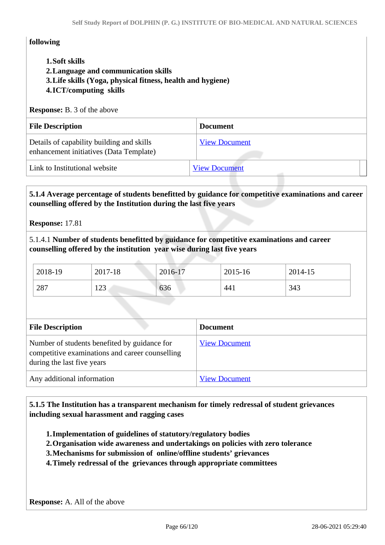#### **following**

- **1.Soft skills**
- **2.Language and communication skills**
- **3.Life skills (Yoga, physical fitness, health and hygiene)**
- **4.ICT/computing skills**

#### **Response:** B. 3 of the above

| <b>File Description</b>                                                              | <b>Document</b>      |
|--------------------------------------------------------------------------------------|----------------------|
| Details of capability building and skills<br>enhancement initiatives (Data Template) | <b>View Document</b> |
| Link to Institutional website                                                        | <b>View Document</b> |

 **5.1.4 Average percentage of students benefitted by guidance for competitive examinations and career counselling offered by the Institution during the last five years**

**Response:** 17.81

5.1.4.1 **Number of students benefitted by guidance for competitive examinations and career counselling offered by the institution year wise during last five years**

| 2018-19 | 2017-18       | 2016-17 | $2015 - 16$ | 2014-15 |
|---------|---------------|---------|-------------|---------|
| 287     | $\cap$<br>12J | 636     | 441         | 343     |

| <b>File Description</b>                                                                                                       | <b>Document</b>      |
|-------------------------------------------------------------------------------------------------------------------------------|----------------------|
| Number of students benefited by guidance for<br>competitive examinations and career counselling<br>during the last five years | <b>View Document</b> |
| Any additional information                                                                                                    | <b>View Document</b> |

 **5.1.5 The Institution has a transparent mechanism for timely redressal of student grievances including sexual harassment and ragging cases**

- **1.Implementation of guidelines of statutory/regulatory bodies**
- **2.Organisation wide awareness and undertakings on policies with zero tolerance**
- **3.Mechanisms for submission of online/offline students' grievances**
- **4.Timely redressal of the grievances through appropriate committees**

**Response:** A. All of the above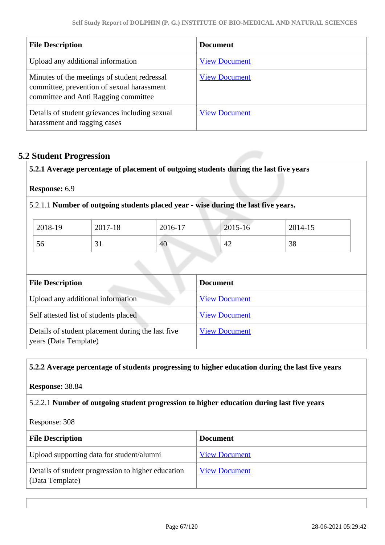| <b>File Description</b>                                                                                                            | <b>Document</b>      |
|------------------------------------------------------------------------------------------------------------------------------------|----------------------|
| Upload any additional information                                                                                                  | <b>View Document</b> |
| Minutes of the meetings of student redressal<br>committee, prevention of sexual harassment<br>committee and Anti Ragging committee | <b>View Document</b> |
| Details of student grievances including sexual<br>harassment and ragging cases                                                     | <b>View Document</b> |

# **5.2 Student Progression**

**5.2.1 Average percentage of placement of outgoing students during the last five years**

**Response:** 6.9

5.2.1.1 **Number of outgoing students placed year - wise during the last five years.**

| 2018-19 | 2017-18 | 2016-17 | 2015-16 | 2014-15 |
|---------|---------|---------|---------|---------|
| 56      | ັ້      | 40      | 42      | 38      |

| <b>File Description</b>                                                    | <b>Document</b>      |
|----------------------------------------------------------------------------|----------------------|
| Upload any additional information                                          | <b>View Document</b> |
| Self attested list of students placed                                      | <b>View Document</b> |
| Details of student placement during the last five<br>years (Data Template) | <b>View Document</b> |

#### **5.2.2 Average percentage of students progressing to higher education during the last five years**

#### **Response:** 38.84

5.2.2.1 **Number of outgoing student progression to higher education during last five years**

Response: 308

| <b>File Description</b>                                               | <b>Document</b>      |
|-----------------------------------------------------------------------|----------------------|
| Upload supporting data for student/alumni                             | <b>View Document</b> |
| Details of student progression to higher education<br>(Data Template) | <b>View Document</b> |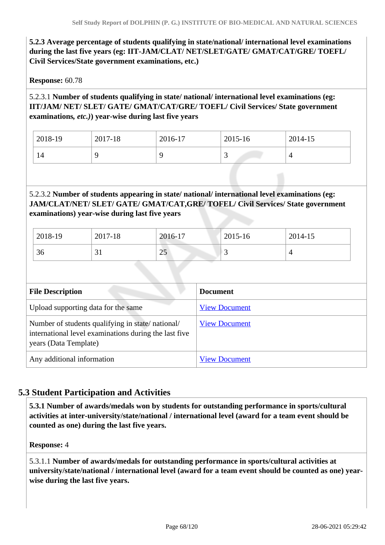## **5.2.3 Average percentage of students qualifying in state/national/ international level examinations during the last five years (eg: IIT-JAM/CLAT/ NET/SLET/GATE/ GMAT/CAT/GRE/ TOEFL/ Civil Services/State government examinations, etc.)**

**Response:** 60.78

## 5.2.3.1 **Number of students qualifying in state/ national/ international level examinations (eg: IIT/JAM/ NET/ SLET/ GATE/ GMAT/CAT/GRE/ TOEFL/ Civil Services/ State government examinations***, etc.)***) year-wise during last five years**

| 2018-19 | 2017-18 | 2016-17 | 2015-16 | 2014-15 |
|---------|---------|---------|---------|---------|
| 14      |         |         |         |         |

# 5.2.3.2 **Number of students appearing in state/ national/ international level examinations (eg: JAM/CLAT/NET/ SLET/ GATE/ GMAT/CAT,GRE/ TOFEL/ Civil Services/ State government examinations) year-wise during last five years**

| 2018-19 | 2017-18                | 2016-17 | 2015-16 | 2014-15 |
|---------|------------------------|---------|---------|---------|
| 36      | $\sim$<br>$\mathbf{v}$ | 25      | ັ       |         |

| <b>File Description</b>                                                                                                            | <b>Document</b>      |  |  |
|------------------------------------------------------------------------------------------------------------------------------------|----------------------|--|--|
| Upload supporting data for the same                                                                                                | <b>View Document</b> |  |  |
| Number of students qualifying in state/national/<br>international level examinations during the last five<br>years (Data Template) | <b>View Document</b> |  |  |
| Any additional information                                                                                                         | <b>View Document</b> |  |  |

# **5.3 Student Participation and Activities**

 **5.3.1 Number of awards/medals won by students for outstanding performance in sports/cultural activities at inter-university/state/national / international level (award for a team event should be counted as one) during the last five years.**

**Response:** 4

5.3.1.1 **Number of awards/medals for outstanding performance in sports/cultural activities at university/state/national / international level (award for a team event should be counted as one) yearwise during the last five years.**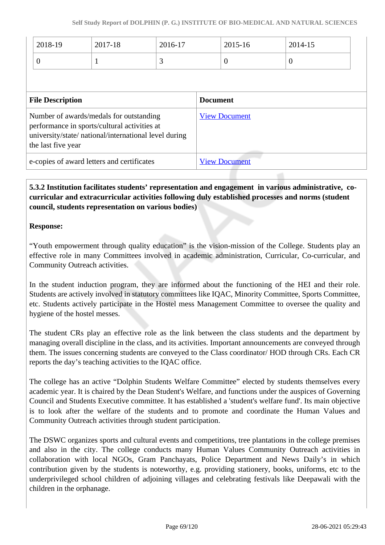|                                                                                                                                                                        | 2018-19        | 2017-18 | 2016-17              | 2015-16              |          | 2014-15 |          |  |
|------------------------------------------------------------------------------------------------------------------------------------------------------------------------|----------------|---------|----------------------|----------------------|----------|---------|----------|--|
|                                                                                                                                                                        | $\overline{0}$ |         | 3                    |                      | $\theta$ |         | $\theta$ |  |
|                                                                                                                                                                        |                |         |                      |                      |          |         |          |  |
| <b>File Description</b>                                                                                                                                                |                |         | <b>Document</b>      |                      |          |         |          |  |
| Number of awards/medals for outstanding<br>performance in sports/cultural activities at<br>university/state/ national/international level during<br>the last five year |                |         | <b>View Document</b> |                      |          |         |          |  |
| e-copies of award letters and certificates                                                                                                                             |                |         |                      | <b>View Document</b> |          |         |          |  |

## **5.3.2 Institution facilitates students' representation and engagement in various administrative, cocurricular and extracurricular activities following duly established processes and norms (student council, students representation on various bodies)**

#### **Response:**

"Youth empowerment through quality education" is the vision-mission of the College. Students play an effective role in many Committees involved in academic administration, Curricular, Co-curricular, and Community Outreach activities.

In the student induction program, they are informed about the functioning of the HEI and their role. Students are actively involved in statutory committees like IQAC, Minority Committee, Sports Committee, etc. Students actively participate in the Hostel mess Management Committee to oversee the quality and hygiene of the hostel messes.

The student CRs play an effective role as the link between the class students and the department by managing overall discipline in the class, and its activities. Important announcements are conveyed through them. The issues concerning students are conveyed to the Class coordinator/ HOD through CRs. Each CR reports the day's teaching activities to the IQAC office.

The college has an active "Dolphin Students Welfare Committee" elected by students themselves every academic year. It is chaired by the Dean Student's Welfare, and functions under the auspices of Governing Council and Students Executive committee. It has established a 'student's welfare fund'. Its main objective is to look after the welfare of the students and to promote and coordinate the Human Values and Community Outreach activities through student participation.

The DSWC organizes sports and cultural events and competitions, tree plantations in the college premises and also in the city. The college conducts many Human Values Community Outreach activities in collaboration with local NGOs, Gram Panchayats, Police Department and News Daily's in which contribution given by the students is noteworthy, e.g. providing stationery, books, uniforms, etc to the underprivileged school children of adjoining villages and celebrating festivals like Deepawali with the children in the orphanage.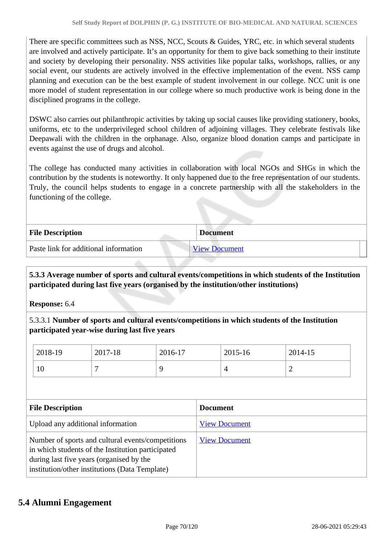There are specific committees such as NSS, NCC, Scouts & Guides, YRC, etc. in which several students are involved and actively participate. It's an opportunity for them to give back something to their institute and society by developing their personality. NSS activities like popular talks, workshops, rallies, or any social event, our students are actively involved in the effective implementation of the event. NSS camp planning and execution can be the best example of student involvement in our college. NCC unit is one more model of student representation in our college where so much productive work is being done in the disciplined programs in the college.

DSWC also carries out philanthropic activities by taking up social causes like providing stationery, books, uniforms, etc to the underprivileged school children of adjoining villages. They celebrate festivals like Deepawali with the children in the orphanage. Also, organize blood donation camps and participate in events against the use of drugs and alcohol.

The college has conducted many activities in collaboration with local NGOs and SHGs in which the contribution by the students is noteworthy. It only happened due to the free representation of our students. Truly, the council helps students to engage in a concrete partnership with all the stakeholders in the functioning of the college.

| <b>File Description</b>               | <b>Document</b>      |
|---------------------------------------|----------------------|
| Paste link for additional information | <b>View Document</b> |

 **5.3.3 Average number of sports and cultural events/competitions in which students of the Institution participated during last five years (organised by the institution/other institutions)**

**Response:** 6.4

5.3.3.1 **Number of sports and cultural events/competitions in which students of the Institution participated year-wise during last five years**

| 2018-19                                                                                                                                                                                              | 2017-18 | 2016-17         |                      | 2015-16              | 2014-15        |
|------------------------------------------------------------------------------------------------------------------------------------------------------------------------------------------------------|---------|-----------------|----------------------|----------------------|----------------|
| 10                                                                                                                                                                                                   | 7       | 9               |                      | $\overline{4}$       | $\overline{2}$ |
|                                                                                                                                                                                                      |         |                 |                      |                      |                |
| <b>File Description</b>                                                                                                                                                                              |         | <b>Document</b> |                      |                      |                |
| Upload any additional information                                                                                                                                                                    |         |                 | <b>View Document</b> |                      |                |
| Number of sports and cultural events/competitions<br>in which students of the Institution participated<br>during last five years (organised by the<br>institution/other institutions (Data Template) |         |                 |                      | <b>View Document</b> |                |

## **5.4 Alumni Engagement**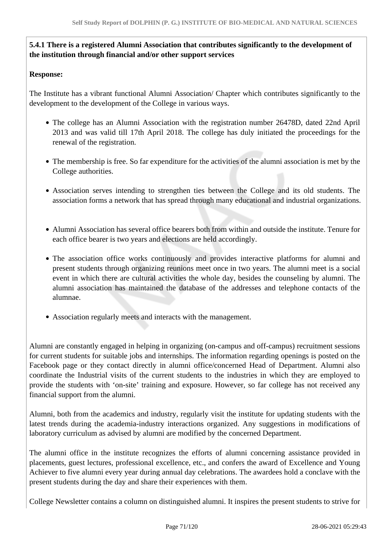## **5.4.1 There is a registered Alumni Association that contributes significantly to the development of the institution through financial and/or other support services**

#### **Response:**

The Institute has a vibrant functional Alumni Association/ Chapter which contributes significantly to the development to the development of the College in various ways.

- The college has an Alumni Association with the registration number 26478D, dated 22nd April 2013 and was valid till 17th April 2018. The college has duly initiated the proceedings for the renewal of the registration.
- The membership is free. So far expenditure for the activities of the alumni association is met by the College authorities.
- Association serves intending to strengthen ties between the College and its old students. The association forms a network that has spread through many educational and industrial organizations.
- Alumni Association has several office bearers both from within and outside the institute. Tenure for each office bearer is two years and elections are held accordingly.
- The association office works continuously and provides interactive platforms for alumni and present students through organizing reunions meet once in two years. The alumni meet is a social event in which there are cultural activities the whole day, besides the counseling by alumni. The alumni association has maintained the database of the addresses and telephone contacts of the alumnae.
- Association regularly meets and interacts with the management.

Alumni are constantly engaged in helping in organizing (on-campus and off-campus) recruitment sessions for current students for suitable jobs and internships. The information regarding openings is posted on the Facebook page or they contact directly in alumni office/concerned Head of Department. Alumni also coordinate the Industrial visits of the current students to the industries in which they are employed to provide the students with 'on-site' training and exposure. However, so far college has not received any financial support from the alumni.

Alumni, both from the academics and industry, regularly visit the institute for updating students with the latest trends during the academia-industry interactions organized. Any suggestions in modifications of laboratory curriculum as advised by alumni are modified by the concerned Department.

The alumni office in the institute recognizes the efforts of alumni concerning assistance provided in placements, guest lectures, professional excellence, etc., and confers the award of Excellence and Young Achiever to five alumni every year during annual day celebrations. The awardees hold a conclave with the present students during the day and share their experiences with them.

College Newsletter contains a column on distinguished alumni. It inspires the present students to strive for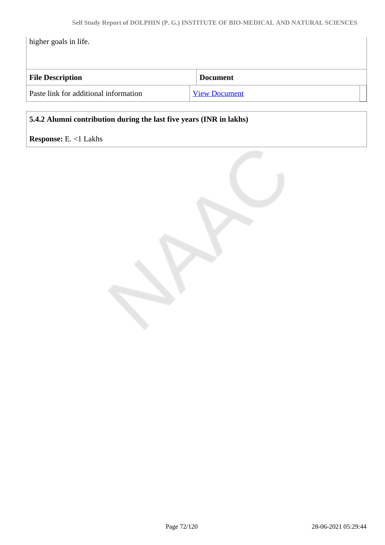higher goals in life.

| <b>File Description</b>               | <b>Document</b>      |  |
|---------------------------------------|----------------------|--|
| Paste link for additional information | <b>View Document</b> |  |

## **5.4.2 Alumni contribution during the last five years (INR in lakhs)**

#### **Response:** E. <1 Lakhs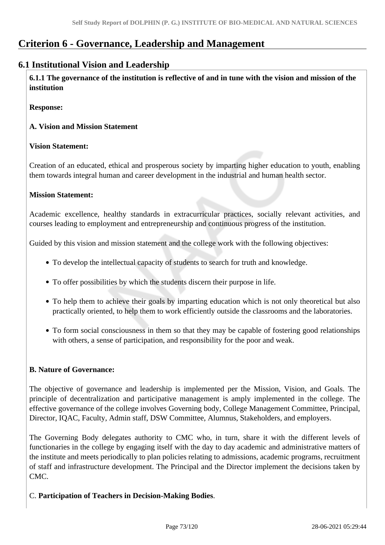# **Criterion 6 - Governance, Leadership and Management**

# **6.1 Institutional Vision and Leadership**

 **6.1.1 The governance of the institution is reflective of and in tune with the vision and mission of the institution**

**Response:** 

## **A. Vision and Mission Statement**

## **Vision Statement:**

Creation of an educated, ethical and prosperous society by imparting higher education to youth, enabling them towards integral human and career development in the industrial and human health sector.

## **Mission Statement:**

Academic excellence, healthy standards in extracurricular practices, socially relevant activities, and courses leading to employment and entrepreneurship and continuous progress of the institution.

Guided by this vision and mission statement and the college work with the following objectives:

- To develop the intellectual capacity of students to search for truth and knowledge.
- To offer possibilities by which the students discern their purpose in life.
- To help them to achieve their goals by imparting education which is not only theoretical but also practically oriented, to help them to work efficiently outside the classrooms and the laboratories.
- To form social consciousness in them so that they may be capable of fostering good relationships with others, a sense of participation, and responsibility for the poor and weak.

## **B. Nature of Governance:**

The objective of governance and leadership is implemented per the Mission, Vision, and Goals. The principle of decentralization and participative management is amply implemented in the college. The effective governance of the college involves Governing body, College Management Committee, Principal, Director, IQAC, Faculty, Admin staff, DSW Committee, Alumnus, Stakeholders, and employers.

The Governing Body delegates authority to CMC who, in turn, share it with the different levels of functionaries in the college by engaging itself with the day to day academic and administrative matters of the institute and meets periodically to plan policies relating to admissions, academic programs, recruitment of staff and infrastructure development. The Principal and the Director implement the decisions taken by CMC.

C. **Participation of Teachers in Decision-Making Bodies**.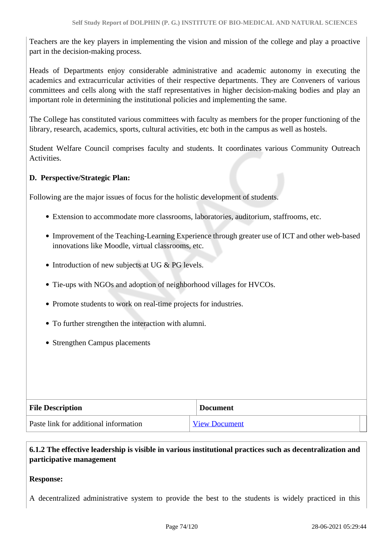Teachers are the key players in implementing the vision and mission of the college and play a proactive part in the decision-making process.

Heads of Departments enjoy considerable administrative and academic autonomy in executing the academics and extracurricular activities of their respective departments. They are Conveners of various committees and cells along with the staff representatives in higher decision-making bodies and play an important role in determining the institutional policies and implementing the same.

The College has constituted various committees with faculty as members for the proper functioning of the library, research, academics, sports, cultural activities, etc both in the campus as well as hostels.

Student Welfare Council comprises faculty and students. It coordinates various Community Outreach Activities.

# **D. Perspective/Strategic Plan:**

Following are the major issues of focus for the holistic development of students.

- Extension to accommodate more classrooms, laboratories, auditorium, staffrooms, etc.
- Improvement of the Teaching-Learning Experience through greater use of ICT and other web-based innovations like Moodle, virtual classrooms, etc.
- Introduction of new subjects at UG & PG levels.
- Tie-ups with NGOs and adoption of neighborhood villages for HVCOs.
- Promote students to work on real-time projects for industries.
- To further strengthen the interaction with alumni.
- Strengthen Campus placements

| <b>File Description</b>               | <b>Document</b>      |
|---------------------------------------|----------------------|
| Paste link for additional information | <b>View Document</b> |

# **6.1.2 The effective leadership is visible in various institutional practices such as decentralization and participative management**

## **Response:**

A decentralized administrative system to provide the best to the students is widely practiced in this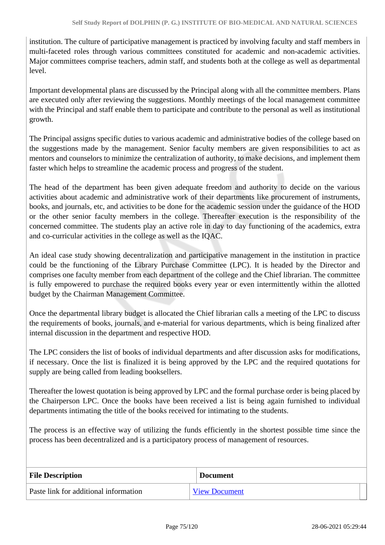institution. The culture of participative management is practiced by involving faculty and staff members in multi-faceted roles through various committees constituted for academic and non-academic activities. Major committees comprise teachers, admin staff, and students both at the college as well as departmental level.

Important developmental plans are discussed by the Principal along with all the committee members. Plans are executed only after reviewing the suggestions. Monthly meetings of the local management committee with the Principal and staff enable them to participate and contribute to the personal as well as institutional growth.

The Principal assigns specific duties to various academic and administrative bodies of the college based on the suggestions made by the management. Senior faculty members are given responsibilities to act as mentors and counselors to minimize the centralization of authority, to make decisions, and implement them faster which helps to streamline the academic process and progress of the student.

The head of the department has been given adequate freedom and authority to decide on the various activities about academic and administrative work of their departments like procurement of instruments, books, and journals, etc, and activities to be done for the academic session under the guidance of the HOD or the other senior faculty members in the college. Thereafter execution is the responsibility of the concerned committee. The students play an active role in day to day functioning of the academics, extra and co-curricular activities in the college as well as the IQAC.

An ideal case study showing decentralization and participative management in the institution in practice could be the functioning of the Library Purchase Committee (LPC). It is headed by the Director and comprises one faculty member from each department of the college and the Chief librarian. The committee is fully empowered to purchase the required books every year or even intermittently within the allotted budget by the Chairman Management Committee.

Once the departmental library budget is allocated the Chief librarian calls a meeting of the LPC to discuss the requirements of books, journals, and e-material for various departments, which is being finalized after internal discussion in the department and respective HOD.

The LPC considers the list of books of individual departments and after discussion asks for modifications, if necessary. Once the list is finalized it is being approved by the LPC and the required quotations for supply are being called from leading booksellers.

Thereafter the lowest quotation is being approved by LPC and the formal purchase order is being placed by the Chairperson LPC. Once the books have been received a list is being again furnished to individual departments intimating the title of the books received for intimating to the students.

The process is an effective way of utilizing the funds efficiently in the shortest possible time since the process has been decentralized and is a participatory process of management of resources.

| <b>File Description</b>               | <b>Document</b>      |
|---------------------------------------|----------------------|
| Paste link for additional information | <b>View Document</b> |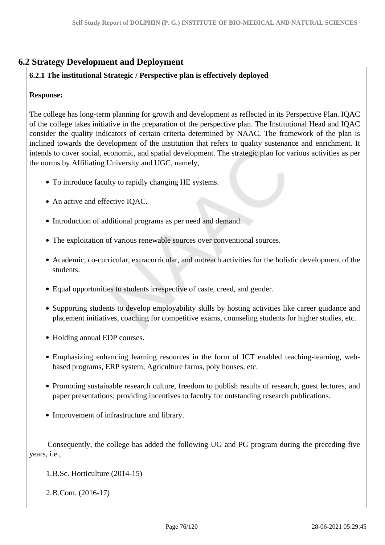# **6.2 Strategy Development and Deployment**

## **6.2.1 The institutional Strategic / Perspective plan is effectively deployed**

#### **Response:**

The college has long-term planning for growth and development as reflected in its Perspective Plan. IQAC of the college takes initiative in the preparation of the perspective plan. The Institutional Head and IQAC consider the quality indicators of certain criteria determined by NAAC. The framework of the plan is inclined towards the development of the institution that refers to quality sustenance and enrichment. It intends to cover social, economic, and spatial development. The strategic plan for various activities as per the norms by Affiliating University and UGC, namely,

- To introduce faculty to rapidly changing HE systems.
- An active and effective IQAC.
- Introduction of additional programs as per need and demand.
- The exploitation of various renewable sources over conventional sources.
- Academic, co-curricular, extracurricular, and outreach activities for the holistic development of the students.
- Equal opportunities to students irrespective of caste, creed, and gender.
- Supporting students to develop employability skills by hosting activities like career guidance and placement initiatives, coaching for competitive exams, counseling students for higher studies, etc.
- Holding annual EDP courses.
- Emphasizing enhancing learning resources in the form of ICT enabled teaching-learning, webbased programs, ERP system, Agriculture farms, poly houses, etc.
- Promoting sustainable research culture, freedom to publish results of research, guest lectures, and paper presentations; providing incentives to faculty for outstanding research publications.
- Improvement of infrastructure and library.

 Consequently, the college has added the following UG and PG program during the preceding five years, i.e.,

1.B.Sc. Horticulture (2014-15)

2.B.Com. (2016-17)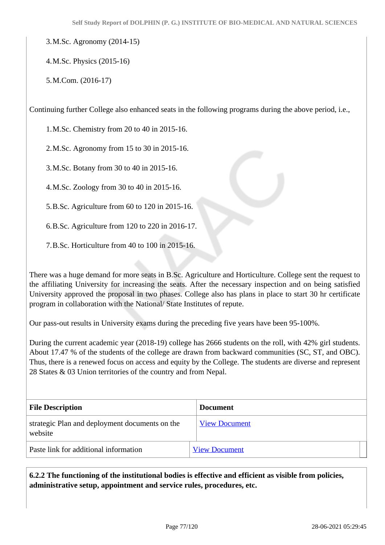3.M.Sc. Agronomy (2014-15)

4.M.Sc. Physics (2015-16)

5.M.Com. (2016-17)

Continuing further College also enhanced seats in the following programs during the above period, i.e.,

1.M.Sc. Chemistry from 20 to 40 in 2015-16.

2.M.Sc. Agronomy from 15 to 30 in 2015-16.

3.M.Sc. Botany from 30 to 40 in 2015-16.

4.M.Sc. Zoology from 30 to 40 in 2015-16.

5.B.Sc. Agriculture from 60 to 120 in 2015-16.

6.B.Sc. Agriculture from 120 to 220 in 2016-17.

7.B.Sc. Horticulture from 40 to 100 in 2015-16.

There was a huge demand for more seats in B.Sc. Agriculture and Horticulture. College sent the request to the affiliating University for increasing the seats. After the necessary inspection and on being satisfied University approved the proposal in two phases. College also has plans in place to start 30 hr certificate program in collaboration with the National/ State Institutes of repute.

Our pass-out results in University exams during the preceding five years have been 95-100%.

During the current academic year (2018-19) college has 2666 students on the roll, with 42% girl students. About 17.47 % of the students of the college are drawn from backward communities (SC, ST, and OBC). Thus, there is a renewed focus on access and equity by the College. The students are diverse and represent 28 States & 03 Union territories of the country and from Nepal.

| <b>File Description</b>                                   | <b>Document</b>      |
|-----------------------------------------------------------|----------------------|
| strategic Plan and deployment documents on the<br>website | <b>View Document</b> |
| Paste link for additional information                     | <b>View Document</b> |

 **6.2.2 The functioning of the institutional bodies is effective and efficient as visible from policies, administrative setup, appointment and service rules, procedures, etc.**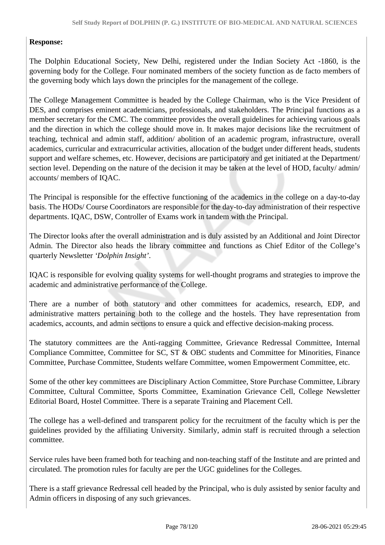# **Response:**

The Dolphin Educational Society, New Delhi, registered under the Indian Society Act -1860, is the governing body for the College. Four nominated members of the society function as de facto members of the governing body which lays down the principles for the management of the college.

The College Management Committee is headed by the College Chairman, who is the Vice President of DES, and comprises eminent academicians, professionals, and stakeholders. The Principal functions as a member secretary for the CMC. The committee provides the overall guidelines for achieving various goals and the direction in which the college should move in. It makes major decisions like the recruitment of teaching, technical and admin staff, addition/ abolition of an academic program, infrastructure, overall academics, curricular and extracurricular activities, allocation of the budget under different heads, students support and welfare schemes, etc. However, decisions are participatory and get initiated at the Department/ section level. Depending on the nature of the decision it may be taken at the level of HOD, faculty/ admin/ accounts/ members of IQAC.

The Principal is responsible for the effective functioning of the academics in the college on a day-to-day basis. The HODs/ Course Coordinators are responsible for the day-to-day administration of their respective departments. IQAC, DSW, Controller of Exams work in tandem with the Principal.

The Director looks after the overall administration and is duly assisted by an Additional and Joint Director Admin. The Director also heads the library committee and functions as Chief Editor of the College's quarterly Newsletter *'Dolphin Insight'*.

IQAC is responsible for evolving quality systems for well-thought programs and strategies to improve the academic and administrative performance of the College.

There are a number of both statutory and other committees for academics, research, EDP, and administrative matters pertaining both to the college and the hostels. They have representation from academics, accounts, and admin sections to ensure a quick and effective decision-making process.

The statutory committees are the Anti-ragging Committee, Grievance Redressal Committee, Internal Compliance Committee, Committee for SC, ST & OBC students and Committee for Minorities, Finance Committee, Purchase Committee, Students welfare Committee, women Empowerment Committee, etc.

Some of the other key committees are Disciplinary Action Committee, Store Purchase Committee, Library Committee, Cultural Committee, Sports Committee, Examination Grievance Cell, College Newsletter Editorial Board, Hostel Committee. There is a separate Training and Placement Cell.

The college has a well-defined and transparent policy for the recruitment of the faculty which is per the guidelines provided by the affiliating University. Similarly, admin staff is recruited through a selection committee.

Service rules have been framed both for teaching and non-teaching staff of the Institute and are printed and circulated. The promotion rules for faculty are per the UGC guidelines for the Colleges.

There is a staff grievance Redressal cell headed by the Principal, who is duly assisted by senior faculty and Admin officers in disposing of any such grievances.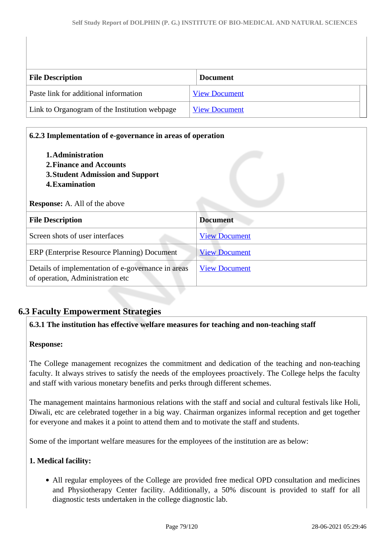| <b>File Description</b>                       | <b>Document</b>      |  |
|-----------------------------------------------|----------------------|--|
| Paste link for additional information         | <b>View Document</b> |  |
| Link to Organogram of the Institution webpage | <b>View Document</b> |  |

| 6.2.3 Implementation of e-governance in areas of operation<br>1. Administration<br>2. Finance and Accounts<br>3. Student Admission and Support<br>4. Examination |                      |
|------------------------------------------------------------------------------------------------------------------------------------------------------------------|----------------------|
| <b>Response:</b> A. All of the above                                                                                                                             |                      |
| <b>File Description</b>                                                                                                                                          | <b>Document</b>      |
| Screen shots of user interfaces                                                                                                                                  | <b>View Document</b> |
| ERP (Enterprise Resource Planning) Document                                                                                                                      | <b>View Document</b> |
| Details of implementation of e-governance in areas<br>of operation, Administration etc                                                                           | <b>View Document</b> |

# **6.3 Faculty Empowerment Strategies**

#### **6.3.1 The institution has effective welfare measures for teaching and non-teaching staff**

#### **Response:**

The College management recognizes the commitment and dedication of the teaching and non-teaching faculty. It always strives to satisfy the needs of the employees proactively. The College helps the faculty and staff with various monetary benefits and perks through different schemes.

The management maintains harmonious relations with the staff and social and cultural festivals like Holi, Diwali, etc are celebrated together in a big way. Chairman organizes informal reception and get together for everyone and makes it a point to attend them and to motivate the staff and students.

Some of the important welfare measures for the employees of the institution are as below:

#### **1. Medical facility:**

All regular employees of the College are provided free medical OPD consultation and medicines and Physiotherapy Center facility. Additionally, a 50% discount is provided to staff for all diagnostic tests undertaken in the college diagnostic lab.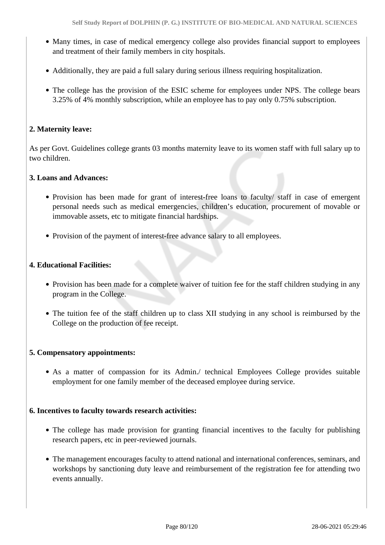- Many times, in case of medical emergency college also provides financial support to employees and treatment of their family members in city hospitals.
- Additionally, they are paid a full salary during serious illness requiring hospitalization.
- The college has the provision of the ESIC scheme for employees under NPS. The college bears 3.25% of 4% monthly subscription, while an employee has to pay only 0.75% subscription.

## **2. Maternity leave:**

As per Govt. Guidelines college grants 03 months maternity leave to its women staff with full salary up to two children.

## **3. Loans and Advances:**

- Provision has been made for grant of interest-free loans to faculty/ staff in case of emergent personal needs such as medical emergencies, children's education, procurement of movable or immovable assets, etc to mitigate financial hardships.
- Provision of the payment of interest-free advance salary to all employees.

## **4. Educational Facilities:**

- Provision has been made for a complete waiver of tuition fee for the staff children studying in any program in the College.
- The tuition fee of the staff children up to class XII studying in any school is reimbursed by the College on the production of fee receipt.

#### **5. Compensatory appointments:**

As a matter of compassion for its Admin./ technical Employees College provides suitable employment for one family member of the deceased employee during service.

#### **6. Incentives to faculty towards research activities:**

- The college has made provision for granting financial incentives to the faculty for publishing research papers, etc in peer-reviewed journals.
- The management encourages faculty to attend national and international conferences, seminars, and workshops by sanctioning duty leave and reimbursement of the registration fee for attending two events annually.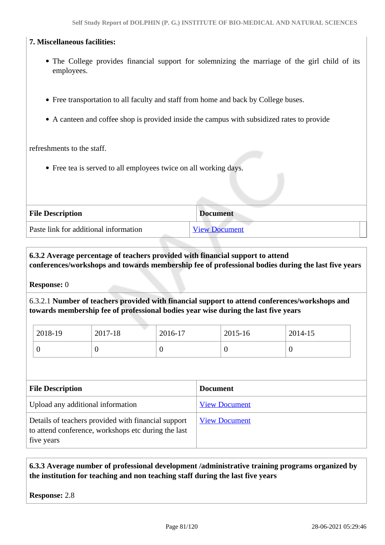## **7. Miscellaneous facilities:**

- The College provides financial support for solemnizing the marriage of the girl child of its employees.
- Free transportation to all faculty and staff from home and back by College buses.
- A canteen and coffee shop is provided inside the campus with subsidized rates to provide

refreshments to the staff.

• Free tea is served to all employees twice on all working days.

| <b>File Description</b>               | <b>Document</b>      |
|---------------------------------------|----------------------|
| Paste link for additional information | <b>View Document</b> |

 **6.3.2 Average percentage of teachers provided with financial support to attend conferences/workshops and towards membership fee of professional bodies during the last five years**

**Response:** 0

6.3.2.1 **Number of teachers provided with financial support to attend conferences/workshops and towards membership fee of professional bodies year wise during the last five years**

| 2018-19 | 2017-18 | 2016-17 | 2015-16  | 2014-15 |
|---------|---------|---------|----------|---------|
|         |         |         | $\theta$ | ◡       |

| <b>File Description</b>                                                                                                  | <b>Document</b>      |
|--------------------------------------------------------------------------------------------------------------------------|----------------------|
| Upload any additional information                                                                                        | <b>View Document</b> |
| Details of teachers provided with financial support<br>to attend conference, workshops etc during the last<br>five years | <b>View Document</b> |

 **6.3.3 Average number of professional development /administrative training programs organized by the institution for teaching and non teaching staff during the last five years**

**Response:** 2.8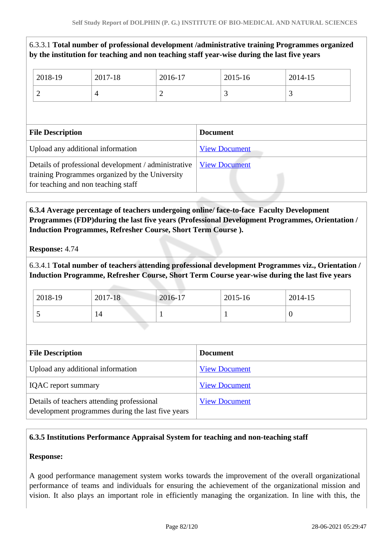# 6.3.3.1 **Total number of professional development /administrative training Programmes organized by the institution for teaching and non teaching staff year-wise during the last five years**

| 2018-19                                                                                                                                        | 2017-18 | 2016-17              |   | 2015-16 | 2014-15 |
|------------------------------------------------------------------------------------------------------------------------------------------------|---------|----------------------|---|---------|---------|
| $\overline{2}$                                                                                                                                 | 4       | $\overline{2}$       | 3 |         | 3       |
|                                                                                                                                                |         |                      |   |         |         |
| <b>File Description</b>                                                                                                                        |         | <b>Document</b>      |   |         |         |
| Upload any additional information                                                                                                              |         | <b>View Document</b> |   |         |         |
| Details of professional development / administrative<br>training Programmes organized by the University<br>for teaching and non teaching staff |         | <b>View Document</b> |   |         |         |

 **6.3.4 Average percentage of teachers undergoing online/ face-to-face Faculty Development Programmes (FDP)during the last five years (Professional Development Programmes, Orientation / Induction Programmes, Refresher Course, Short Term Course ).**

## **Response:** 4.74

6.3.4.1 **Total number of teachers attending professional development Programmes viz., Orientation / Induction Programme, Refresher Course, Short Term Course year-wise during the last five years**

| 2018-19 | 2017-18 | 2016-17 | 2015-16 | 2014-15 |
|---------|---------|---------|---------|---------|
| ັ       | 14      |         |         |         |

| <b>File Description</b>                                                                         | <b>Document</b>      |
|-------------------------------------------------------------------------------------------------|----------------------|
| Upload any additional information                                                               | <b>View Document</b> |
| <b>IQAC</b> report summary                                                                      | <b>View Document</b> |
| Details of teachers attending professional<br>development programmes during the last five years | <b>View Document</b> |

## **6.3.5 Institutions Performance Appraisal System for teaching and non-teaching staff**

# **Response:**

A good performance management system works towards the improvement of the overall organizational performance of teams and individuals for ensuring the achievement of the organizational mission and vision. It also plays an important role in efficiently managing the organization. In line with this, the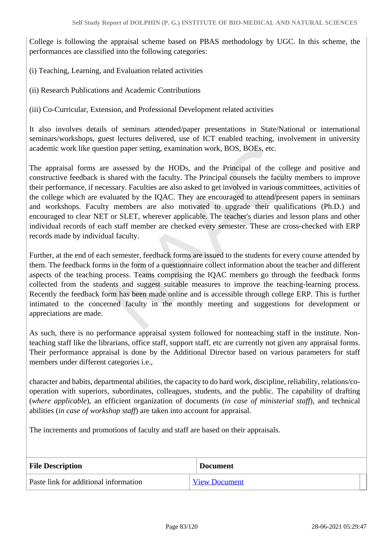College is following the appraisal scheme based on PBAS methodology by UGC. In this scheme, the performances are classified into the following categories:

(i) Teaching, Learning, and Evaluation related activities

(ii) Research Publications and Academic Contributions

(iii) Co-Curricular, Extension, and Professional Development related activities

It also involves details of seminars attended/paper presentations in State/National or international seminars/workshops, guest lectures delivered, use of ICT enabled teaching, involvement in university academic work like question paper setting, examination work, BOS, BOEs, etc.

The appraisal forms are assessed by the HODs, and the Principal of the college and positive and constructive feedback is shared with the faculty. The Principal counsels the faculty members to improve their performance, if necessary. Faculties are also asked to get involved in various committees, activities of the college which are evaluated by the IQAC. They are encouraged to attend/present papers in seminars and workshops. Faculty members are also motivated to upgrade their qualifications (Ph.D.) and encouraged to clear NET or SLET, wherever applicable. The teacher's diaries and lesson plans and other individual records of each staff member are checked every semester. These are cross-checked with ERP records made by individual faculty.

Further, at the end of each semester, feedback forms are issued to the students for every course attended by them. The feedback forms in the form of a questionnaire collect information about the teacher and different aspects of the teaching process. Teams comprising the IQAC members go through the feedback forms collected from the students and suggest suitable measures to improve the teaching-learning process. Recently the feedback form has been made online and is accessible through college ERP. This is further intimated to the concerned faculty in the monthly meeting and suggestions for development or appreciations are made.

As such, there is no performance appraisal system followed for nonteaching staff in the institute. Nonteaching staff like the librarians, office staff, support staff, etc are currently not given any appraisal forms. Their performance appraisal is done by the Additional Director based on various parameters for staff members under different categories i.e.,

character and habits, departmental abilities, the capacity to do hard work, discipline, reliability, relations/cooperation with superiors, subordinates, colleagues, students, and the public. The capability of drafting (*where applicable*), an efficient organization of documents (*in case of ministerial staff*), and technical abilities (*in case of workshop staff*) are taken into account for appraisal.

The increments and promotions of faculty and staff are based on their appraisals.

| <b>File Description</b>               | <b>Document</b>      |
|---------------------------------------|----------------------|
| Paste link for additional information | <b>View Document</b> |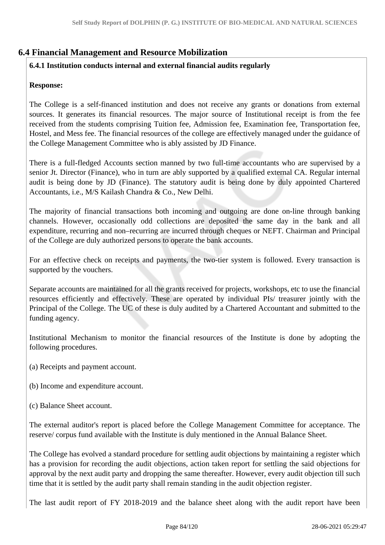# **6.4 Financial Management and Resource Mobilization**

## **6.4.1 Institution conducts internal and external financial audits regularly**

# **Response:**

The College is a self-financed institution and does not receive any grants or donations from external sources. It generates its financial resources. The major source of Institutional receipt is from the fee received from the students comprising Tuition fee, Admission fee, Examination fee, Transportation fee, Hostel, and Mess fee. The financial resources of the college are effectively managed under the guidance of the College Management Committee who is ably assisted by JD Finance.

There is a full-fledged Accounts section manned by two full-time accountants who are supervised by a senior Jt. Director (Finance), who in turn are ably supported by a qualified external CA. Regular internal audit is being done by JD (Finance). The statutory audit is being done by duly appointed Chartered Accountants, i.e., M/S Kailash Chandra & Co., New Delhi.

The majority of financial transactions both incoming and outgoing are done on-line through banking channels. However, occasionally odd collections are deposited the same day in the bank and all expenditure, recurring and non–recurring are incurred through cheques or NEFT. Chairman and Principal of the College are duly authorized persons to operate the bank accounts.

For an effective check on receipts and payments, the two-tier system is followed. Every transaction is supported by the vouchers.

Separate accounts are maintained for all the grants received for projects, workshops, etc to use the financial resources efficiently and effectively. These are operated by individual PIs/ treasurer jointly with the Principal of the College. The UC of these is duly audited by a Chartered Accountant and submitted to the funding agency.

Institutional Mechanism to monitor the financial resources of the Institute is done by adopting the following procedures.

- (a) Receipts and payment account.
- (b) Income and expenditure account.
- (c) Balance Sheet account.

The external auditor's report is placed before the College Management Committee for acceptance. The reserve/ corpus fund available with the Institute is duly mentioned in the Annual Balance Sheet.

The College has evolved a standard procedure for settling audit objections by maintaining a register which has a provision for recording the audit objections, action taken report for settling the said objections for approval by the next audit party and dropping the same thereafter. However, every audit objection till such time that it is settled by the audit party shall remain standing in the audit objection register.

The last audit report of FY 2018-2019 and the balance sheet along with the audit report have been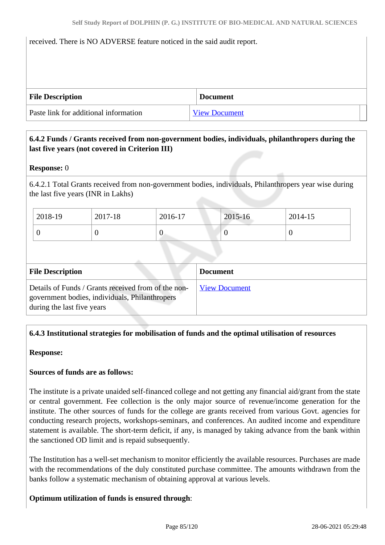# received. There is NO ADVERSE feature noticed in the said audit report.

| <b>File Description</b>               | <b>Document</b> |
|---------------------------------------|-----------------|
| Paste link for additional information | View Document   |

# **6.4.2 Funds / Grants received from non-government bodies, individuals, philanthropers during the last five years (not covered in Criterion III)**

## **Response:** 0

6.4.2.1 Total Grants received from non-government bodies, individuals, Philanthropers year wise during the last five years (INR in Lakhs)

| 2018-19 | 2017-18 | 2016-17 | 2015-16 | 2014-15 |
|---------|---------|---------|---------|---------|
|         | v       | ິ       |         | ν       |

| <b>File Description</b>                                                                                                             | <b>Document</b>      |
|-------------------------------------------------------------------------------------------------------------------------------------|----------------------|
| Details of Funds / Grants received from of the non-<br>government bodies, individuals, Philanthropers<br>during the last five years | <b>View Document</b> |

## **6.4.3 Institutional strategies for mobilisation of funds and the optimal utilisation of resources**

#### **Response:**

#### **Sources of funds are as follows:**

The institute is a private unaided self-financed college and not getting any financial aid/grant from the state or central government. Fee collection is the only major source of revenue/income generation for the institute. The other sources of funds for the college are grants received from various Govt. agencies for conducting research projects, workshops-seminars, and conferences. An audited income and expenditure statement is available. The short-term deficit, if any, is managed by taking advance from the bank within the sanctioned OD limit and is repaid subsequently.

The Institution has a well-set mechanism to monitor efficiently the available resources. Purchases are made with the recommendations of the duly constituted purchase committee. The amounts withdrawn from the banks follow a systematic mechanism of obtaining approval at various levels.

## **Optimum utilization of funds is ensured through**: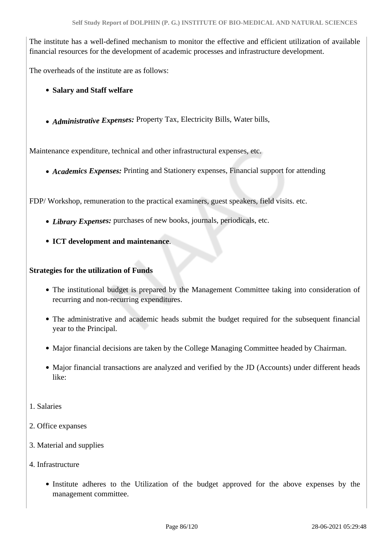The institute has a well-defined mechanism to monitor the effective and efficient utilization of available financial resources for the development of academic processes and infrastructure development.

The overheads of the institute are as follows:

- **Salary and Staff welfare**
- *Administrative Expenses:* Property Tax, Electricity Bills, Water bills,

Maintenance expenditure, technical and other infrastructural expenses, etc.

*Academics Expenses:* Printing and Stationery expenses, Financial support for attending

FDP/ Workshop, remuneration to the practical examiners, guest speakers, field visits. etc.

- *Library Expenses:* purchases of new books, journals, periodicals, etc.
- **ICT development and maintenance**.

## **Strategies for the utilization of Funds**

- The institutional budget is prepared by the Management Committee taking into consideration of recurring and non-recurring expenditures.
- The administrative and academic heads submit the budget required for the subsequent financial year to the Principal.
- Major financial decisions are taken by the College Managing Committee headed by Chairman.
- Major financial transactions are analyzed and verified by the JD (Accounts) under different heads like:
- 1. Salaries
- 2. Office expanses
- 3. Material and supplies
- 4. Infrastructure
	- Institute adheres to the Utilization of the budget approved for the above expenses by the management committee.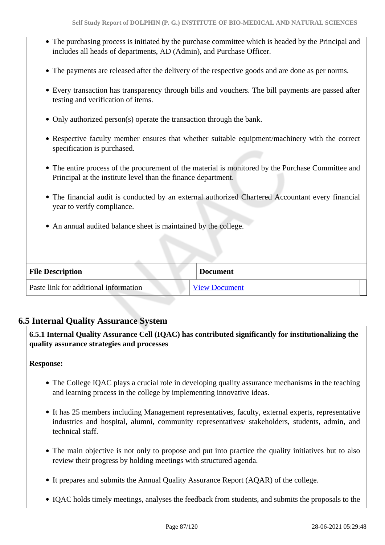- The purchasing process is initiated by the purchase committee which is headed by the Principal and includes all heads of departments, AD (Admin), and Purchase Officer.
- The payments are released after the delivery of the respective goods and are done as per norms.
- Every transaction has transparency through bills and vouchers. The bill payments are passed after testing and verification of items.
- Only authorized person(s) operate the transaction through the bank.
- Respective faculty member ensures that whether suitable equipment/machinery with the correct specification is purchased.
- The entire process of the procurement of the material is monitored by the Purchase Committee and Principal at the institute level than the finance department.
- The financial audit is conducted by an external authorized Chartered Accountant every financial year to verify compliance.
- An annual audited balance sheet is maintained by the college.

| <b>File Description</b>               | <b>Document</b>      |
|---------------------------------------|----------------------|
| Paste link for additional information | <b>View Document</b> |

# **6.5 Internal Quality Assurance System**

 **6.5.1 Internal Quality Assurance Cell (IQAC) has contributed significantly for institutionalizing the quality assurance strategies and processes**

## **Response:**

- The College IQAC plays a crucial role in developing quality assurance mechanisms in the teaching and learning process in the college by implementing innovative ideas.
- It has 25 members including Management representatives, faculty, external experts, representative industries and hospital, alumni, community representatives/ stakeholders, students, admin, and technical staff.
- The main objective is not only to propose and put into practice the quality initiatives but to also review their progress by holding meetings with structured agenda.
- It prepares and submits the Annual Quality Assurance Report (AQAR) of the college.
- IQAC holds timely meetings, analyses the feedback from students, and submits the proposals to the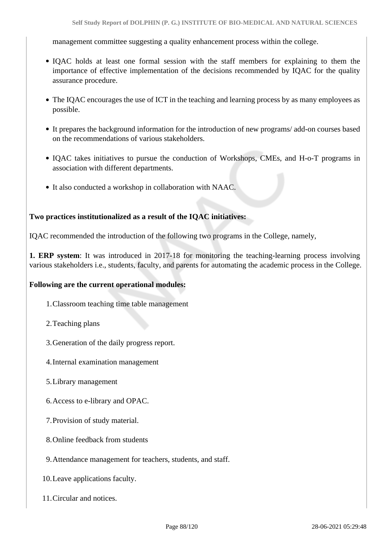management committee suggesting a quality enhancement process within the college.

- IQAC holds at least one formal session with the staff members for explaining to them the importance of effective implementation of the decisions recommended by IQAC for the quality assurance procedure.
- The IQAC encourages the use of ICT in the teaching and learning process by as many employees as possible.
- It prepares the background information for the introduction of new programs/ add-on courses based on the recommendations of various stakeholders.
- IQAC takes initiatives to pursue the conduction of Workshops, CMEs, and H-o-T programs in association with different departments.
- It also conducted a workshop in collaboration with NAAC.

## **Two practices institutionalized as a result of the IQAC initiatives:**

IQAC recommended the introduction of the following two programs in the College, namely,

**1. ERP system**: It was introduced in 2017-18 for monitoring the teaching-learning process involving various stakeholders i.e., students, faculty, and parents for automating the academic process in the College.

#### **Following are the current operational modules:**

- 1.Classroom teaching time table management
- 2.Teaching plans
- 3.Generation of the daily progress report.
- 4.Internal examination management
- 5.Library management
- 6.Access to e-library and OPAC.
- 7.Provision of study material.
- 8.Online feedback from students
- 9.Attendance management for teachers, students, and staff.
- 10.Leave applications faculty.
- 11.Circular and notices.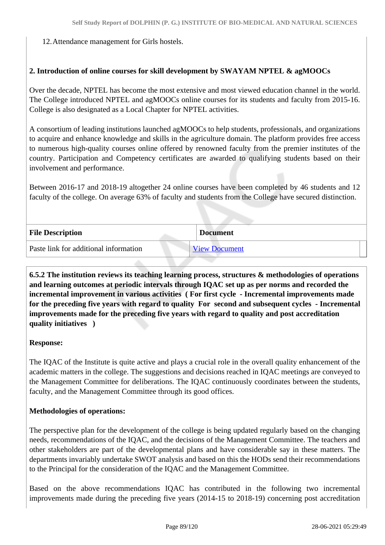12.Attendance management for Girls hostels.

## **2. Introduction of online courses for skill development by SWAYAM NPTEL & agMOOCs**

Over the decade, NPTEL has become the most extensive and most viewed education channel in the world. The College introduced NPTEL and agMOOCs online courses for its students and faculty from 2015-16. College is also designated as a Local Chapter for NPTEL activities.

A consortium of leading institutions launched agMOOCs to help students, professionals, and organizations to acquire and enhance knowledge and skills in the agriculture domain. The platform provides free access to numerous high-quality courses online offered by renowned faculty from the premier institutes of the country. Participation and Competency certificates are awarded to qualifying students based on their involvement and performance.

Between 2016-17 and 2018-19 altogether 24 online courses have been completed by 46 students and 12 faculty of the college. On average 63% of faculty and students from the College have secured distinction.

| <b>File Description</b>               | <b>Document</b>      |
|---------------------------------------|----------------------|
| Paste link for additional information | <b>View Document</b> |

 **6.5.2 The institution reviews its teaching learning process, structures & methodologies of operations and learning outcomes at periodic intervals through IQAC set up as per norms and recorded the incremental improvement in various activities ( For first cycle - Incremental improvements made for the preceding five years with regard to quality For second and subsequent cycles - Incremental improvements made for the preceding five years with regard to quality and post accreditation quality initiatives )** 

## **Response:**

The IQAC of the Institute is quite active and plays a crucial role in the overall quality enhancement of the academic matters in the college. The suggestions and decisions reached in IQAC meetings are conveyed to the Management Committee for deliberations. The IQAC continuously coordinates between the students, faculty, and the Management Committee through its good offices.

## **Methodologies of operations:**

The perspective plan for the development of the college is being updated regularly based on the changing needs, recommendations of the IQAC, and the decisions of the Management Committee. The teachers and other stakeholders are part of the developmental plans and have considerable say in these matters. The departments invariably undertake SWOT analysis and based on this the HODs send their recommendations to the Principal for the consideration of the IQAC and the Management Committee.

Based on the above recommendations IQAC has contributed in the following two incremental improvements made during the preceding five years (2014-15 to 2018-19) concerning post accreditation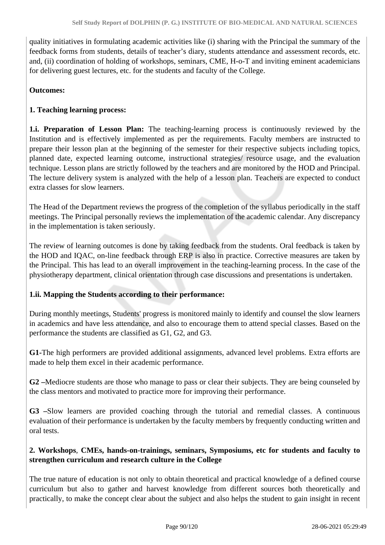quality initiatives in formulating academic activities like (i) sharing with the Principal the summary of the feedback forms from students, details of teacher's diary, students attendance and assessment records, etc. and, (ii) coordination of holding of workshops, seminars, CME, H-o-T and inviting eminent academicians for delivering guest lectures, etc. for the students and faculty of the College.

# **Outcomes:**

# **1. Teaching learning process:**

**1.i. Preparation of Lesson Plan:** The teaching-learning process is continuously reviewed by the Institution and is effectively implemented as per the requirements. Faculty members are instructed to prepare their lesson plan at the beginning of the semester for their respective subjects including topics, planned date, expected learning outcome, instructional strategies/ resource usage, and the evaluation technique. Lesson plans are strictly followed by the teachers and are monitored by the HOD and Principal. The lecture delivery system is analyzed with the help of a lesson plan. Teachers are expected to conduct extra classes for slow learners.

The Head of the Department reviews the progress of the completion of the syllabus periodically in the staff meetings. The Principal personally reviews the implementation of the academic calendar. Any discrepancy in the implementation is taken seriously.

The review of learning outcomes is done by taking feedback from the students. Oral feedback is taken by the HOD and IQAC, on-line feedback through ERP is also in practice. Corrective measures are taken by the Principal. This has lead to an overall improvement in the teaching-learning process. In the case of the physiotherapy department, clinical orientation through case discussions and presentations is undertaken.

# **1.ii. Mapping the Students according to their performance:**

During monthly meetings, Students' progress is monitored mainly to identify and counsel the slow learners in academics and have less attendance, and also to encourage them to attend special classes. Based on the performance the students are classified as G1, G2, and G3.

**G1-**The high performers are provided additional assignments, advanced level problems. Extra efforts are made to help them excel in their academic performance.

**G2 –**Mediocre students are those who manage to pass or clear their subjects. They are being counseled by the class mentors and motivated to practice more for improving their performance.

**G3 –**Slow learners are provided coaching through the tutorial and remedial classes. A continuous evaluation of their performance is undertaken by the faculty members by frequently conducting written and oral tests.

# **2. Workshops**, **CMEs, hands-on-trainings, seminars, Symposiums, etc for students and faculty to strengthen curriculum and research culture in the College**

The true nature of education is not only to obtain theoretical and practical knowledge of a defined course curriculum but also to gather and harvest knowledge from different sources both theoretically and practically, to make the concept clear about the subject and also helps the student to gain insight in recent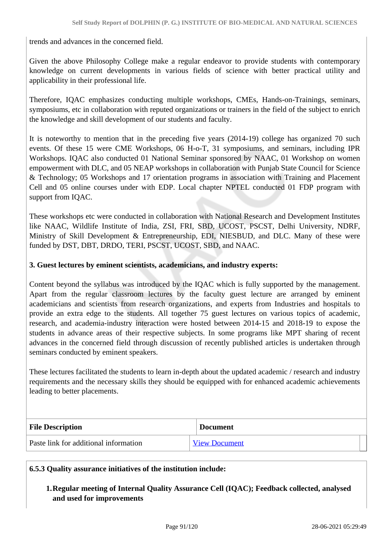trends and advances in the concerned field.

Given the above Philosophy College make a regular endeavor to provide students with contemporary knowledge on current developments in various fields of science with better practical utility and applicability in their professional life.

Therefore, IQAC emphasizes conducting multiple workshops, CMEs, Hands-on-Trainings, seminars, symposiums, etc in collaboration with reputed organizations or trainers in the field of the subject to enrich the knowledge and skill development of our students and faculty.

It is noteworthy to mention that in the preceding five years (2014-19) college has organized 70 such events. Of these 15 were CME Workshops, 06 H-o-T, 31 symposiums, and seminars, including IPR Workshops. IQAC also conducted 01 National Seminar sponsored by NAAC, 01 Workshop on women empowerment with DLC, and 05 NEAP workshops in collaboration with Punjab State Council for Science & Technology; 05 Workshops and 17 orientation programs in association with Training and Placement Cell and 05 online courses under with EDP. Local chapter NPTEL conducted 01 FDP program with support from IQAC.

These workshops etc were conducted in collaboration with National Research and Development Institutes like NAAC, Wildlife Institute of India, ZSI, FRI, SBD, UCOST, PSCST, Delhi University, NDRF, Ministry of Skill Development & Entrepreneurship, EDI, NIESBUD, and DLC. Many of these were funded by DST, DBT, DRDO, TERI, PSCST, UCOST, SBD, and NAAC.

## **3. Guest lectures by eminent scientists, academicians, and industry experts:**

Content beyond the syllabus was introduced by the IQAC which is fully supported by the management. Apart from the regular classroom lectures by the faculty guest lecture are arranged by eminent academicians and scientists from research organizations, and experts from Industries and hospitals to provide an extra edge to the students. All together 75 guest lectures on various topics of academic, research, and academia-industry interaction were hosted between 2014-15 and 2018-19 to expose the students in advance areas of their respective subjects. In some programs like MPT sharing of recent advances in the concerned field through discussion of recently published articles is undertaken through seminars conducted by eminent speakers.

These lectures facilitated the students to learn in-depth about the updated academic / research and industry requirements and the necessary skills they should be equipped with for enhanced academic achievements leading to better placements.

| <b>File Description</b>               | <b>Document</b>      |
|---------------------------------------|----------------------|
| Paste link for additional information | <b>View Document</b> |

## **6.5.3 Quality assurance initiatives of the institution include:**

**1.Regular meeting of Internal Quality Assurance Cell (IQAC); Feedback collected, analysed and used for improvements**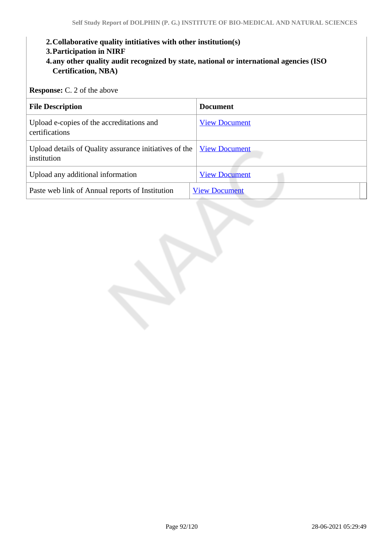- **2.Collaborative quality intitiatives with other institution(s)**
- **3.Participation in NIRF**
- **4.any other quality audit recognized by state, national or international agencies (ISO Certification, NBA)**

**Response:** C. 2 of the above

| <b>File Description</b>                                               | <b>Document</b>      |  |
|-----------------------------------------------------------------------|----------------------|--|
| Upload e-copies of the accreditations and<br>certifications           | <b>View Document</b> |  |
| Upload details of Quality assurance initiatives of the<br>institution | <b>View Document</b> |  |
| Upload any additional information                                     | <b>View Document</b> |  |
| Paste web link of Annual reports of Institution                       | <b>View Document</b> |  |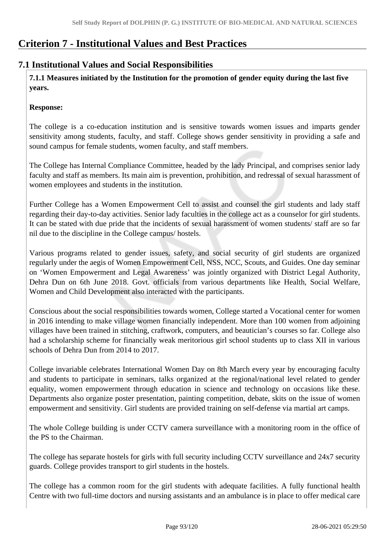# **Criterion 7 - Institutional Values and Best Practices**

# **7.1 Institutional Values and Social Responsibilities**

 **7.1.1 Measures initiated by the Institution for the promotion of gender equity during the last five years.**

## **Response:**

The college is a co-education institution and is sensitive towards women issues and imparts gender sensitivity among students, faculty, and staff. College shows gender sensitivity in providing a safe and sound campus for female students, women faculty, and staff members.

The College has Internal Compliance Committee, headed by the lady Principal, and comprises senior lady faculty and staff as members. Its main aim is prevention, prohibition, and redressal of sexual harassment of women employees and students in the institution.

Further College has a Women Empowerment Cell to assist and counsel the girl students and lady staff regarding their day-to-day activities. Senior lady faculties in the college act as a counselor for girl students. It can be stated with due pride that the incidents of sexual harassment of women students/ staff are so far nil due to the discipline in the College campus/ hostels.

Various programs related to gender issues, safety, and social security of girl students are organized regularly under the aegis of Women Empowerment Cell, NSS, NCC, Scouts, and Guides. One day seminar on 'Women Empowerment and Legal Awareness' was jointly organized with District Legal Authority, Dehra Dun on 6th June 2018. Govt. officials from various departments like Health, Social Welfare, Women and Child Development also interacted with the participants.

Conscious about the social responsibilities towards women, College started a Vocational center for women in 2016 intending to make village women financially independent. More than 100 women from adjoining villages have been trained in stitching, craftwork, computers, and beautician's courses so far. College also had a scholarship scheme for financially weak meritorious girl school students up to class XII in various schools of Dehra Dun from 2014 to 2017.

College invariable celebrates International Women Day on 8th March every year by encouraging faculty and students to participate in seminars, talks organized at the regional/national level related to gender equality, women empowerment through education in science and technology on occasions like these. Departments also organize poster presentation, painting competition, debate, skits on the issue of women empowerment and sensitivity. Girl students are provided training on self-defense via martial art camps.

The whole College building is under CCTV camera surveillance with a monitoring room in the office of the PS to the Chairman.

The college has separate hostels for girls with full security including CCTV surveillance and 24x7 security guards. College provides transport to girl students in the hostels.

The college has a common room for the girl students with adequate facilities. A fully functional health Centre with two full-time doctors and nursing assistants and an ambulance is in place to offer medical care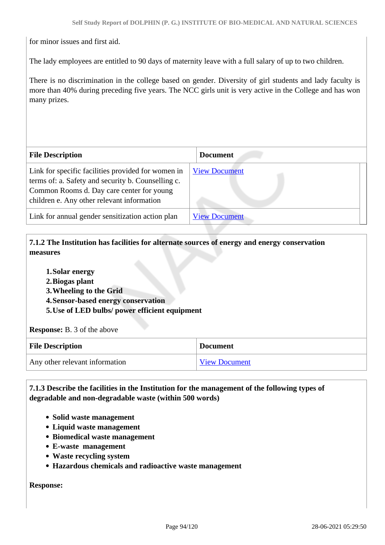for minor issues and first aid.

The lady employees are entitled to 90 days of maternity leave with a full salary of up to two children.

There is no discrimination in the college based on gender. Diversity of girl students and lady faculty is more than 40% during preceding five years. The NCC girls unit is very active in the College and has won many prizes.

| <b>File Description</b>                                                                                                                                                                             | <b>Document</b>      |
|-----------------------------------------------------------------------------------------------------------------------------------------------------------------------------------------------------|----------------------|
| Link for specific facilities provided for women in<br>terms of: a. Safety and security b. Counselling c.<br>Common Rooms d. Day care center for young<br>children e. Any other relevant information | <b>View Document</b> |
| Link for annual gender sensitization action plan                                                                                                                                                    | <b>View Document</b> |

 **7.1.2 The Institution has facilities for alternate sources of energy and energy conservation measures** 

- **1.Solar energy**
- **2.Biogas plant**
- **3.Wheeling to the Grid**
- **4.Sensor-based energy conservation**
- **5.Use of LED bulbs/ power efficient equipment**

**Response:** B. 3 of the above

| <b>File Description</b>        | <b>Document</b>      |
|--------------------------------|----------------------|
| Any other relevant information | <b>View Document</b> |

## **7.1.3 Describe the facilities in the Institution for the management of the following types of degradable and non-degradable waste (within 500 words)**

- **Solid waste management**
- **Liquid waste management**
- **Biomedical waste management**
- **E-waste management**
- **Waste recycling system**
- **Hazardous chemicals and radioactive waste management**

**Response:**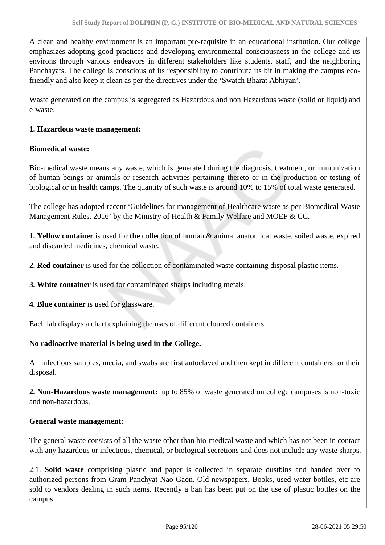A clean and healthy environment is an important pre-requisite in an educational institution. Our college emphasizes adopting good practices and developing environmental consciousness in the college and its environs through various endeavors in different stakeholders like students, staff, and the neighboring Panchayats. The college is conscious of its responsibility to contribute its bit in making the campus ecofriendly and also keep it clean as per the directives under the 'Swatch Bharat Abhiyan'.

Waste generated on the campus is segregated as Hazardous and non Hazardous waste (solid or liquid) and e-waste.

## **1. Hazardous waste management:**

## **Biomedical waste:**

Bio-medical waste means any waste, which is generated during the diagnosis, treatment, or immunization of human beings or animals or research activities pertaining thereto or in the production or testing of biological or in health camps. The quantity of such waste is around 10% to 15% of total waste generated.

The college has adopted recent 'Guidelines for management of Healthcare waste as per Biomedical Waste Management Rules, 2016' by the Ministry of Health & Family Welfare and MOEF & CC.

**1. Yellow container** is used for **the** collection of human & animal anatomical waste, soiled waste, expired and discarded medicines, chemical waste.

**2. Red container** is used for the collection of contaminated waste containing disposal plastic items.

**3. White container** is used for contaminated sharps including metals.

**4. Blue container** is used for glassware.

Each lab displays a chart explaining the uses of different cloured containers.

## **No radioactive material is being used in the College.**

All infectious samples, media, and swabs are first autoclaved and then kept in different containers for their disposal.

**2. Non-Hazardous waste management:** up to 85% of waste generated on college campuses is non-toxic and non-hazardous.

#### **General waste management:**

The general waste consists of all the waste other than bio-medical waste and which has not been in contact with any hazardous or infectious, chemical, or biological secretions and does not include any waste sharps.

2.1. **Solid waste** comprising plastic and paper is collected in separate dustbins and handed over to authorized persons from Gram Panchyat Nao Gaon. Old newspapers, Books, used water bottles, etc are sold to vendors dealing in such items. Recently a ban has been put on the use of plastic bottles on the campus.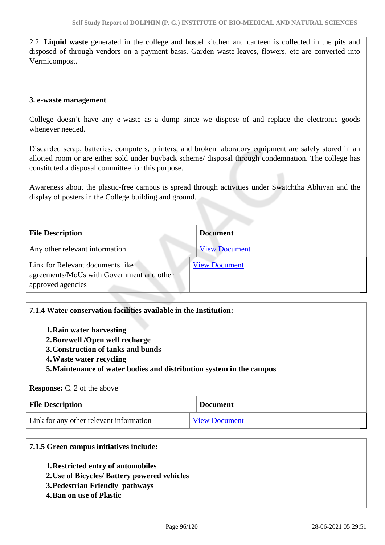2.2. **Liquid waste** generated in the college and hostel kitchen and canteen is collected in the pits and disposed of through vendors on a payment basis. Garden waste-leaves, flowers, etc are converted into Vermicompost.

#### **3. e-waste management**

College doesn't have any e-waste as a dump since we dispose of and replace the electronic goods whenever needed.

Discarded scrap, batteries, computers, printers, and broken laboratory equipment are safely stored in an allotted room or are either sold under buyback scheme/ disposal through condemnation. The college has constituted a disposal committee for this purpose.

Awareness about the plastic-free campus is spread through activities under Swatchtha Abhiyan and the display of posters in the College building and ground.

| <b>File Description</b>                                                                            | <b>Document</b>      |
|----------------------------------------------------------------------------------------------------|----------------------|
| Any other relevant information                                                                     | <b>View Document</b> |
| Link for Relevant documents like<br>agreements/MoUs with Government and other<br>approved agencies | <b>View Document</b> |

# **7.1.4 Water conservation facilities available in the Institution:**

- **1.Rain water harvesting**
- **2.Borewell /Open well recharge**
- **3.Construction of tanks and bunds**
- **4.Waste water recycling**
- **5.Maintenance of water bodies and distribution system in the campus**

# **Response:** C. 2 of the above

| <b>File Description</b>                 | <b>Document</b>      |
|-----------------------------------------|----------------------|
| Link for any other relevant information | <b>View Document</b> |

# **7.1.5 Green campus initiatives include:**

- **1.Restricted entry of automobiles**
- **2.Use of Bicycles/ Battery powered vehicles**
- **3.Pedestrian Friendly pathways**
- **4.Ban on use of Plastic**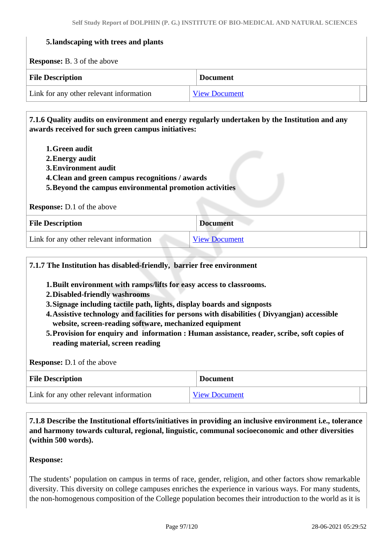#### **5.landscaping with trees and plants**

**Response:** B. 3 of the above **File Description Document** Link for any other relevant information [View Document](https://www.dolphininstitute.in/wp-content/uploads/2021/03/7.1.5_QNM.pdf)

 **7.1.6 Quality audits on environment and energy regularly undertaken by the Institution and any awards received for such green campus initiatives:**

- **1.Green audit**
- **2.Energy audit**
- **3.Environment audit**
- **4.Clean and green campus recognitions / awards**

## **5.Beyond the campus environmental promotion activities**

**Response:** D.1 of the above

| <b>File Description</b>                 | <b>Document</b>      |  |
|-----------------------------------------|----------------------|--|
| Link for any other relevant information | <b>View Document</b> |  |

**7.1.7 The Institution has disabled-friendly, barrier free environment** 

- **1.Built environment with ramps/lifts for easy access to classrooms.**
- **2.Disabled-friendly washrooms**
- **3.Signage including tactile path, lights, display boards and signposts**
- **4.Assistive technology and facilities for persons with disabilities ( Divyangjan) accessible website, screen-reading software, mechanized equipment**
- **5.Provision for enquiry and information : Human assistance, reader, scribe, soft copies of reading material, screen reading**

**Response:** D.1 of the above

| <b>File Description</b>                 | <b>Document</b>      |
|-----------------------------------------|----------------------|
| Link for any other relevant information | <b>View Document</b> |

 **7.1.8 Describe the Institutional efforts/initiatives in providing an inclusive environment i.e., tolerance and harmony towards cultural, regional, linguistic, communal socioeconomic and other diversities (within 500 words).**

#### **Response:**

The students' population on campus in terms of race, gender, religion, and other factors show remarkable diversity. This diversity on college campuses enriches the experience in various ways. For many students, the non-homogenous composition of the College population becomes their introduction to the world as it is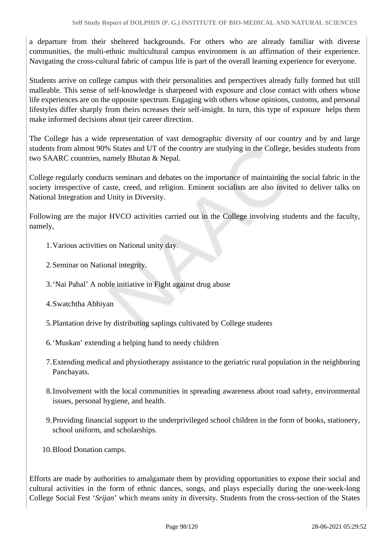a departure from their sheltered backgrounds. For others who are already familiar with diverse communities, the multi-ethnic multicultural campus environment is an affirmation of their experience. Navigating the cross-cultural fabric of campus life is part of the overall learning experience for everyone.

Students arrive on college campus with their personalities and perspectives already fully formed but still malleable. This sense of self-knowledge is sharpened with exposure and close contact with others whose life experiences are on the opposite spectrum. Engaging with others whose opinions, customs, and personal lifestyles differ sharply from theirs ncreases their self-insight. In turn, this type of exposure helps them make informed decisions about tjeir career direction.

The College has a wide representation of vast demographic diversity of our country and by and large students from almost 90% States and UT of the country are studying in the College, besides students from two SAARC countries, namely Bhutan & Nepal.

College regularly conducts seminars and debates on the importance of maintaining the social fabric in the society irrespective of caste, creed, and religion. Eminent socialists are also invited to deliver talks on National Integration and Unity in Diversity.

Following are the major HVCO activities carried out in the College involving students and the faculty, namely,

- 1.Various activities on National unity day.
- 2.Seminar on National integrity.
- 3.'Nai Pahal' A noble initiative in Fight against drug abuse
- 4.Swatchtha Abhiyan

5.Plantation drive by distributing saplings cultivated by College students

- 6.'Muskan' extending a helping hand to needy children
- 7.Extending medical and physiotherapy assistance to the geriatric rural population in the neighboring Panchayats.
- 8.Involvement with the local communities in spreading awareness about road safety, environmental issues, personal hygiene, and health.
- 9.Providing financial support to the underprivileged school children in the form of books, stationery, school uniform, and scholarships.
- 10.Blood Donation camps.

Efforts are made by authorities to amalgamate them by providing opportunities to expose their social and cultural activities in the form of ethnic dances, songs, and plays especially during the one-week-long College Social Fest '*Srijan*' which means unity in diversity. Students from the cross-section of the States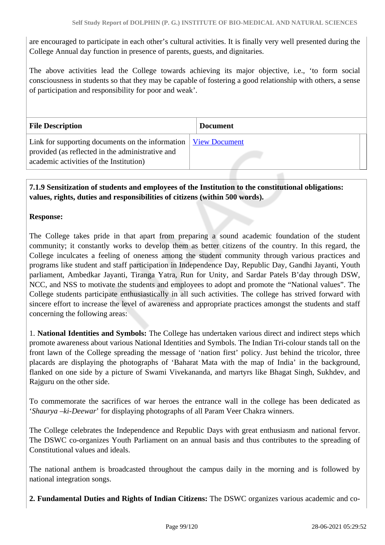are encouraged to participate in each other's cultural activities. It is finally very well presented during the College Annual day function in presence of parents, guests, and dignitaries.

The above activities lead the College towards achieving its major objective, i.e., 'to form social consciousness in students so that they may be capable of fostering a good relationship with others, a sense of participation and responsibility for poor and weak'.

| <b>File Description</b>                                                                                                                                                                        | <b>Document</b> |  |
|------------------------------------------------------------------------------------------------------------------------------------------------------------------------------------------------|-----------------|--|
| Link for supporting documents on the information $\sqrt{\frac{V_{\text{icw}}}{V_{\text{icw}}}}$<br>provided (as reflected in the administrative and<br>academic activities of the Institution) |                 |  |

# **7.1.9 Sensitization of students and employees of the Institution to the constitutional obligations: values, rights, duties and responsibilities of citizens (within 500 words).**

## **Response:**

The College takes pride in that apart from preparing a sound academic foundation of the student community; it constantly works to develop them as better citizens of the country. In this regard, the College inculcates a feeling of oneness among the student community through various practices and programs like student and staff participation in Independence Day, Republic Day, Gandhi Jayanti, Youth parliament, Ambedkar Jayanti, Tiranga Yatra, Run for Unity, and Sardar Patels B'day through DSW, NCC, and NSS to motivate the students and employees to adopt and promote the "National values". The College students participate enthusiastically in all such activities. The college has strived forward with sincere effort to increase the level of awareness and appropriate practices amongst the students and staff concerning the following areas:

1. **National Identities and Symbols:** The College has undertaken various direct and indirect steps which promote awareness about various National Identities and Symbols. The Indian Tri-colour stands tall on the front lawn of the College spreading the message of 'nation first' policy. Just behind the tricolor, three placards are displaying the photographs of 'Baharat Mata with the map of India' in the background, flanked on one side by a picture of Swami Vivekananda, and martyrs like Bhagat Singh, Sukhdev, and Rajguru on the other side.

To commemorate the sacrifices of war heroes the entrance wall in the college has been dedicated as '*Shaurya –ki-Deewar*' for displaying photographs of all Param Veer Chakra winners.

The College celebrates the Independence and Republic Days with great enthusiasm and national fervor. The DSWC co-organizes Youth Parliament on an annual basis and thus contributes to the spreading of Constitutional values and ideals.

The national anthem is broadcasted throughout the campus daily in the morning and is followed by national integration songs.

**2. Fundamental Duties and Rights of Indian Citizens:** The DSWC organizes various academic and co-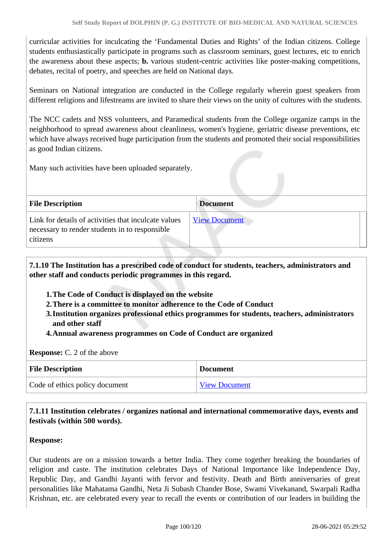curricular activities for inculcating the 'Fundamental Duties and Rights' of the Indian citizens. College students enthusiastically participate in programs such as classroom seminars, guest lectures, etc to enrich the awareness about these aspects; **b.** various student-centric activities like poster-making competitions, debates, recital of poetry, and speeches are held on National days.

Seminars on National integration are conducted in the College regularly wherein guest speakers from different religions and lifestreams are invited to share their views on the unity of cultures with the students.

The NCC cadets and NSS volunteers, and Paramedical students from the College organize camps in the neighborhood to spread awareness about cleanliness, women's hygiene, geriatric disease preventions, etc which have always received huge participation from the students and promoted their social responsibilities as good Indian citizens.

Many such activities have been uploaded separately.

| <b>File Description</b>                                                                                            | <b>Document</b>      |
|--------------------------------------------------------------------------------------------------------------------|----------------------|
| Link for details of activities that inculcate values<br>necessary to render students in to responsible<br>citizens | <b>View Document</b> |

 **7.1.10 The Institution has a prescribed code of conduct for students, teachers, administrators and other staff and conducts periodic programmes in this regard.** 

- **1.The Code of Conduct is displayed on the website**
- **2.There is a committee to monitor adherence to the Code of Conduct**
- **3.Institution organizes professional ethics programmes for students, teachers, administrators and other staff**
- **4.Annual awareness programmes on Code of Conduct are organized**

**Response:** C. 2 of the above

| <b>File Description</b>        | <b>Document</b>      |
|--------------------------------|----------------------|
| Code of ethics policy document | <b>View Document</b> |

# **7.1.11 Institution celebrates / organizes national and international commemorative days, events and festivals (within 500 words).**

## **Response:**

Our students are on a mission towards a better India. They come together breaking the boundaries of religion and caste. The institution celebrates Days of National Importance like Independence Day, Republic Day, and Gandhi Jayanti with fervor and festivity. Death and Birth anniversaries of great personalities like Mahatama Gandhi, Neta Ji Subash Chander Bose, Swami Vivekanand, Swarpali Radha Krishnan, etc. are celebrated every year to recall the events or contribution of our leaders in building the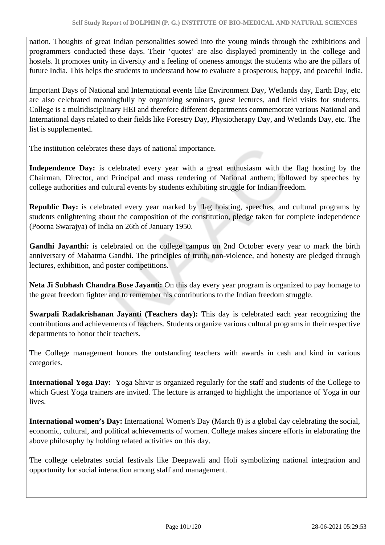nation. Thoughts of great Indian personalities sowed into the young minds through the exhibitions and programmers conducted these days. Their 'quotes' are also displayed prominently in the college and hostels. It promotes unity in diversity and a feeling of oneness amongst the students who are the pillars of future India. This helps the students to understand how to evaluate a prosperous, happy, and peaceful India.

Important Days of National and International events like Environment Day, Wetlands day, Earth Day, etc are also celebrated meaningfully by organizing seminars, guest lectures, and field visits for students. College is a multidisciplinary HEI and therefore different departments commemorate various National and International days related to their fields like Forestry Day, Physiotherapy Day, and Wetlands Day, etc. The list is supplemented.

The institution celebrates these days of national importance.

**Independence Day:** is celebrated every year with a great enthusiasm with the flag hosting by the Chairman, Director, and Principal and mass rendering of National anthem; followed by speeches by college authorities and cultural events by students exhibiting struggle for Indian freedom.

**Republic Day:** is celebrated every year marked by flag hoisting, speeches, and cultural programs by students enlightening about the composition of the constitution, pledge taken for complete independence (Poorna Swarajya) of India on 26th of January 1950.

**Gandhi Jayanthi:** is celebrated on the college campus on 2nd October every year to mark the birth anniversary of Mahatma Gandhi. The principles of truth, non-violence, and honesty are pledged through lectures, exhibition, and poster competitions.

**Neta Ji Subhash Chandra Bose Jayanti:** On this day every year program is organized to pay homage to the great freedom fighter and to remember his contributions to the Indian freedom struggle.

**Swarpali Radakrishanan Jayanti (Teachers day):** This day is celebrated each year recognizing the contributions and achievements of teachers. Students organize various cultural programs in their respective departments to honor their teachers.

The College management honors the outstanding teachers with awards in cash and kind in various categories.

**International Yoga Day:** Yoga Shivir is organized regularly for the staff and students of the College to which Guest Yoga trainers are invited. The lecture is arranged to highlight the importance of Yoga in our lives.

**International women's Day:** International Women's Day (March 8) is a global day celebrating the social, economic, cultural, and political achievements of women. College makes sincere efforts in elaborating the above philosophy by holding related activities on this day.

The college celebrates social festivals like Deepawali and Holi symbolizing national integration and opportunity for social interaction among staff and management.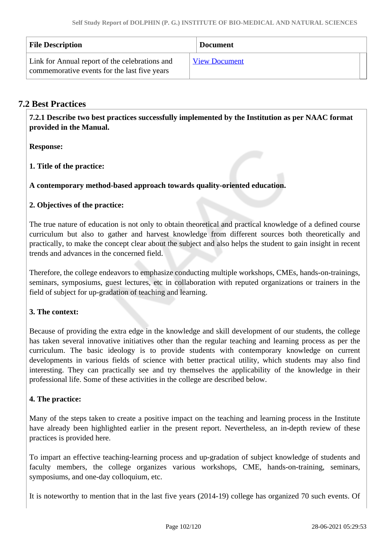| <b>File Description</b>                                                                        | <b>Document</b>      |
|------------------------------------------------------------------------------------------------|----------------------|
| Link for Annual report of the celebrations and<br>commemorative events for the last five years | <b>View Document</b> |

# **7.2 Best Practices**

 **7.2.1 Describe two best practices successfully implemented by the Institution as per NAAC format provided in the Manual.**

**Response:** 

# **1. Title of the practice:**

**A contemporary method-based approach towards quality-oriented education.**

# **2. Objectives of the practice:**

The true nature of education is not only to obtain theoretical and practical knowledge of a defined course curriculum but also to gather and harvest knowledge from different sources both theoretically and practically, to make the concept clear about the subject and also helps the student to gain insight in recent trends and advances in the concerned field.

Therefore, the college endeavors to emphasize conducting multiple workshops, CMEs, hands-on-trainings, seminars, symposiums, guest lectures, etc in collaboration with reputed organizations or trainers in the field of subject for up-gradation of teaching and learning.

## **3. The context:**

Because of providing the extra edge in the knowledge and skill development of our students, the college has taken several innovative initiatives other than the regular teaching and learning process as per the curriculum. The basic ideology is to provide students with contemporary knowledge on current developments in various fields of science with better practical utility, which students may also find interesting. They can practically see and try themselves the applicability of the knowledge in their professional life. Some of these activities in the college are described below.

## **4. The practice:**

Many of the steps taken to create a positive impact on the teaching and learning process in the Institute have already been highlighted earlier in the present report. Nevertheless, an in-depth review of these practices is provided here.

To impart an effective teaching-learning process and up-gradation of subject knowledge of students and faculty members, the college organizes various workshops, CME, hands-on-training, seminars, symposiums, and one-day colloquium, etc.

It is noteworthy to mention that in the last five years (2014-19) college has organized 70 such events. Of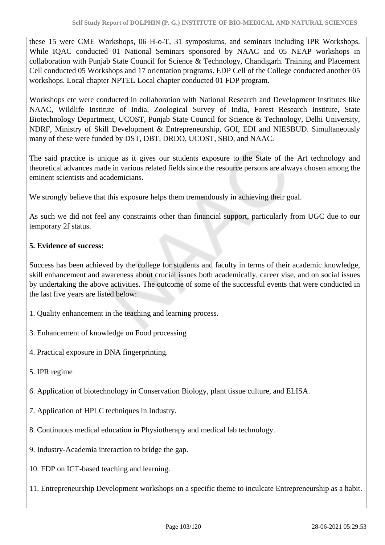these 15 were CME Workshops, 06 H-o-T, 31 symposiums, and seminars including IPR Workshops. While IQAC conducted 01 National Seminars sponsored by NAAC and 05 NEAP workshops in collaboration with Punjab State Council for Science & Technology, Chandigarh. Training and Placement Cell conducted 05 Workshops and 17 orientation programs. EDP Cell of the College conducted another 05 workshops. Local chapter NPTEL Local chapter conducted 01 FDP program.

Workshops etc were conducted in collaboration with National Research and Development Institutes like NAAC, Wildlife Institute of India, Zoological Survey of India, Forest Research Institute, State Biotechnology Department, UCOST, Punjab State Council for Science & Technology, Delhi University, NDRF, Ministry of Skill Development & Entrepreneurship, GOI, EDI and NIESBUD. Simultaneously many of these were funded by DST, DBT, DRDO, UCOST, SBD, and NAAC.

The said practice is unique as it gives our students exposure to the State of the Art technology and theoretical advances made in various related fields since the resource persons are always chosen among the eminent scientists and academicians.

We strongly believe that this exposure helps them tremendously in achieving their goal.

As such we did not feel any constraints other than financial support, particularly from UGC due to our temporary 2f status.

## **5. Evidence of success:**

Success has been achieved by the college for students and faculty in terms of their academic knowledge, skill enhancement and awareness about crucial issues both academically, career vise, and on social issues by undertaking the above activities. The outcome of some of the successful events that were conducted in the last five years are listed below:

- 1. Quality enhancement in the teaching and learning process.
- 3. Enhancement of knowledge on Food processing
- 4. Practical exposure in DNA fingerprinting.
- 5. IPR regime
- 6. Application of biotechnology in Conservation Biology, plant tissue culture, and ELISA.
- 7. Application of HPLC techniques in Industry.
- 8. Continuous medical education in Physiotherapy and medical lab technology.
- 9. Industry-Academia interaction to bridge the gap.
- 10. FDP on ICT-based teaching and learning.
- 11. Entrepreneurship Development workshops on a specific theme to inculcate Entrepreneurship as a habit.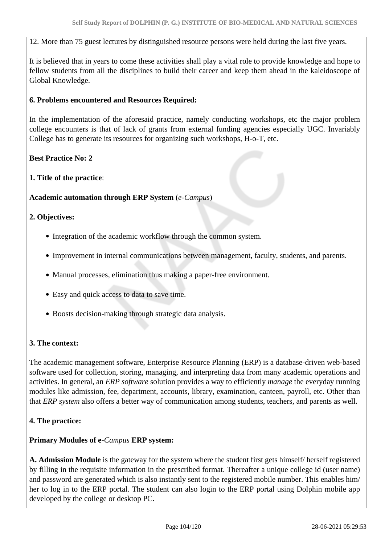12. More than 75 guest lectures by distinguished resource persons were held during the last five years.

It is believed that in years to come these activities shall play a vital role to provide knowledge and hope to fellow students from all the disciplines to build their career and keep them ahead in the kaleidoscope of Global Knowledge.

## **6. Problems encountered and Resources Required:**

In the implementation of the aforesaid practice, namely conducting workshops, etc the major problem college encounters is that of lack of grants from external funding agencies especially UGC. Invariably College has to generate its resources for organizing such workshops, H-o-T, etc.

**Best Practice No: 2**

## **1. Title of the practice**:

## **Academic automation through ERP System** (*e-Campus*)

## **2. Objectives:**

- Integration of the academic workflow through the common system.
- Improvement in internal communications between management, faculty, students, and parents.
- Manual processes, elimination thus making a paper-free environment.
- Easy and quick access to data to save time.
- Boosts decision-making through strategic data analysis.

#### **3. The context:**

The academic management software, Enterprise Resource Planning (ERP) is a database-driven web-based software used for collection, storing, managing, and interpreting data from many academic operations and activities. In general, an *ERP software* solution provides a way to efficiently *manage* the everyday running modules like admission, fee, department, accounts, library, examination, canteen, payroll, etc. Other than that *ERP system* also offers a better way of communication among students, teachers, and parents as well.

## **4. The practice:**

#### **Primary Modules of e***-Campus* **ERP system:**

**A. Admission Module** is the gateway for the system where the student first gets himself/ herself registered by filling in the requisite information in the prescribed format. Thereafter a unique college id (user name) and password are generated which is also instantly sent to the registered mobile number. This enables him/ her to log in to the ERP portal. The student can also login to the ERP portal using Dolphin mobile app developed by the college or desktop PC.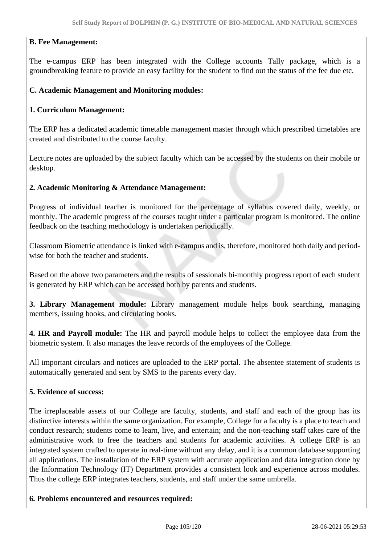# **B. Fee Management:**

The e-campus ERP has been integrated with the College accounts Tally package, which is a groundbreaking feature to provide an easy facility for the student to find out the status of the fee due etc.

# **C. Academic Management and Monitoring modules:**

# **1. Curriculum Management:**

The ERP has a dedicated academic timetable management master through which prescribed timetables are created and distributed to the course faculty.

Lecture notes are uploaded by the subject faculty which can be accessed by the students on their mobile or desktop.

# **2. Academic Monitoring & Attendance Management:**

Progress of individual teacher is monitored for the percentage of syllabus covered daily, weekly, or monthly. The academic progress of the courses taught under a particular program is monitored. The online feedback on the teaching methodology is undertaken periodically.

Classroom Biometric attendance is linked with e-campus and is, therefore, monitored both daily and periodwise for both the teacher and students.

Based on the above two parameters and the results of sessionals bi-monthly progress report of each student is generated by ERP which can be accessed both by parents and students.

**3. Library Management module:** Library management module helps book searching, managing members, issuing books, and circulating books.

**4. HR and Payroll module:** The HR and payroll module helps to collect the employee data from the biometric system. It also manages the leave records of the employees of the College.

All important circulars and notices are uploaded to the ERP portal. The absentee statement of students is automatically generated and sent by SMS to the parents every day.

## **5. Evidence of success:**

The irreplaceable assets of our College are faculty, students, and staff and each of the group has its distinctive interests within the same organization. For example, College for a faculty is a place to teach and conduct research; students come to learn, live, and entertain; and the non-teaching staff takes care of the administrative work to free the teachers and students for academic activities. A college ERP is an integrated system crafted to operate in real-time without any delay, and it is a common database supporting all applications. The installation of the ERP system with accurate application and data integration done by the Information Technology (IT) Department provides a consistent look and experience across modules. Thus the college ERP integrates teachers, students, and staff under the same umbrella.

## **6. Problems encountered and resources required:**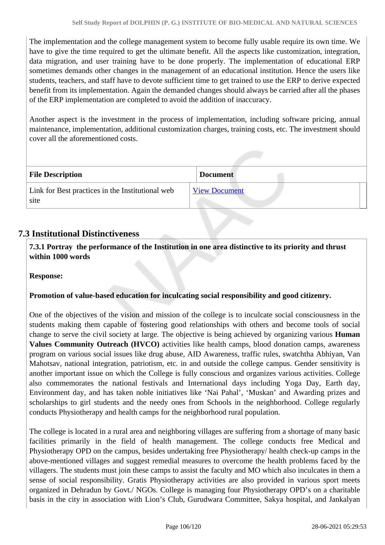The implementation and the college management system to become fully usable require its own time. We have to give the time required to get the ultimate benefit. All the aspects like customization, integration, data migration, and user training have to be done properly. The implementation of educational ERP sometimes demands other changes in the management of an educational institution. Hence the users like students, teachers, and staff have to devote sufficient time to get trained to use the ERP to derive expected benefit from its implementation. Again the demanded changes should always be carried after all the phases of the ERP implementation are completed to avoid the addition of inaccuracy.

Another aspect is the investment in the process of implementation, including software pricing, annual maintenance, implementation, additional customization charges, training costs, etc. The investment should cover all the aforementioned costs.

| <b>File Description</b>                                  | <b>Document</b>      |
|----------------------------------------------------------|----------------------|
| Link for Best practices in the Institutional web<br>site | <b>View Document</b> |

# **7.3 Institutional Distinctiveness**

 **7.3.1 Portray the performance of the Institution in one area distinctive to its priority and thrust within 1000 words**

## **Response:**

## **Promotion of value-based education for inculcating social responsibility and good citizenry.**

One of the objectives of the vision and mission of the college is to inculcate social consciousness in the students making them capable of fostering good relationships with others and become tools of social change to serve the civil society at large. The objective is being achieved by organizing various **Human Values Community Outreach (HVCO)** activities like health camps, blood donation camps, awareness program on various social issues like drug abuse, AID Awareness, traffic rules, swatchtha Abhiyan, Van Mahotsav, national integration, patriotism, etc. in and outside the college campus. Gender sensitivity is another important issue on which the College is fully conscious and organizes various activities. College also commemorates the national festivals and International days including Yoga Day, Earth day, Environment day, and has taken noble initiatives like 'Nai Pahal', 'Muskan' and Awarding prizes and scholarships to girl students and the needy ones from Schools in the neighborhood. College regularly conducts Physiotherapy and health camps for the neighborhood rural population.

The college is located in a rural area and neighboring villages are suffering from a shortage of many basic facilities primarily in the field of health management. The college conducts free Medical and Physiotherapy OPD on the campus, besides undertaking free Physiotherapy/ health check-up camps in the above-mentioned villages and suggest remedial measures to overcome the health problems faced by the villagers. The students must join these camps to assist the faculty and MO which also inculcates in them a sense of social responsibility. Gratis Physiotherapy activities are also provided in various sport meets organized in Dehradun by Govt./ NGOs. College is managing four Physiotherapy OPD's on a charitable basis in the city in association with Lion's Club, Gurudwara Committee, Sakya hospital, and Jankalyan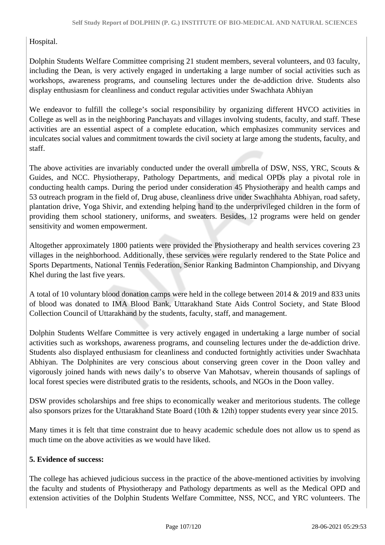# Hospital.

Dolphin Students Welfare Committee comprising 21 student members, several volunteers, and 03 faculty, including the Dean, is very actively engaged in undertaking a large number of social activities such as workshops, awareness programs, and counseling lectures under the de-addiction drive. Students also display enthusiasm for cleanliness and conduct regular activities under Swachhata Abhiyan

We endeavor to fulfill the college's social responsibility by organizing different HVCO activities in College as well as in the neighboring Panchayats and villages involving students, faculty, and staff. These activities are an essential aspect of a complete education, which emphasizes community services and inculcates social values and commitment towards the civil society at large among the students, faculty, and staff.

The above activities are invariably conducted under the overall umbrella of DSW, NSS, YRC, Scouts & Guides, and NCC. Physiotherapy, Pathology Departments, and medical OPDs play a pivotal role in conducting health camps. During the period under consideration 45 Physiotherapy and health camps and 53 outreach program in the field of, Drug abuse, cleanliness drive under Swachhahta Abhiyan, road safety, plantation drive, Yoga Shivir, and extending helping hand to the underprivileged children in the form of providing them school stationery, uniforms, and sweaters. Besides, 12 programs were held on gender sensitivity and women empowerment.

Altogether approximately 1800 patients were provided the Physiotherapy and health services covering 23 villages in the neighborhood. Additionally, these services were regularly rendered to the State Police and Sports Departments, National Tennis Federation, Senior Ranking Badminton Championship, and Divyang Khel during the last five years.

A total of 10 voluntary blood donation camps were held in the college between 2014 & 2019 and 833 units of blood was donated to IMA Blood Bank, Uttarakhand State Aids Control Society, and State Blood Collection Council of Uttarakhand by the students, faculty, staff, and management.

Dolphin Students Welfare Committee is very actively engaged in undertaking a large number of social activities such as workshops, awareness programs, and counseling lectures under the de-addiction drive. Students also displayed enthusiasm for cleanliness and conducted fortnightly activities under Swachhata Abhiyan. The Dolphinites are very conscious about conserving green cover in the Doon valley and vigorously joined hands with news daily's to observe Van Mahotsav, wherein thousands of saplings of local forest species were distributed gratis to the residents, schools, and NGOs in the Doon valley.

DSW provides scholarships and free ships to economically weaker and meritorious students. The college also sponsors prizes for the Uttarakhand State Board (10th & 12th) topper students every year since 2015.

Many times it is felt that time constraint due to heavy academic schedule does not allow us to spend as much time on the above activities as we would have liked.

# **5. Evidence of success:**

The college has achieved judicious success in the practice of the above-mentioned activities by involving the faculty and students of Physiotherapy and Pathology departments as well as the Medical OPD and extension activities of the Dolphin Students Welfare Committee, NSS, NCC, and YRC volunteers. The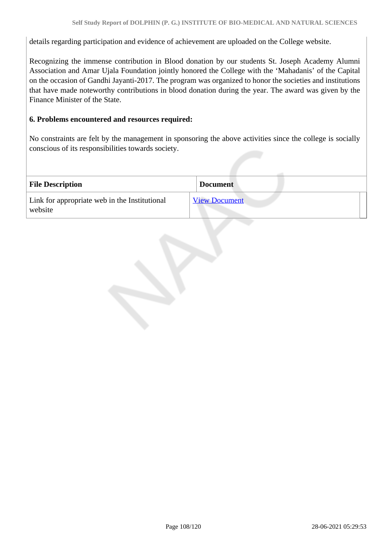details regarding participation and evidence of achievement are uploaded on the College website.

Recognizing the immense contribution in Blood donation by our students St. Joseph Academy Alumni Association and Amar Ujala Foundation jointly honored the College with the 'Mahadanis' of the Capital on the occasion of Gandhi Jayanti-2017. The program was organized to honor the societies and institutions that have made noteworthy contributions in blood donation during the year. The award was given by the Finance Minister of the State.

## **6. Problems encountered and resources required:**

No constraints are felt by the management in sponsoring the above activities since the college is socially conscious of its responsibilities towards society.

| <b>File Description</b>                                  | <b>Document</b>      |  |
|----------------------------------------------------------|----------------------|--|
| Link for appropriate web in the Institutional<br>website | <b>View Document</b> |  |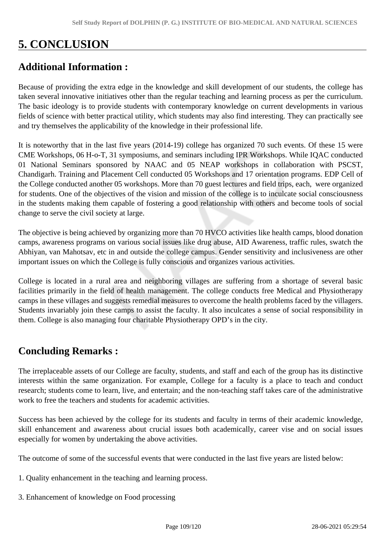# **5. CONCLUSION**

### **Additional Information :**

Because of providing the extra edge in the knowledge and skill development of our students, the college has taken several innovative initiatives other than the regular teaching and learning process as per the curriculum. The basic ideology is to provide students with contemporary knowledge on current developments in various fields of science with better practical utility, which students may also find interesting. They can practically see and try themselves the applicability of the knowledge in their professional life.

It is noteworthy that in the last five years (2014-19) college has organized 70 such events. Of these 15 were CME Workshops, 06 H-o-T, 31 symposiums, and seminars including IPR Workshops. While IQAC conducted 01 National Seminars sponsored by NAAC and 05 NEAP workshops in collaboration with PSCST, Chandigarh. Training and Placement Cell conducted 05 Workshops and 17 orientation programs. EDP Cell of the College conducted another 05 workshops. More than 70 guest lectures and field trips, each, were organized for students. One of the objectives of the vision and mission of the college is to inculcate social consciousness in the students making them capable of fostering a good relationship with others and become tools of social change to serve the civil society at large.

The objective is being achieved by organizing more than 70 HVCO activities like health camps, blood donation camps, awareness programs on various social issues like drug abuse, AID Awareness, traffic rules, swatch the Abhiyan, van Mahotsav, etc in and outside the college campus. Gender sensitivity and inclusiveness are other important issues on which the College is fully conscious and organizes various activities.

College is located in a rural area and neighboring villages are suffering from a shortage of several basic facilities primarily in the field of health management. The college conducts free Medical and Physiotherapy camps in these villages and suggests remedial measures to overcome the health problems faced by the villagers. Students invariably join these camps to assist the faculty. It also inculcates a sense of social responsibility in them. College is also managing four charitable Physiotherapy OPD's in the city.

## **Concluding Remarks :**

The irreplaceable assets of our College are faculty, students, and staff and each of the group has its distinctive interests within the same organization. For example, College for a faculty is a place to teach and conduct research; students come to learn, live, and entertain; and the non-teaching staff takes care of the administrative work to free the teachers and students for academic activities.

Success has been achieved by the college for its students and faculty in terms of their academic knowledge, skill enhancement and awareness about crucial issues both academically, career vise and on social issues especially for women by undertaking the above activities.

The outcome of some of the successful events that were conducted in the last five years are listed below:

- 1. Quality enhancement in the teaching and learning process.
- 3. Enhancement of knowledge on Food processing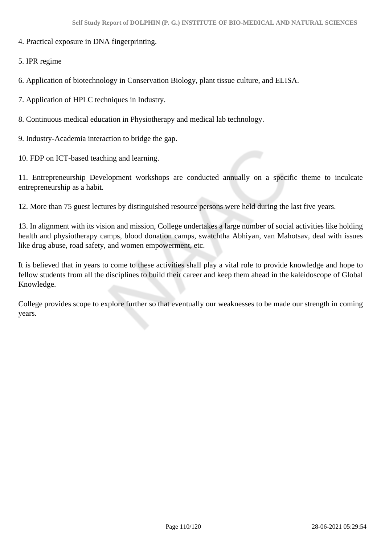- 4. Practical exposure in DNA fingerprinting.
- 5. IPR regime

6. Application of biotechnology in Conservation Biology, plant tissue culture, and ELISA.

- 7. Application of HPLC techniques in Industry.
- 8. Continuous medical education in Physiotherapy and medical lab technology.
- 9. Industry-Academia interaction to bridge the gap.
- 10. FDP on ICT-based teaching and learning.

11. Entrepreneurship Development workshops are conducted annually on a specific theme to inculcate entrepreneurship as a habit.

12. More than 75 guest lectures by distinguished resource persons were held during the last five years.

13. In alignment with its vision and mission, College undertakes a large number of social activities like holding health and physiotherapy camps, blood donation camps, swatchtha Abhiyan, van Mahotsav, deal with issues like drug abuse, road safety, and women empowerment, etc.

It is believed that in years to come to these activities shall play a vital role to provide knowledge and hope to fellow students from all the disciplines to build their career and keep them ahead in the kaleidoscope of Global Knowledge.

College provides scope to explore further so that eventually our weaknesses to be made our strength in coming years.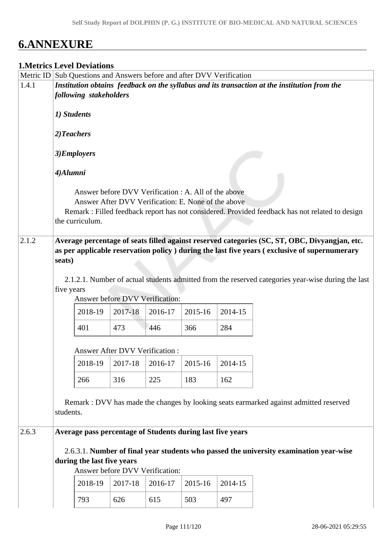## **6.ANNEXURE**

#### **1.Metrics Level Deviations**

| Metric ID |             |                            |                                |                                                                                                             |         | Sub Questions and Answers before and after DVV Verification |                                                                                                                                                                                                |
|-----------|-------------|----------------------------|--------------------------------|-------------------------------------------------------------------------------------------------------------|---------|-------------------------------------------------------------|------------------------------------------------------------------------------------------------------------------------------------------------------------------------------------------------|
| 1.4.1     |             | following stakeholders     |                                |                                                                                                             |         |                                                             | Institution obtains feedback on the syllabus and its transaction at the institution from the                                                                                                   |
|           | 1) Students |                            |                                |                                                                                                             |         |                                                             |                                                                                                                                                                                                |
|           | 2)Teachers  |                            |                                |                                                                                                             |         |                                                             |                                                                                                                                                                                                |
|           | 3)Employers |                            |                                |                                                                                                             |         |                                                             |                                                                                                                                                                                                |
|           | 4)Alumni    |                            |                                |                                                                                                             |         |                                                             |                                                                                                                                                                                                |
|           |             |                            |                                | Answer before DVV Verification : A. All of the above<br>Answer After DVV Verification: E. None of the above |         |                                                             |                                                                                                                                                                                                |
|           |             | the curriculum.            |                                |                                                                                                             |         |                                                             | Remark : Filled feedback report has not considered. Provided feedback has not related to design                                                                                                |
| 2.1.2     | seats)      |                            |                                |                                                                                                             |         |                                                             | Average percentage of seats filled against reserved categories (SC, ST, OBC, Divyangjan, etc.<br>as per applicable reservation policy ) during the last five years (exclusive of supernumerary |
|           | five years  |                            |                                | Answer before DVV Verification:                                                                             |         |                                                             | 2.1.2.1. Number of actual students admitted from the reserved categories year-wise during the last                                                                                             |
|           |             | 2018-19                    | 2017-18                        | 2016-17                                                                                                     | 2015-16 | 2014-15                                                     |                                                                                                                                                                                                |
|           |             | 401                        | 473                            | 446                                                                                                         | 366     | 284                                                         |                                                                                                                                                                                                |
|           |             |                            | Answer After DVV Verification: |                                                                                                             |         |                                                             |                                                                                                                                                                                                |
|           |             | 2018-19                    | 2017-18                        | 2016-17                                                                                                     | 2015-16 | 2014-15                                                     |                                                                                                                                                                                                |
|           |             | 266                        | 316                            | 225                                                                                                         | 183     | 162                                                         |                                                                                                                                                                                                |
|           | students.   |                            |                                |                                                                                                             |         |                                                             | Remark: DVV has made the changes by looking seats earmarked against admitted reserved                                                                                                          |
| 2.6.3     |             |                            |                                | Average pass percentage of Students during last five years                                                  |         |                                                             |                                                                                                                                                                                                |
|           |             | during the last five years |                                | Answer before DVV Verification:                                                                             |         |                                                             | 2.6.3.1. Number of final year students who passed the university examination year-wise                                                                                                         |
|           |             | 2018-19                    | 2017-18                        | 2016-17                                                                                                     | 2015-16 | 2014-15                                                     |                                                                                                                                                                                                |
|           |             | 793                        | 626                            | 615                                                                                                         | 503     | 497                                                         |                                                                                                                                                                                                |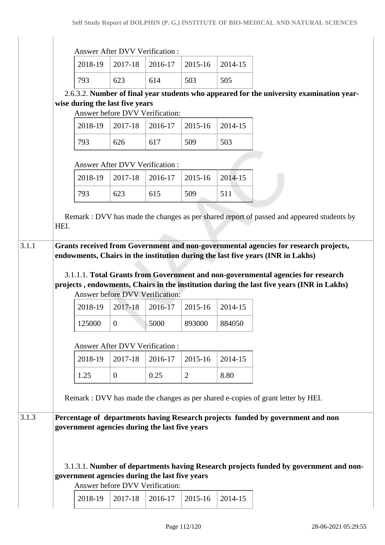|      |                                                | <b>Answer After DVV Verification:</b>      |                                            |                |         |                                                                                                                                                                               |  |
|------|------------------------------------------------|--------------------------------------------|--------------------------------------------|----------------|---------|-------------------------------------------------------------------------------------------------------------------------------------------------------------------------------|--|
|      | 2018-19                                        | 2017-18                                    | 2016-17                                    | 2015-16        | 2014-15 |                                                                                                                                                                               |  |
|      | 793                                            | 623                                        | 614                                        | 503            | 505     |                                                                                                                                                                               |  |
|      | wise during the last five years                |                                            | Answer before DVV Verification:            |                |         | 2.6.3.2. Number of final year students who appeared for the university examination year-                                                                                      |  |
|      | 2018-19                                        | 2017-18                                    | 2016-17                                    | 2015-16        | 2014-15 |                                                                                                                                                                               |  |
|      | 793                                            | 626                                        | 617                                        | 509            | 503     |                                                                                                                                                                               |  |
|      |                                                | <b>Answer After DVV Verification:</b>      |                                            |                |         |                                                                                                                                                                               |  |
|      | 2018-19                                        | 2017-18                                    | 2016-17                                    | 2015-16        | 2014-15 |                                                                                                                                                                               |  |
|      | 793                                            | 623                                        | 615                                        | 509            | 511     |                                                                                                                                                                               |  |
| HEI. |                                                |                                            |                                            |                |         | Remark : DVV has made the changes as per shared report of passed and appeared students by                                                                                     |  |
|      |                                                |                                            |                                            |                |         | Grants received from Government and non-governmental agencies for research projects,<br>endowments, Chairs in the institution during the last five years (INR in Lakhs)       |  |
|      |                                                |                                            |                                            |                |         | 3.1.1.1. Total Grants from Government and non-governmental agencies for research<br>projects, endowments, Chairs in the institution during the last five years (INR in Lakhs) |  |
|      | 2018-19                                        | 2017-18                                    | Answer before DVV Verification:<br>2016-17 | 2015-16        | 2014-15 |                                                                                                                                                                               |  |
|      | 125000                                         | $\overline{0}$                             | 5000                                       | 893000         | 884050  |                                                                                                                                                                               |  |
|      |                                                |                                            |                                            |                |         |                                                                                                                                                                               |  |
|      | 2018-19                                        | Answer After DVV Verification :<br>2017-18 | 2016-17                                    | 2015-16        | 2014-15 |                                                                                                                                                                               |  |
|      | 1.25                                           | $\mathbf{0}$                               | 0.25                                       | $\overline{2}$ | 8.80    |                                                                                                                                                                               |  |
|      |                                                |                                            |                                            |                |         | Remark: DVV has made the changes as per shared e-copies of grant letter by HEI.                                                                                               |  |
|      | government agencies during the last five years |                                            |                                            |                |         | Percentage of departments having Research projects funded by government and non                                                                                               |  |
|      | government agencies during the last five years |                                            | Answer before DVV Verification:            |                |         | 3.1.3.1. Number of departments having Research projects funded by government and non-                                                                                         |  |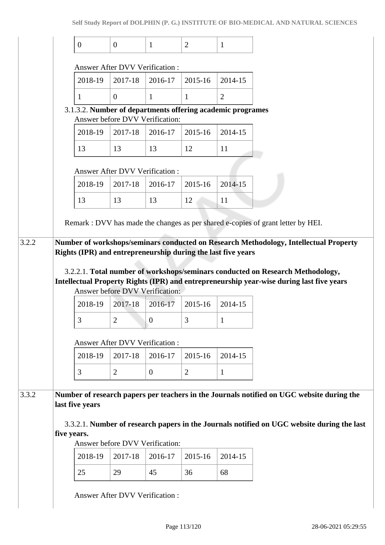| $\boldsymbol{0}$<br>$\overline{0}$<br>$\mathbf{1}$<br>2<br>$\mathbf{1}$<br>Answer After DVV Verification:<br>2014-15<br>2018-19<br>2017-18<br>2016-17<br>2015-16<br>$\overline{2}$<br>$\overline{0}$<br>1<br>1<br>1<br>3.1.3.2. Number of departments offering academic programes<br>Answer before DVV Verification:<br>2018-19<br>2017-18<br>2016-17<br>2015-16<br>2014-15<br>13<br>13<br>12<br>11<br>13<br><b>Answer After DVV Verification:</b><br>2017-18<br>2014-15<br>2018-19<br>2016-17<br>2015-16<br>13<br>13<br>13<br>12<br>11<br>Remark : DVV has made the changes as per shared e-copies of grant letter by HEI.<br>Number of workshops/seminars conducted on Research Methodology, Intellectual Property<br>Rights (IPR) and entrepreneurship during the last five years<br>3.2.2.1. Total number of workshops/seminars conducted on Research Methodology,<br>Intellectual Property Rights (IPR) and entrepreneurship year-wise during last five years<br>Answer before DVV Verification:<br>2018-19<br>2017-18<br>2015-16<br>2014-15<br>2016-17<br>$\mathfrak{Z}$<br>$\overline{2}$<br>3<br>$\overline{0}$<br>$\mathbf{1}$<br>Answer After DVV Verification:<br>2014-15<br>2018-19<br>2017-18<br>2016-17<br>2015-16<br>3<br>$\mathfrak{2}$<br>$\overline{2}$<br>$\theta$<br>$\mathbf{1}$<br>Number of research papers per teachers in the Journals notified on UGC website during the<br>3.3.2.1. Number of research papers in the Journals notified on UGC website during the last<br>Answer before DVV Verification: |                                |  |  |
|-------------------------------------------------------------------------------------------------------------------------------------------------------------------------------------------------------------------------------------------------------------------------------------------------------------------------------------------------------------------------------------------------------------------------------------------------------------------------------------------------------------------------------------------------------------------------------------------------------------------------------------------------------------------------------------------------------------------------------------------------------------------------------------------------------------------------------------------------------------------------------------------------------------------------------------------------------------------------------------------------------------------------------------------------------------------------------------------------------------------------------------------------------------------------------------------------------------------------------------------------------------------------------------------------------------------------------------------------------------------------------------------------------------------------------------------------------------------------------------------------------------------------------------|--------------------------------|--|--|
|                                                                                                                                                                                                                                                                                                                                                                                                                                                                                                                                                                                                                                                                                                                                                                                                                                                                                                                                                                                                                                                                                                                                                                                                                                                                                                                                                                                                                                                                                                                                     |                                |  |  |
|                                                                                                                                                                                                                                                                                                                                                                                                                                                                                                                                                                                                                                                                                                                                                                                                                                                                                                                                                                                                                                                                                                                                                                                                                                                                                                                                                                                                                                                                                                                                     |                                |  |  |
|                                                                                                                                                                                                                                                                                                                                                                                                                                                                                                                                                                                                                                                                                                                                                                                                                                                                                                                                                                                                                                                                                                                                                                                                                                                                                                                                                                                                                                                                                                                                     |                                |  |  |
|                                                                                                                                                                                                                                                                                                                                                                                                                                                                                                                                                                                                                                                                                                                                                                                                                                                                                                                                                                                                                                                                                                                                                                                                                                                                                                                                                                                                                                                                                                                                     |                                |  |  |
|                                                                                                                                                                                                                                                                                                                                                                                                                                                                                                                                                                                                                                                                                                                                                                                                                                                                                                                                                                                                                                                                                                                                                                                                                                                                                                                                                                                                                                                                                                                                     |                                |  |  |
|                                                                                                                                                                                                                                                                                                                                                                                                                                                                                                                                                                                                                                                                                                                                                                                                                                                                                                                                                                                                                                                                                                                                                                                                                                                                                                                                                                                                                                                                                                                                     |                                |  |  |
|                                                                                                                                                                                                                                                                                                                                                                                                                                                                                                                                                                                                                                                                                                                                                                                                                                                                                                                                                                                                                                                                                                                                                                                                                                                                                                                                                                                                                                                                                                                                     |                                |  |  |
|                                                                                                                                                                                                                                                                                                                                                                                                                                                                                                                                                                                                                                                                                                                                                                                                                                                                                                                                                                                                                                                                                                                                                                                                                                                                                                                                                                                                                                                                                                                                     |                                |  |  |
|                                                                                                                                                                                                                                                                                                                                                                                                                                                                                                                                                                                                                                                                                                                                                                                                                                                                                                                                                                                                                                                                                                                                                                                                                                                                                                                                                                                                                                                                                                                                     |                                |  |  |
|                                                                                                                                                                                                                                                                                                                                                                                                                                                                                                                                                                                                                                                                                                                                                                                                                                                                                                                                                                                                                                                                                                                                                                                                                                                                                                                                                                                                                                                                                                                                     |                                |  |  |
|                                                                                                                                                                                                                                                                                                                                                                                                                                                                                                                                                                                                                                                                                                                                                                                                                                                                                                                                                                                                                                                                                                                                                                                                                                                                                                                                                                                                                                                                                                                                     |                                |  |  |
|                                                                                                                                                                                                                                                                                                                                                                                                                                                                                                                                                                                                                                                                                                                                                                                                                                                                                                                                                                                                                                                                                                                                                                                                                                                                                                                                                                                                                                                                                                                                     |                                |  |  |
|                                                                                                                                                                                                                                                                                                                                                                                                                                                                                                                                                                                                                                                                                                                                                                                                                                                                                                                                                                                                                                                                                                                                                                                                                                                                                                                                                                                                                                                                                                                                     |                                |  |  |
|                                                                                                                                                                                                                                                                                                                                                                                                                                                                                                                                                                                                                                                                                                                                                                                                                                                                                                                                                                                                                                                                                                                                                                                                                                                                                                                                                                                                                                                                                                                                     |                                |  |  |
|                                                                                                                                                                                                                                                                                                                                                                                                                                                                                                                                                                                                                                                                                                                                                                                                                                                                                                                                                                                                                                                                                                                                                                                                                                                                                                                                                                                                                                                                                                                                     |                                |  |  |
|                                                                                                                                                                                                                                                                                                                                                                                                                                                                                                                                                                                                                                                                                                                                                                                                                                                                                                                                                                                                                                                                                                                                                                                                                                                                                                                                                                                                                                                                                                                                     |                                |  |  |
|                                                                                                                                                                                                                                                                                                                                                                                                                                                                                                                                                                                                                                                                                                                                                                                                                                                                                                                                                                                                                                                                                                                                                                                                                                                                                                                                                                                                                                                                                                                                     |                                |  |  |
|                                                                                                                                                                                                                                                                                                                                                                                                                                                                                                                                                                                                                                                                                                                                                                                                                                                                                                                                                                                                                                                                                                                                                                                                                                                                                                                                                                                                                                                                                                                                     |                                |  |  |
|                                                                                                                                                                                                                                                                                                                                                                                                                                                                                                                                                                                                                                                                                                                                                                                                                                                                                                                                                                                                                                                                                                                                                                                                                                                                                                                                                                                                                                                                                                                                     |                                |  |  |
|                                                                                                                                                                                                                                                                                                                                                                                                                                                                                                                                                                                                                                                                                                                                                                                                                                                                                                                                                                                                                                                                                                                                                                                                                                                                                                                                                                                                                                                                                                                                     |                                |  |  |
|                                                                                                                                                                                                                                                                                                                                                                                                                                                                                                                                                                                                                                                                                                                                                                                                                                                                                                                                                                                                                                                                                                                                                                                                                                                                                                                                                                                                                                                                                                                                     |                                |  |  |
|                                                                                                                                                                                                                                                                                                                                                                                                                                                                                                                                                                                                                                                                                                                                                                                                                                                                                                                                                                                                                                                                                                                                                                                                                                                                                                                                                                                                                                                                                                                                     |                                |  |  |
|                                                                                                                                                                                                                                                                                                                                                                                                                                                                                                                                                                                                                                                                                                                                                                                                                                                                                                                                                                                                                                                                                                                                                                                                                                                                                                                                                                                                                                                                                                                                     |                                |  |  |
|                                                                                                                                                                                                                                                                                                                                                                                                                                                                                                                                                                                                                                                                                                                                                                                                                                                                                                                                                                                                                                                                                                                                                                                                                                                                                                                                                                                                                                                                                                                                     |                                |  |  |
|                                                                                                                                                                                                                                                                                                                                                                                                                                                                                                                                                                                                                                                                                                                                                                                                                                                                                                                                                                                                                                                                                                                                                                                                                                                                                                                                                                                                                                                                                                                                     |                                |  |  |
| 2015-16<br>2014-15<br>2018-19<br>2017-18<br>2016-17                                                                                                                                                                                                                                                                                                                                                                                                                                                                                                                                                                                                                                                                                                                                                                                                                                                                                                                                                                                                                                                                                                                                                                                                                                                                                                                                                                                                                                                                                 | last five years<br>five years. |  |  |
| 29<br>68<br>25<br>45<br>36                                                                                                                                                                                                                                                                                                                                                                                                                                                                                                                                                                                                                                                                                                                                                                                                                                                                                                                                                                                                                                                                                                                                                                                                                                                                                                                                                                                                                                                                                                          |                                |  |  |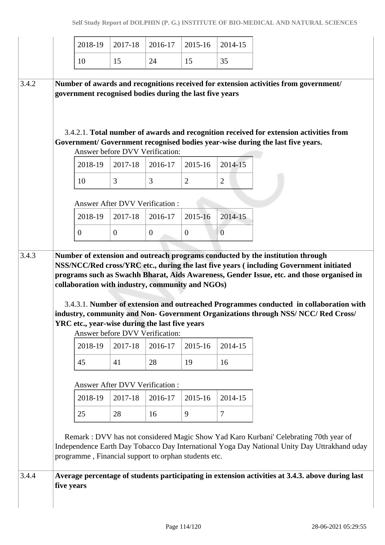| 35<br>10<br>15<br>24<br>15<br>3.4.2<br>Number of awards and recognitions received for extension activities from government/<br>government recognised bodies during the last five years<br>3.4.2.1. Total number of awards and recognition received for extension activities from<br>Government/ Government recognised bodies year-wise during the last five years.<br>Answer before DVV Verification:<br>2017-18<br>2015-16<br>2014-15<br>2018-19<br>2016-17<br>3<br>3<br>10<br>$\overline{2}$<br>2 |
|-----------------------------------------------------------------------------------------------------------------------------------------------------------------------------------------------------------------------------------------------------------------------------------------------------------------------------------------------------------------------------------------------------------------------------------------------------------------------------------------------------|
|                                                                                                                                                                                                                                                                                                                                                                                                                                                                                                     |
| <b>Answer After DVV Verification:</b><br>2015-16<br>2014-15<br>2018-19<br>2017-18<br>2016-17                                                                                                                                                                                                                                                                                                                                                                                                        |
| $\overline{0}$<br>$\overline{0}$<br>$\overline{0}$<br>0<br>$\overline{0}$                                                                                                                                                                                                                                                                                                                                                                                                                           |
|                                                                                                                                                                                                                                                                                                                                                                                                                                                                                                     |
| collaboration with industry, community and NGOs)<br>3.4.3.1. Number of extension and outreached Programmes conducted in collaboration with<br>industry, community and Non- Government Organizations through NSS/NCC/Red Cross/<br>YRC etc., year-wise during the last five years<br>Answer before DVV Verification:                                                                                                                                                                                 |
| 2014-15<br>2015-16<br>2018-19<br>2017-18<br>2016-17                                                                                                                                                                                                                                                                                                                                                                                                                                                 |
| 41<br>28<br>19<br>45<br>16                                                                                                                                                                                                                                                                                                                                                                                                                                                                          |
| <b>Answer After DVV Verification:</b>                                                                                                                                                                                                                                                                                                                                                                                                                                                               |
| 2017-18<br>2018-19<br>2016-17<br>2015-16<br>2014-15                                                                                                                                                                                                                                                                                                                                                                                                                                                 |
| 28<br>25<br>9<br>$\overline{7}$<br>16                                                                                                                                                                                                                                                                                                                                                                                                                                                               |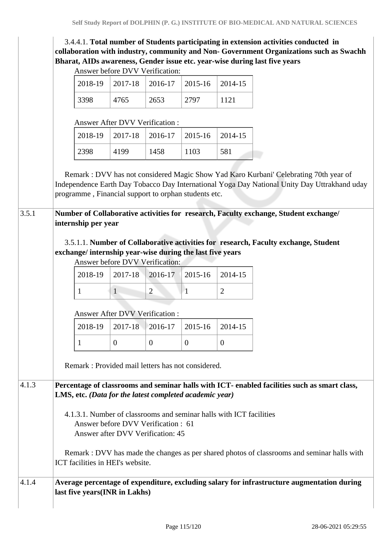### 3.4.4.1. **Total number of Students participating in extension activities conducted in collaboration with industry, community and Non- Government Organizations such as Swachh Bharat, AIDs awareness, Gender issue etc. year-wise during last five years**

Answer before DVV Verification:

| 2018-19                                                                                                                                                                                                                                                                                                                                                                                                                                            | 2017-18                                                                 | 2016-17        | 2015-16          | 2014-15          |
|----------------------------------------------------------------------------------------------------------------------------------------------------------------------------------------------------------------------------------------------------------------------------------------------------------------------------------------------------------------------------------------------------------------------------------------------------|-------------------------------------------------------------------------|----------------|------------------|------------------|
| 3398                                                                                                                                                                                                                                                                                                                                                                                                                                               | 4765                                                                    | 2653           | 2797             | 1121             |
|                                                                                                                                                                                                                                                                                                                                                                                                                                                    | Answer After DVV Verification:                                          |                |                  |                  |
| 2018-19                                                                                                                                                                                                                                                                                                                                                                                                                                            | 2017-18                                                                 | 2016-17        | 2015-16          | 2014-15          |
| 2398                                                                                                                                                                                                                                                                                                                                                                                                                                               | 4199                                                                    | 1458           | 1103             | 581              |
| Remark: DVV has not considered Magic Show Yad Karo Kurbani' Celebrating 70th year of<br>Independence Earth Day Tobacco Day International Yoga Day National Unity Day Uttrakhand uday<br>programme, Financial support to orphan students etc.<br>Number of Collaborative activities for research, Faculty exchange, Student exchange/<br>internship per year<br>3.5.1.1. Number of Collaborative activities for research, Faculty exchange, Student |                                                                         |                |                  |                  |
| exchange/ internship year-wise during the last five years                                                                                                                                                                                                                                                                                                                                                                                          | Answer before DVV Verification:                                         |                |                  |                  |
| 2018-19                                                                                                                                                                                                                                                                                                                                                                                                                                            | 2017-18                                                                 | 2016-17        | 2015-16          | 2014-15          |
| 1                                                                                                                                                                                                                                                                                                                                                                                                                                                  | $\mathbf{1}$                                                            | $\overline{2}$ | $\mathbf{1}$     | $\overline{2}$   |
|                                                                                                                                                                                                                                                                                                                                                                                                                                                    | Answer After DVV Verification :                                         |                |                  |                  |
| 2018-19                                                                                                                                                                                                                                                                                                                                                                                                                                            | 2017-18                                                                 | 2016-17        | 2015-16          | 2014-15          |
| $\mathbf{1}$                                                                                                                                                                                                                                                                                                                                                                                                                                       | $\mathbf{0}$                                                            | $\overline{0}$ | $\boldsymbol{0}$ | $\boldsymbol{0}$ |
| Remark : Provided mail letters has not considered.<br>Percentage of classrooms and seminar halls with ICT- enabled facilities such as smart class,<br>LMS, etc. (Data for the latest completed academic year)                                                                                                                                                                                                                                      |                                                                         |                |                  |                  |
| 4.1.3.1. Number of classrooms and seminar halls with ICT facilities<br>Remark : DVV has made the changes as per shared photos of classrooms and seminar halls with<br>ICT facilities in HEI's website.                                                                                                                                                                                                                                             | Answer before DVV Verification: 61<br>Answer after DVV Verification: 45 |                |                  |                  |
| Average percentage of expenditure, excluding salary for infrastructure augmentation during<br>last five years(INR in Lakhs)                                                                                                                                                                                                                                                                                                                        |                                                                         |                |                  |                  |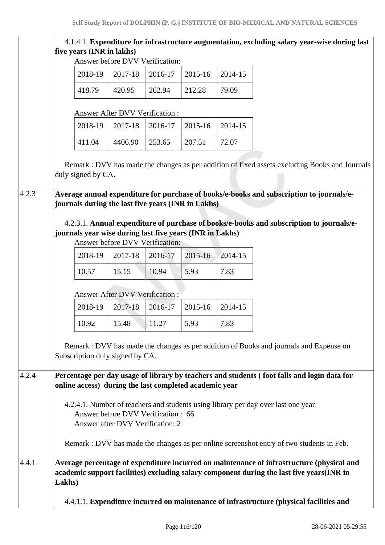| five years (INR in lakhs)<br>Answer before DVV Verification:                                                                                                                                                                                                                                                                                             |         |         |         |         |
|----------------------------------------------------------------------------------------------------------------------------------------------------------------------------------------------------------------------------------------------------------------------------------------------------------------------------------------------------------|---------|---------|---------|---------|
| 2018-19                                                                                                                                                                                                                                                                                                                                                  | 2017-18 | 2016-17 | 2015-16 | 2014-15 |
| 418.79                                                                                                                                                                                                                                                                                                                                                   | 420.95  | 262.94  | 212.28  | 79.09   |
| Answer After DVV Verification :                                                                                                                                                                                                                                                                                                                          |         |         |         |         |
| 2018-19                                                                                                                                                                                                                                                                                                                                                  | 2017-18 | 2016-17 | 2015-16 | 2014-15 |
| 411.04                                                                                                                                                                                                                                                                                                                                                   | 4406.90 | 253.65  | 207.51  | 72.07   |
| duly signed by CA.<br>Average annual expenditure for purchase of books/e-books and subscription to journals/e-<br>journals during the last five years (INR in Lakhs)<br>4.2.3.1. Annual expenditure of purchase of books/e-books and subscription to journals/e-                                                                                         |         |         |         |         |
| journals year wise during last five years (INR in Lakhs)<br>Answer before DVV Verification:                                                                                                                                                                                                                                                              |         |         |         |         |
|                                                                                                                                                                                                                                                                                                                                                          |         |         |         |         |
| 2018-19                                                                                                                                                                                                                                                                                                                                                  | 2017-18 | 2016-17 | 2015-16 | 2014-15 |
| 10.57                                                                                                                                                                                                                                                                                                                                                    | 15.15   | 10.94   | 5.93    | 7.83    |
| Answer After DVV Verification :                                                                                                                                                                                                                                                                                                                          |         |         |         |         |
| 2018-19                                                                                                                                                                                                                                                                                                                                                  | 2017-18 | 2016-17 | 2015-16 | 2014-15 |
| 10.92                                                                                                                                                                                                                                                                                                                                                    | 15.48   | 11.27   | 5.93    | 7.83    |
| Remark : DVV has made the changes as per addition of Books and journals and Expense on                                                                                                                                                                                                                                                                   |         |         |         |         |
| Subscription duly signed by CA.<br>Percentage per day usage of library by teachers and students (foot falls and login data for<br>online access) during the last completed academic year<br>4.2.4.1. Number of teachers and students using library per day over last one year<br>Answer before DVV Verification : 66<br>Answer after DVV Verification: 2 |         |         |         |         |
| Remark : DVV has made the changes as per online screenshot entry of two students in Feb.                                                                                                                                                                                                                                                                 |         |         |         |         |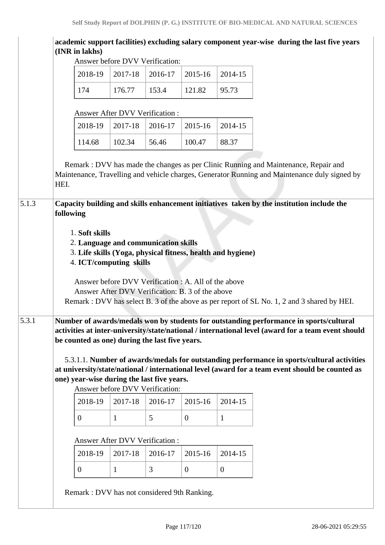|                   |                                      |                                                                                                                                                                                                                                                                                                                                                                                                                                                                                               | Answer before DVV Verification: |                |              |  |  |
|-------------------|--------------------------------------|-----------------------------------------------------------------------------------------------------------------------------------------------------------------------------------------------------------------------------------------------------------------------------------------------------------------------------------------------------------------------------------------------------------------------------------------------------------------------------------------------|---------------------------------|----------------|--------------|--|--|
|                   | 2018-19                              | 2017-18                                                                                                                                                                                                                                                                                                                                                                                                                                                                                       | 2016-17                         | 2015-16        | 2014-15      |  |  |
|                   | 174                                  | 176.77                                                                                                                                                                                                                                                                                                                                                                                                                                                                                        | 153.4                           | 121.82         | 95.73        |  |  |
|                   |                                      | Answer After DVV Verification:                                                                                                                                                                                                                                                                                                                                                                                                                                                                |                                 |                |              |  |  |
|                   | 2018-19                              | 2017-18                                                                                                                                                                                                                                                                                                                                                                                                                                                                                       | 2016-17                         | 2015-16        | 2014-15      |  |  |
|                   | 114.68                               | 102.34                                                                                                                                                                                                                                                                                                                                                                                                                                                                                        | 56.46                           | 100.47         | 88.37        |  |  |
| HEI.<br>following |                                      | Maintenance, Travelling and vehicle charges, Generator Running and Maintenance duly signed by<br>Capacity building and skills enhancement initiatives taken by the institution include the                                                                                                                                                                                                                                                                                                    |                                 |                |              |  |  |
| 1. Soft skills    | 2. Language and communication skills | 3. Life skills (Yoga, physical fitness, health and hygiene)<br>4. ICT/computing skills                                                                                                                                                                                                                                                                                                                                                                                                        |                                 |                |              |  |  |
|                   |                                      | Answer before DVV Verification : A. All of the above<br>Answer After DVV Verification: B. 3 of the above<br>Remark : DVV has select B. 3 of the above as per report of SL No. 1, 2 and 3 shared by HEI.                                                                                                                                                                                                                                                                                       |                                 |                |              |  |  |
|                   |                                      | Number of awards/medals won by students for outstanding performance in sports/cultural<br>activities at inter-university/state/national / international level (award for a team event should<br>be counted as one) during the last five years.<br>5.3.1.1. Number of awards/medals for outstanding performance in sports/cultural activities<br>at university/state/national / international level (award for a team event should be counted as<br>one) year-wise during the last five years. |                                 |                |              |  |  |
|                   | 2018-19                              | Answer before DVV Verification:<br>2017-18                                                                                                                                                                                                                                                                                                                                                                                                                                                    | 2016-17                         | 2015-16        | 2014-15      |  |  |
|                   | $\boldsymbol{0}$                     | $\mathbf{1}$                                                                                                                                                                                                                                                                                                                                                                                                                                                                                  | 5                               | $\overline{0}$ | $\mathbf{1}$ |  |  |
|                   |                                      | Answer After DVV Verification:                                                                                                                                                                                                                                                                                                                                                                                                                                                                |                                 |                |              |  |  |
|                   | 2018-19                              | 2017-18                                                                                                                                                                                                                                                                                                                                                                                                                                                                                       | 2016-17                         | 2015-16        | 2014-15      |  |  |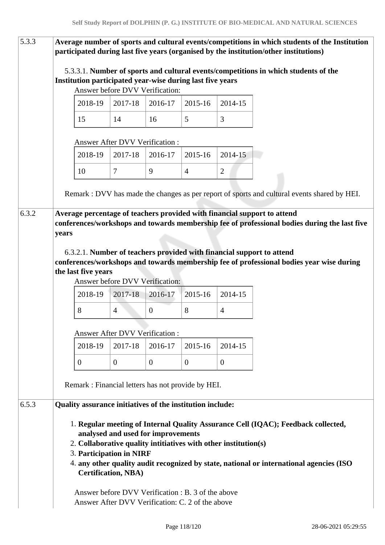| 5.3.3 |       |                                                                                             |                                                                                                        |                |                |                | Average number of sports and cultural events/competitions in which students of the Institution<br>participated during last five years (organised by the institution/other institutions) |
|-------|-------|---------------------------------------------------------------------------------------------|--------------------------------------------------------------------------------------------------------|----------------|----------------|----------------|-----------------------------------------------------------------------------------------------------------------------------------------------------------------------------------------|
|       |       | Institution participated year-wise during last five years                                   | Answer before DVV Verification:                                                                        |                |                |                | 5.3.3.1. Number of sports and cultural events/competitions in which students of the                                                                                                     |
|       |       | 2018-19                                                                                     | 2017-18                                                                                                | 2016-17        | 2015-16        | 2014-15        |                                                                                                                                                                                         |
|       |       | 15                                                                                          | 14                                                                                                     | 16             | 5              | 3              |                                                                                                                                                                                         |
|       |       |                                                                                             | Answer After DVV Verification:                                                                         |                |                |                |                                                                                                                                                                                         |
|       |       | 2018-19                                                                                     | 2017-18                                                                                                | 2016-17        | 2015-16        | 2014-15        |                                                                                                                                                                                         |
|       |       | 10                                                                                          | $\tau$                                                                                                 | 9              | $\overline{4}$ | $\overline{2}$ |                                                                                                                                                                                         |
|       |       |                                                                                             |                                                                                                        |                |                |                | Remark : DVV has made the changes as per report of sports and cultural events shared by HEI.                                                                                            |
| 6.3.2 | years |                                                                                             |                                                                                                        |                |                |                | Average percentage of teachers provided with financial support to attend<br>conferences/workshops and towards membership fee of professional bodies during the last five                |
|       |       | the last five years                                                                         | Answer before DVV Verification:                                                                        |                |                |                | 6.3.2.1. Number of teachers provided with financial support to attend<br>conferences/workshops and towards membership fee of professional bodies year wise during                       |
|       |       | 2018-19                                                                                     | 2017-18                                                                                                | 2016-17        | 2015-16        | 2014-15        |                                                                                                                                                                                         |
|       |       | 8                                                                                           | $\overline{4}$                                                                                         | $\overline{0}$ | 8              | $\overline{4}$ |                                                                                                                                                                                         |
|       |       |                                                                                             | Answer After DVV Verification :                                                                        |                |                |                |                                                                                                                                                                                         |
|       |       | 2018-19                                                                                     | 2017-18                                                                                                | 2016-17        | 2015-16        | 2014-15        |                                                                                                                                                                                         |
|       |       | $\theta$                                                                                    | $\overline{0}$                                                                                         | $\theta$       | $\overline{0}$ | $\theta$       |                                                                                                                                                                                         |
|       |       | Remark : Financial letters has not provide by HEI.                                          |                                                                                                        |                |                |                |                                                                                                                                                                                         |
| 6.5.3 |       | Quality assurance initiatives of the institution include:                                   |                                                                                                        |                |                |                |                                                                                                                                                                                         |
|       |       | 2. Collaborative quality intitiatives with other institution(s)<br>3. Participation in NIRF | analysed and used for improvements<br><b>Certification, NBA)</b>                                       |                |                |                | 1. Regular meeting of Internal Quality Assurance Cell (IQAC); Feedback collected,<br>4. any other quality audit recognized by state, national or international agencies (ISO            |
|       |       |                                                                                             | Answer before DVV Verification : B. 3 of the above<br>Answer After DVV Verification: C. 2 of the above |                |                |                |                                                                                                                                                                                         |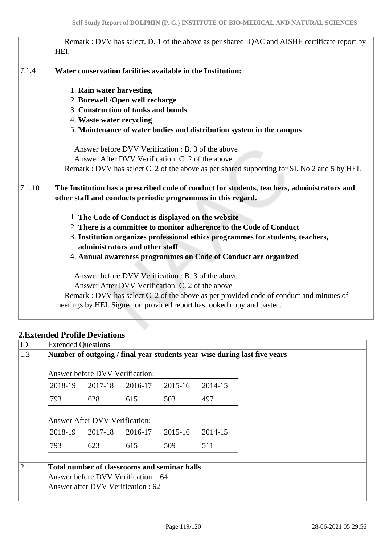|        | Remark : DVV has select. D. 1 of the above as per shared IQAC and AISHE certificate report by<br>HEI.                                                              |
|--------|--------------------------------------------------------------------------------------------------------------------------------------------------------------------|
| 7.1.4  | Water conservation facilities available in the Institution:                                                                                                        |
|        | 1. Rain water harvesting                                                                                                                                           |
|        | 2. Borewell /Open well recharge                                                                                                                                    |
|        | 3. Construction of tanks and bunds                                                                                                                                 |
|        | 4. Waste water recycling                                                                                                                                           |
|        | 5. Maintenance of water bodies and distribution system in the campus                                                                                               |
|        | Answer before DVV Verification : B. 3 of the above                                                                                                                 |
|        | Answer After DVV Verification: C. 2 of the above                                                                                                                   |
|        | Remark : DVV has select C. 2 of the above as per shared supporting for SI. No 2 and 5 by HEI.                                                                      |
| 7.1.10 | The Institution has a prescribed code of conduct for students, teachers, administrators and<br>other staff and conducts periodic programmes in this regard.        |
|        | 1. The Code of Conduct is displayed on the website                                                                                                                 |
|        | 2. There is a committee to monitor adherence to the Code of Conduct                                                                                                |
|        | 3. Institution organizes professional ethics programmes for students, teachers,                                                                                    |
|        | administrators and other staff                                                                                                                                     |
|        | 4. Annual awareness programmes on Code of Conduct are organized                                                                                                    |
|        | Answer before DVV Verification : B. 3 of the above<br>Answer After DVV Verification: C. 2 of the above                                                             |
|        | Remark : DVV has select C. 2 of the above as per provided code of conduct and minutes of<br>meetings by HEI. Signed on provided report has looked copy and pasted. |

### **2.Extended Profile Deviations**

| ID  | <b>Extended Questions</b> |                                                                           |         |                                                     |         |                                                                           |  |
|-----|---------------------------|---------------------------------------------------------------------------|---------|-----------------------------------------------------|---------|---------------------------------------------------------------------------|--|
| 1.3 |                           | Answer before DVV Verification:                                           |         |                                                     |         | Number of outgoing / final year students year-wise during last five years |  |
|     | 2018-19                   | 2017-18                                                                   |         | $2015 - 16$                                         |         |                                                                           |  |
|     |                           |                                                                           | 2016-17 |                                                     | 2014-15 |                                                                           |  |
|     | 793                       | 628                                                                       | 615     | 503                                                 | 497     |                                                                           |  |
|     | 2018-19                   | <b>Answer After DVV Verification:</b><br>2017-18                          | 2016-17 | 2015-16                                             | 2014-15 |                                                                           |  |
|     | 793                       | 623                                                                       | 615     | 509                                                 | 511     |                                                                           |  |
| 2.1 |                           | Answer before DVV Verification : 64<br>Answer after DVV Verification : 62 |         | <b>Total number of classrooms and seminar halls</b> |         |                                                                           |  |